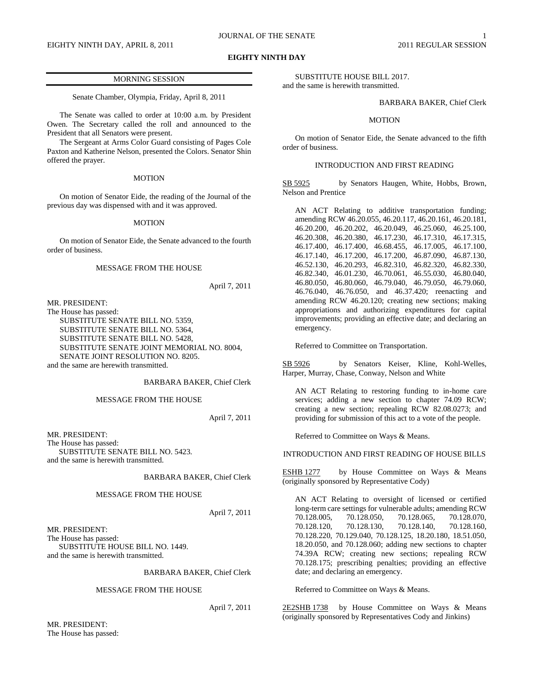## **EIGHTY NINTH DAY**

## MORNING SESSION

Senate Chamber, Olympia, Friday, April 8, 2011

The Senate was called to order at 10:00 a.m. by President Owen. The Secretary called the roll and announced to the President that all Senators were present.

The Sergeant at Arms Color Guard consisting of Pages Cole Paxton and Katherine Nelson, presented the Colors. Senator Shin offered the prayer.

## MOTION

On motion of Senator Eide, the reading of the Journal of the previous day was dispensed with and it was approved.

#### MOTION

On motion of Senator Eide, the Senate advanced to the fourth order of business.

## MESSAGE FROM THE HOUSE

April 7, 2011

MR. PRESIDENT: The House has passed: SUBSTITUTE SENATE BILL NO. 5359, SUBSTITUTE SENATE BILL NO. 5364, SUBSTITUTE SENATE BILL NO. 5428, SUBSTITUTE SENATE JOINT MEMORIAL NO. 8004, SENATE JOINT RESOLUTION NO. 8205. and the same are herewith transmitted.

## BARBARA BAKER, Chief Clerk

MESSAGE FROM THE HOUSE

April 7, 2011

MR. PRESIDENT: The House has passed: SUBSTITUTE SENATE BILL NO. 5423. and the same is herewith transmitted.

## BARBARA BAKER, Chief Clerk

## MESSAGE FROM THE HOUSE

April 7, 2011

MR. PRESIDENT: The House has passed: SUBSTITUTE HOUSE BILL NO. 1449. and the same is herewith transmitted.

## BARBARA BAKER, Chief Clerk

## MESSAGE FROM THE HOUSE

April 7, 2011

MR. PRESIDENT: The House has passed:

SUBSTITUTE HOUSE BILL 2017. and the same is herewith transmitted.

BARBARA BAKER, Chief Clerk

## MOTION

On motion of Senator Eide, the Senate advanced to the fifth order of business.

## INTRODUCTION AND FIRST READING

SB 5925 by Senators Haugen, White, Hobbs, Brown, Nelson and Prentice

AN ACT Relating to additive transportation funding; amending RCW 46.20.055, 46.20.117, 46.20.161, 46.20.181, 46.20.200, 46.20.202, 46.20.049, 46.25.060, 46.25.100, 46.20.308, 46.20.380, 46.17.230, 46.17.310, 46.17.315, 46.17.400, 46.17.400, 46.68.455, 46.17.005, 46.17.100, 46.17.140, 46.17.200, 46.17.200, 46.87.090, 46.87.130, 46.52.130, 46.20.293, 46.82.310, 46.82.320, 46.82.330, 46.82.340, 46.01.230, 46.70.061, 46.55.030, 46.80.040, 46.80.050, 46.80.060, 46.79.040, 46.79.050, 46.79.060, 46.76.040, 46.76.050, and 46.37.420; reenacting and amending RCW 46.20.120; creating new sections; making appropriations and authorizing expenditures for capital improvements; providing an effective date; and declaring an emergency.

Referred to Committee on Transportation.

SB 5926 by Senators Keiser, Kline, Kohl-Welles, Harper, Murray, Chase, Conway, Nelson and White

AN ACT Relating to restoring funding to in-home care services; adding a new section to chapter 74.09 RCW; creating a new section; repealing RCW 82.08.0273; and providing for submission of this act to a vote of the people.

Referred to Committee on Ways & Means.

INTRODUCTION AND FIRST READING OF HOUSE BILLS

ESHB 1277 by House Committee on Ways & Means (originally sponsored by Representative Cody)

AN ACT Relating to oversight of licensed or certified long-term care settings for vulnerable adults; amending RCW<br>70.128.005, 70.128.050, 70.128.065, 70.128.070, 70.128.005, 70.128.050, 70.128.065, 70.128.070, 70.128.120, 70.128.130, 70.128.140, 70.128.160, 70.128.220, 70.129.040, 70.128.125, 18.20.180, 18.51.050, 18.20.050, and 70.128.060; adding new sections to chapter 74.39A RCW; creating new sections; repealing RCW 70.128.175; prescribing penalties; providing an effective date; and declaring an emergency.

Referred to Committee on Ways & Means.

2E2SHB 1738 by House Committee on Ways & Means (originally sponsored by Representatives Cody and Jinkins)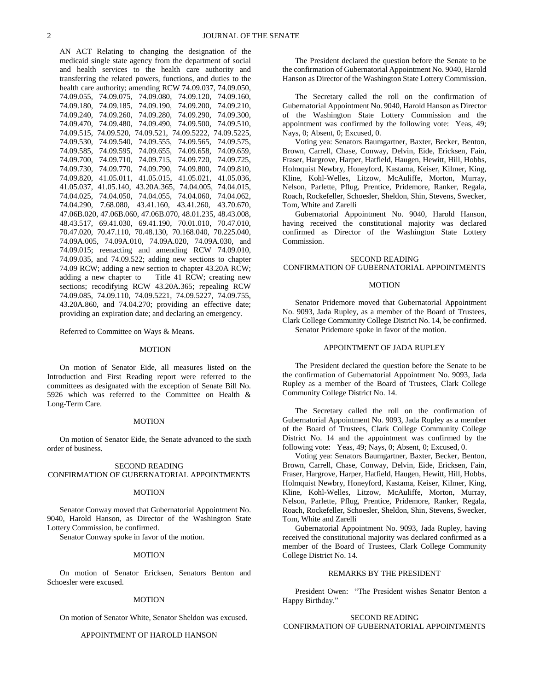AN ACT Relating to changing the designation of the medicaid single state agency from the department of social and health services to the health care authority and transferring the related powers, functions, and duties to the health care authority; amending RCW 74.09.037, 74.09.050, 74.09.055, 74.09.075, 74.09.080, 74.09.120, 74.09.160, 74.09.180, 74.09.185, 74.09.190, 74.09.200, 74.09.210, 74.09.240, 74.09.260, 74.09.280, 74.09.290, 74.09.300, 74.09.470, 74.09.480, 74.09.490, 74.09.500, 74.09.510, 74.09.515, 74.09.520, 74.09.521, 74.09.5222, 74.09.5225, 74.09.530, 74.09.540, 74.09.555, 74.09.565, 74.09.575, 74.09.585, 74.09.595, 74.09.655, 74.09.658, 74.09.659, 74.09.700, 74.09.710, 74.09.715, 74.09.720, 74.09.725, 74.09.730, 74.09.770, 74.09.790, 74.09.800, 74.09.810, 74.09.820, 41.05.011, 41.05.015, 41.05.021, 41.05.036, 41.05.037, 41.05.140, 43.20A.365, 74.04.005, 74.04.015, 74.04.025, 74.04.050, 74.04.055, 74.04.060, 74.04.062, 74.04.290, 7.68.080, 43.41.160, 43.41.260, 43.70.670, 47.06B.020, 47.06B.060, 47.06B.070, 48.01.235, 48.43.008, 48.43.517, 69.41.030, 69.41.190, 70.01.010, 70.47.010, 70.47.020, 70.47.110, 70.48.130, 70.168.040, 70.225.040, 74.09A.005, 74.09A.010, 74.09A.020, 74.09A.030, and 74.09.015; reenacting and amending RCW 74.09.010, 74.09.035, and 74.09.522; adding new sections to chapter 74.09 RCW; adding a new section to chapter 43.20A RCW;<br>adding a new chapter to Title 41 RCW; creating new Title 41 RCW; creating new sections; recodifying RCW 43.20A.365; repealing RCW 74.09.085, 74.09.110, 74.09.5221, 74.09.5227, 74.09.755, 43.20A.860, and 74.04.270; providing an effective date; providing an expiration date; and declaring an emergency.

Referred to Committee on Ways & Means.

## MOTION

On motion of Senator Eide, all measures listed on the Introduction and First Reading report were referred to the committees as designated with the exception of Senate Bill No. 5926 which was referred to the Committee on Health & Long-Term Care.

#### MOTION

On motion of Senator Eide, the Senate advanced to the sixth order of business.

## SECOND READING CONFIRMATION OF GUBERNATORIAL APPOINTMENTS

#### MOTION

Senator Conway moved that Gubernatorial Appointment No. 9040, Harold Hanson, as Director of the Washington State Lottery Commission, be confirmed.

Senator Conway spoke in favor of the motion.

#### MOTION

On motion of Senator Ericksen, Senators Benton and Schoesler were excused.

#### MOTION

On motion of Senator White, Senator Sheldon was excused.

#### APPOINTMENT OF HAROLD HANSON

The President declared the question before the Senate to be the confirmation of Gubernatorial Appointment No. 9040, Harold Hanson as Director of the Washington State Lottery Commission.

The Secretary called the roll on the confirmation of Gubernatorial Appointment No. 9040, Harold Hanson as Director of the Washington State Lottery Commission and the appointment was confirmed by the following vote: Yeas, 49; Nays, 0; Absent, 0; Excused, 0.

Voting yea: Senators Baumgartner, Baxter, Becker, Benton, Brown, Carrell, Chase, Conway, Delvin, Eide, Ericksen, Fain, Fraser, Hargrove, Harper, Hatfield, Haugen, Hewitt, Hill, Hobbs, Holmquist Newbry, Honeyford, Kastama, Keiser, Kilmer, King, Kline, Kohl-Welles, Litzow, McAuliffe, Morton, Murray, Nelson, Parlette, Pflug, Prentice, Pridemore, Ranker, Regala, Roach, Rockefeller, Schoesler, Sheldon, Shin, Stevens, Swecker, Tom, White and Zarelli

Gubernatorial Appointment No. 9040, Harold Hanson, having received the constitutional majority was declared confirmed as Director of the Washington State Lottery Commission.

## SECOND READING CONFIRMATION OF GUBERNATORIAL APPOINTMENTS

#### MOTION

Senator Pridemore moved that Gubernatorial Appointment No. 9093, Jada Rupley, as a member of the Board of Trustees, Clark College Community College District No. 14, be confirmed. Senator Pridemore spoke in favor of the motion.

#### APPOINTMENT OF JADA RUPLEY

The President declared the question before the Senate to be the confirmation of Gubernatorial Appointment No. 9093, Jada Rupley as a member of the Board of Trustees, Clark College Community College District No. 14.

The Secretary called the roll on the confirmation of Gubernatorial Appointment No. 9093, Jada Rupley as a member of the Board of Trustees, Clark College Community College District No. 14 and the appointment was confirmed by the following vote: Yeas, 49; Nays, 0; Absent, 0; Excused, 0.

Voting yea: Senators Baumgartner, Baxter, Becker, Benton, Brown, Carrell, Chase, Conway, Delvin, Eide, Ericksen, Fain, Fraser, Hargrove, Harper, Hatfield, Haugen, Hewitt, Hill, Hobbs, Holmquist Newbry, Honeyford, Kastama, Keiser, Kilmer, King, Kline, Kohl-Welles, Litzow, McAuliffe, Morton, Murray, Nelson, Parlette, Pflug, Prentice, Pridemore, Ranker, Regala, Roach, Rockefeller, Schoesler, Sheldon, Shin, Stevens, Swecker, Tom, White and Zarelli

Gubernatorial Appointment No. 9093, Jada Rupley, having received the constitutional majority was declared confirmed as a member of the Board of Trustees, Clark College Community College District No. 14.

#### REMARKS BY THE PRESIDENT

President Owen: "The President wishes Senator Benton a Happy Birthday."

## SECOND READING CONFIRMATION OF GUBERNATORIAL APPOINTMENTS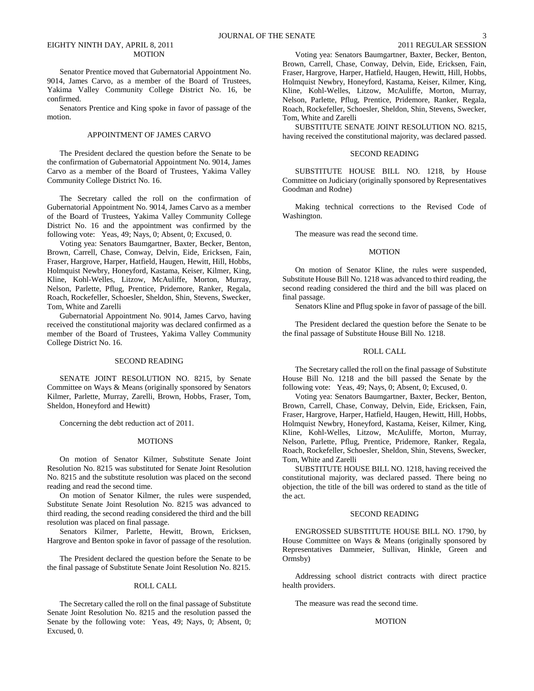Senator Prentice moved that Gubernatorial Appointment No. 9014, James Carvo, as a member of the Board of Trustees, Yakima Valley Community College District No. 16, be confirmed.

Senators Prentice and King spoke in favor of passage of the motion.

## APPOINTMENT OF JAMES CARVO

The President declared the question before the Senate to be the confirmation of Gubernatorial Appointment No. 9014, James Carvo as a member of the Board of Trustees, Yakima Valley Community College District No. 16.

The Secretary called the roll on the confirmation of Gubernatorial Appointment No. 9014, James Carvo as a member of the Board of Trustees, Yakima Valley Community College District No. 16 and the appointment was confirmed by the following vote: Yeas, 49; Nays, 0; Absent, 0; Excused, 0.

Voting yea: Senators Baumgartner, Baxter, Becker, Benton, Brown, Carrell, Chase, Conway, Delvin, Eide, Ericksen, Fain, Fraser, Hargrove, Harper, Hatfield, Haugen, Hewitt, Hill, Hobbs, Holmquist Newbry, Honeyford, Kastama, Keiser, Kilmer, King, Kline, Kohl-Welles, Litzow, McAuliffe, Morton, Murray, Nelson, Parlette, Pflug, Prentice, Pridemore, Ranker, Regala, Roach, Rockefeller, Schoesler, Sheldon, Shin, Stevens, Swecker, Tom, White and Zarelli

Gubernatorial Appointment No. 9014, James Carvo, having received the constitutional majority was declared confirmed as a member of the Board of Trustees, Yakima Valley Community College District No. 16.

#### SECOND READING

SENATE JOINT RESOLUTION NO. 8215, by Senate Committee on Ways & Means (originally sponsored by Senators Kilmer, Parlette, Murray, Zarelli, Brown, Hobbs, Fraser, Tom, Sheldon, Honeyford and Hewitt)

Concerning the debt reduction act of 2011.

## **MOTIONS**

On motion of Senator Kilmer, Substitute Senate Joint Resolution No. 8215 was substituted for Senate Joint Resolution No. 8215 and the substitute resolution was placed on the second reading and read the second time.

On motion of Senator Kilmer, the rules were suspended, Substitute Senate Joint Resolution No. 8215 was advanced to third reading, the second reading considered the third and the bill resolution was placed on final passage.

Senators Kilmer, Parlette, Hewitt, Brown, Ericksen, Hargrove and Benton spoke in favor of passage of the resolution.

The President declared the question before the Senate to be the final passage of Substitute Senate Joint Resolution No. 8215.

#### ROLL CALL

The Secretary called the roll on the final passage of Substitute Senate Joint Resolution No. 8215 and the resolution passed the Senate by the following vote: Yeas, 49; Nays, 0; Absent, 0; Excused, 0.

Voting yea: Senators Baumgartner, Baxter, Becker, Benton, Brown, Carrell, Chase, Conway, Delvin, Eide, Ericksen, Fain, Fraser, Hargrove, Harper, Hatfield, Haugen, Hewitt, Hill, Hobbs, Holmquist Newbry, Honeyford, Kastama, Keiser, Kilmer, King, Kline, Kohl-Welles, Litzow, McAuliffe, Morton, Murray, Nelson, Parlette, Pflug, Prentice, Pridemore, Ranker, Regala, Roach, Rockefeller, Schoesler, Sheldon, Shin, Stevens, Swecker, Tom, White and Zarelli

SUBSTITUTE SENATE JOINT RESOLUTION NO. 8215, having received the constitutional majority, was declared passed.

#### SECOND READING

SUBSTITUTE HOUSE BILL NO. 1218, by House Committee on Judiciary (originally sponsored by Representatives Goodman and Rodne)

Making technical corrections to the Revised Code of Washington.

The measure was read the second time.

## **MOTION**

On motion of Senator Kline, the rules were suspended, Substitute House Bill No. 1218 was advanced to third reading, the second reading considered the third and the bill was placed on final passage.

Senators Kline and Pflug spoke in favor of passage of the bill.

The President declared the question before the Senate to be the final passage of Substitute House Bill No. 1218.

#### ROLL CALL

The Secretary called the roll on the final passage of Substitute House Bill No. 1218 and the bill passed the Senate by the following vote: Yeas, 49; Nays, 0; Absent, 0; Excused, 0.

Voting yea: Senators Baumgartner, Baxter, Becker, Benton, Brown, Carrell, Chase, Conway, Delvin, Eide, Ericksen, Fain, Fraser, Hargrove, Harper, Hatfield, Haugen, Hewitt, Hill, Hobbs, Holmquist Newbry, Honeyford, Kastama, Keiser, Kilmer, King, Kline, Kohl-Welles, Litzow, McAuliffe, Morton, Murray, Nelson, Parlette, Pflug, Prentice, Pridemore, Ranker, Regala, Roach, Rockefeller, Schoesler, Sheldon, Shin, Stevens, Swecker, Tom, White and Zarelli

SUBSTITUTE HOUSE BILL NO. 1218, having received the constitutional majority, was declared passed. There being no objection, the title of the bill was ordered to stand as the title of the act.

## SECOND READING

ENGROSSED SUBSTITUTE HOUSE BILL NO. 1790, by House Committee on Ways & Means (originally sponsored by Representatives Dammeier, Sullivan, Hinkle, Green and Ormsby)

Addressing school district contracts with direct practice health providers.

The measure was read the second time.

#### MOTION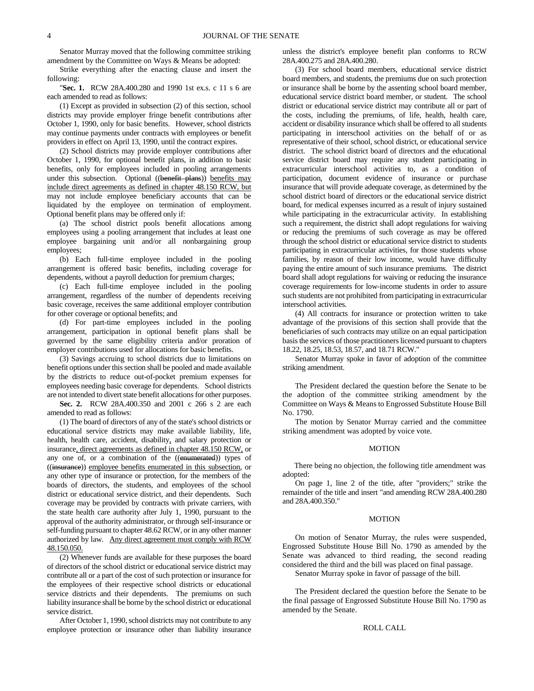Senator Murray moved that the following committee striking amendment by the Committee on Ways & Means be adopted:

Strike everything after the enacting clause and insert the following:

"**Sec. 1.** RCW 28A.400.280 and 1990 1st ex.s. c 11 s 6 are each amended to read as follows:

(1) Except as provided in subsection (2) of this section, school districts may provide employer fringe benefit contributions after October 1, 1990, only for basic benefits. However, school districts may continue payments under contracts with employees or benefit providers in effect on April 13, 1990, until the contract expires.

(2) School districts may provide employer contributions after October 1, 1990, for optional benefit plans, in addition to basic benefits, only for employees included in pooling arrangements under this subsection. Optional ((benefit plans)) benefits may include direct agreements as defined in chapter 48.150 RCW, but may not include employee beneficiary accounts that can be liquidated by the employee on termination of employment. Optional benefit plans may be offered only if:

(a) The school district pools benefit allocations among employees using a pooling arrangement that includes at least one employee bargaining unit and/or all nonbargaining group employees;

(b) Each full-time employee included in the pooling arrangement is offered basic benefits, including coverage for dependents, without a payroll deduction for premium charges;

(c) Each full-time employee included in the pooling arrangement, regardless of the number of dependents receiving basic coverage, receives the same additional employer contribution for other coverage or optional benefits; and

(d) For part-time employees included in the pooling arrangement, participation in optional benefit plans shall be governed by the same eligibility criteria and/or proration of employer contributions used for allocations for basic benefits.

(3) Savings accruing to school districts due to limitations on benefit options under this section shall be pooled and made available by the districts to reduce out-of-pocket premium expenses for employees needing basic coverage for dependents. School districts are not intended to divert state benefit allocations for other purposes.

**Sec. 2.** RCW 28A.400.350 and 2001 c 266 s 2 are each amended to read as follows:

(1) The board of directors of any of the state's school districts or educational service districts may make available liability, life, health, health care, accident, disability, and salary protection or insurance, direct agreements as defined in chapter 48.150 RCW, or any one of, or a combination of the ((enumerated)) types of ((insurance)) employee benefits enumerated in this subsection, or any other type of insurance or protection, for the members of the boards of directors, the students, and employees of the school district or educational service district, and their dependents. Such coverage may be provided by contracts with private carriers, with the state health care authority after July 1, 1990, pursuant to the approval of the authority administrator, or through self-insurance or self-funding pursuant to chapter 48.62 RCW, or in any other manner authorized by law. Any direct agreement must comply with RCW 48.150.050.

(2) Whenever funds are available for these purposes the board of directors of the school district or educational service district may contribute all or a part of the cost of such protection or insurance for the employees of their respective school districts or educational service districts and their dependents. The premiums on such liability insurance shall be borne by the school district or educational service district.

After October 1, 1990, school districts may not contribute to any employee protection or insurance other than liability insurance unless the district's employee benefit plan conforms to RCW 28A.400.275 and 28A.400.280.

(3) For school board members, educational service district board members, and students, the premiums due on such protection or insurance shall be borne by the assenting school board member, educational service district board member, or student. The school district or educational service district may contribute all or part of the costs, including the premiums, of life, health, health care, accident or disability insurance which shall be offered to all students participating in interschool activities on the behalf of or as representative of their school, school district, or educational service district. The school district board of directors and the educational service district board may require any student participating in extracurricular interschool activities to, as a condition of participation, document evidence of insurance or purchase insurance that will provide adequate coverage, as determined by the school district board of directors or the educational service district board, for medical expenses incurred as a result of injury sustained while participating in the extracurricular activity. In establishing such a requirement, the district shall adopt regulations for waiving or reducing the premiums of such coverage as may be offered through the school district or educational service district to students participating in extracurricular activities, for those students whose families, by reason of their low income, would have difficulty paying the entire amount of such insurance premiums. The district board shall adopt regulations for waiving or reducing the insurance coverage requirements for low-income students in order to assure such students are not prohibited from participating in extracurricular interschool activities.

(4) All contracts for insurance or protection written to take advantage of the provisions of this section shall provide that the beneficiaries of such contracts may utilize on an equal participation basis the services of those practitioners licensed pursuant to chapters 18.22, 18.25, 18.53, 18.57, and 18.71 RCW."

Senator Murray spoke in favor of adoption of the committee striking amendment.

The President declared the question before the Senate to be the adoption of the committee striking amendment by the Committee on Ways & Means to Engrossed Substitute House Bill No. 1790.

The motion by Senator Murray carried and the committee striking amendment was adopted by voice vote.

#### MOTION

There being no objection, the following title amendment was adopted:

On page 1, line 2 of the title, after "providers;" strike the remainder of the title and insert "and amending RCW 28A.400.280 and 28A.400.350."

#### MOTION

On motion of Senator Murray, the rules were suspended, Engrossed Substitute House Bill No. 1790 as amended by the Senate was advanced to third reading, the second reading considered the third and the bill was placed on final passage.

Senator Murray spoke in favor of passage of the bill.

The President declared the question before the Senate to be the final passage of Engrossed Substitute House Bill No. 1790 as amended by the Senate.

## ROLL CALL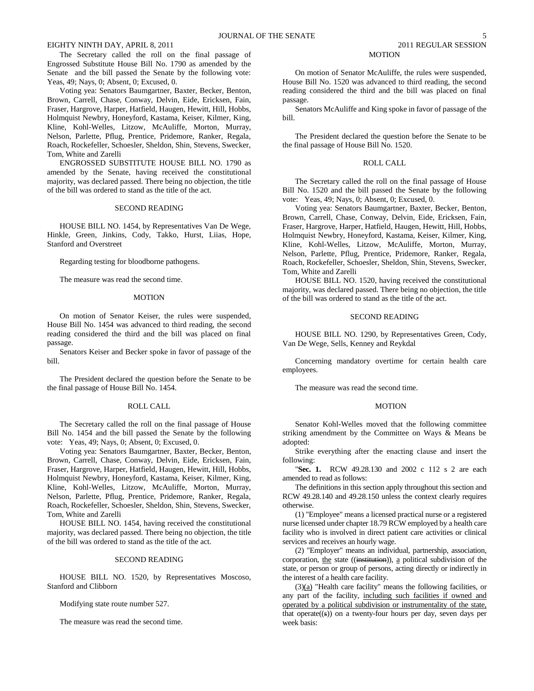The Secretary called the roll on the final passage of Engrossed Substitute House Bill No. 1790 as amended by the Senate and the bill passed the Senate by the following vote: Yeas, 49; Nays, 0; Absent, 0; Excused, 0.

Voting yea: Senators Baumgartner, Baxter, Becker, Benton, Brown, Carrell, Chase, Conway, Delvin, Eide, Ericksen, Fain, Fraser, Hargrove, Harper, Hatfield, Haugen, Hewitt, Hill, Hobbs, Holmquist Newbry, Honeyford, Kastama, Keiser, Kilmer, King, Kline, Kohl-Welles, Litzow, McAuliffe, Morton, Murray, Nelson, Parlette, Pflug, Prentice, Pridemore, Ranker, Regala, Roach, Rockefeller, Schoesler, Sheldon, Shin, Stevens, Swecker, Tom, White and Zarelli

ENGROSSED SUBSTITUTE HOUSE BILL NO. 1790 as amended by the Senate, having received the constitutional majority, was declared passed. There being no objection, the title of the bill was ordered to stand as the title of the act.

## SECOND READING

HOUSE BILL NO. 1454, by Representatives Van De Wege, Hinkle, Green, Jinkins, Cody, Takko, Hurst, Liias, Hope, Stanford and Overstreet

Regarding testing for bloodborne pathogens.

The measure was read the second time.

## MOTION

On motion of Senator Keiser, the rules were suspended, House Bill No. 1454 was advanced to third reading, the second reading considered the third and the bill was placed on final passage.

Senators Keiser and Becker spoke in favor of passage of the bill.

The President declared the question before the Senate to be the final passage of House Bill No. 1454.

#### ROLL CALL

The Secretary called the roll on the final passage of House Bill No. 1454 and the bill passed the Senate by the following vote: Yeas, 49; Nays, 0; Absent, 0; Excused, 0.

Voting yea: Senators Baumgartner, Baxter, Becker, Benton, Brown, Carrell, Chase, Conway, Delvin, Eide, Ericksen, Fain, Fraser, Hargrove, Harper, Hatfield, Haugen, Hewitt, Hill, Hobbs, Holmquist Newbry, Honeyford, Kastama, Keiser, Kilmer, King, Kline, Kohl-Welles, Litzow, McAuliffe, Morton, Murray, Nelson, Parlette, Pflug, Prentice, Pridemore, Ranker, Regala, Roach, Rockefeller, Schoesler, Sheldon, Shin, Stevens, Swecker, Tom, White and Zarelli

HOUSE BILL NO. 1454, having received the constitutional majority, was declared passed. There being no objection, the title of the bill was ordered to stand as the title of the act.

#### SECOND READING

HOUSE BILL NO. 1520, by Representatives Moscoso, Stanford and Clibborn

Modifying state route number 527.

The measure was read the second time.

## MOTION

On motion of Senator McAuliffe, the rules were suspended, House Bill No. 1520 was advanced to third reading, the second reading considered the third and the bill was placed on final passage.

Senators McAuliffe and King spoke in favor of passage of the bill.

The President declared the question before the Senate to be the final passage of House Bill No. 1520.

#### ROLL CALL

The Secretary called the roll on the final passage of House Bill No. 1520 and the bill passed the Senate by the following vote: Yeas, 49; Nays, 0; Absent, 0; Excused, 0.

Voting yea: Senators Baumgartner, Baxter, Becker, Benton, Brown, Carrell, Chase, Conway, Delvin, Eide, Ericksen, Fain, Fraser, Hargrove, Harper, Hatfield, Haugen, Hewitt, Hill, Hobbs, Holmquist Newbry, Honeyford, Kastama, Keiser, Kilmer, King, Kline, Kohl-Welles, Litzow, McAuliffe, Morton, Murray, Nelson, Parlette, Pflug, Prentice, Pridemore, Ranker, Regala, Roach, Rockefeller, Schoesler, Sheldon, Shin, Stevens, Swecker, Tom, White and Zarelli

HOUSE BILL NO. 1520, having received the constitutional majority, was declared passed. There being no objection, the title of the bill was ordered to stand as the title of the act.

## SECOND READING

HOUSE BILL NO. 1290, by Representatives Green, Cody, Van De Wege, Sells, Kenney and Reykdal

Concerning mandatory overtime for certain health care employees.

The measure was read the second time.

#### MOTION

Senator Kohl-Welles moved that the following committee striking amendment by the Committee on Ways & Means be adopted:

Strike everything after the enacting clause and insert the following:

"**Sec. 1.** RCW 49.28.130 and 2002 c 112 s 2 are each amended to read as follows:

The definitions in this section apply throughout this section and RCW 49.28.140 and 49.28.150 unless the context clearly requires otherwise.

(1) "Employee" means a licensed practical nurse or a registered nurse licensed under chapter 18.79 RCW employed by a health care facility who is involved in direct patient care activities or clinical services and receives an hourly wage.

(2) "Employer" means an individual, partnership, association, corporation, the state ((institution)), a political subdivision of the state, or person or group of persons, acting directly or indirectly in the interest of a health care facility.

 $(3)(a)$  "Health care facility" means the following facilities, or any part of the facility, including such facilities if owned and operated by a political subdivision or instrumentality of the state, that operate $((s))$  on a twenty-four hours per day, seven days per week basis: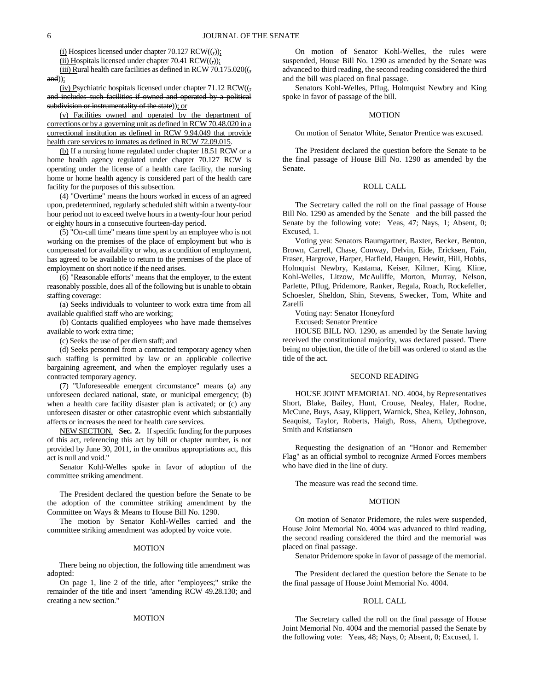$(i)$  Hospices licensed under chapter 70.127 RCW $((,))$ ;

(ii) Hospitals licensed under chapter 70.41 RCW $((,))$ :

(iii) Rural health care facilities as defined in RCW 70.175.020((,  $and$ );

(iv) Psychiatric hospitals licensed under chapter  $71.12 \text{ RCW}$ ( $\zeta$ , and includes such facilities if owned and operated by a political subdivision or instrumentality of the state)); or

(v) Facilities owned and operated by the department of corrections or by a governing unit as defined in RCW 70.48.020 in a correctional institution as defined in RCW 9.94.049 that provide health care services to inmates as defined in RCW 72.09.015.

(b) If a nursing home regulated under chapter 18.51 RCW or a home health agency regulated under chapter 70.127 RCW is operating under the license of a health care facility, the nursing home or home health agency is considered part of the health care facility for the purposes of this subsection.

(4) "Overtime" means the hours worked in excess of an agreed upon, predetermined, regularly scheduled shift within a twenty-four hour period not to exceed twelve hours in a twenty-four hour period or eighty hours in a consecutive fourteen-day period.

(5) "On-call time" means time spent by an employee who is not working on the premises of the place of employment but who is compensated for availability or who, as a condition of employment, has agreed to be available to return to the premises of the place of employment on short notice if the need arises.

(6) "Reasonable efforts" means that the employer, to the extent reasonably possible, does all of the following but is unable to obtain staffing coverage:

(a) Seeks individuals to volunteer to work extra time from all available qualified staff who are working;

(b) Contacts qualified employees who have made themselves available to work extra time;

(c) Seeks the use of per diem staff; and

(d) Seeks personnel from a contracted temporary agency when such staffing is permitted by law or an applicable collective bargaining agreement, and when the employer regularly uses a contracted temporary agency.

(7) "Unforeseeable emergent circumstance" means (a) any unforeseen declared national, state, or municipal emergency; (b) when a health care facility disaster plan is activated; or (c) any unforeseen disaster or other catastrophic event which substantially affects or increases the need for health care services.

NEW SECTION. **Sec. 2.** If specific funding for the purposes of this act, referencing this act by bill or chapter number, is not provided by June 30, 2011, in the omnibus appropriations act, this act is null and void."

Senator Kohl-Welles spoke in favor of adoption of the committee striking amendment.

The President declared the question before the Senate to be the adoption of the committee striking amendment by the Committee on Ways & Means to House Bill No. 1290.

The motion by Senator Kohl-Welles carried and the committee striking amendment was adopted by voice vote.

#### MOTION

There being no objection, the following title amendment was adopted:

On page 1, line 2 of the title, after "employees;" strike the remainder of the title and insert "amending RCW 49.28.130; and creating a new section."

## MOTION

On motion of Senator Kohl-Welles, the rules were suspended, House Bill No. 1290 as amended by the Senate was advanced to third reading, the second reading considered the third and the bill was placed on final passage.

Senators Kohl-Welles, Pflug, Holmquist Newbry and King spoke in favor of passage of the bill.

## MOTION

On motion of Senator White, Senator Prentice was excused.

The President declared the question before the Senate to be the final passage of House Bill No. 1290 as amended by the Senate.

## ROLL CALL

The Secretary called the roll on the final passage of House Bill No. 1290 as amended by the Senate and the bill passed the Senate by the following vote: Yeas, 47; Nays, 1; Absent, 0; Excused, 1.

Voting yea: Senators Baumgartner, Baxter, Becker, Benton, Brown, Carrell, Chase, Conway, Delvin, Eide, Ericksen, Fain, Fraser, Hargrove, Harper, Hatfield, Haugen, Hewitt, Hill, Hobbs, Holmquist Newbry, Kastama, Keiser, Kilmer, King, Kline, Kohl-Welles, Litzow, McAuliffe, Morton, Murray, Nelson, Parlette, Pflug, Pridemore, Ranker, Regala, Roach, Rockefeller, Schoesler, Sheldon, Shin, Stevens, Swecker, Tom, White and Zarelli

Voting nay: Senator Honeyford

Excused: Senator Prentice

HOUSE BILL NO. 1290, as amended by the Senate having received the constitutional majority, was declared passed. There being no objection, the title of the bill was ordered to stand as the title of the act.

## SECOND READING

HOUSE JOINT MEMORIAL NO. 4004, by Representatives Short, Blake, Bailey, Hunt, Crouse, Nealey, Haler, Rodne, McCune, Buys, Asay, Klippert, Warnick, Shea, Kelley, Johnson, Seaquist, Taylor, Roberts, Haigh, Ross, Ahern, Upthegrove, Smith and Kristiansen

Requesting the designation of an "Honor and Remember Flag" as an official symbol to recognize Armed Forces members who have died in the line of duty.

The measure was read the second time.

#### MOTION

On motion of Senator Pridemore, the rules were suspended, House Joint Memorial No. 4004 was advanced to third reading, the second reading considered the third and the memorial was placed on final passage.

Senator Pridemore spoke in favor of passage of the memorial.

The President declared the question before the Senate to be the final passage of House Joint Memorial No. 4004.

#### ROLL CALL

The Secretary called the roll on the final passage of House Joint Memorial No. 4004 and the memorial passed the Senate by the following vote: Yeas, 48; Nays, 0; Absent, 0; Excused, 1.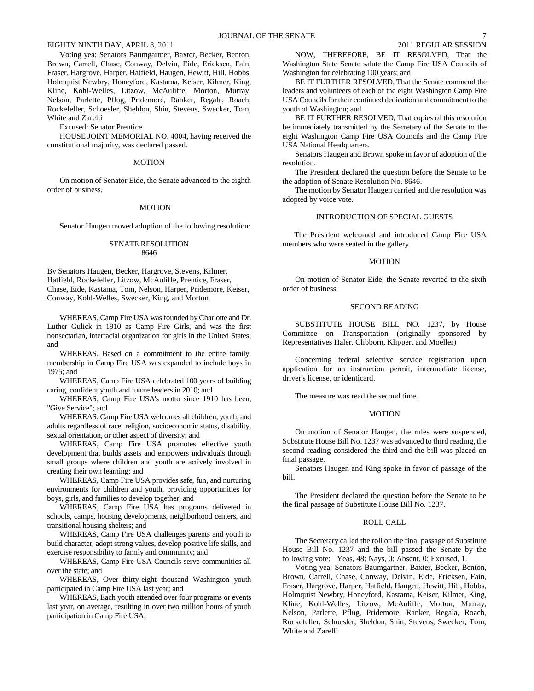Voting yea: Senators Baumgartner, Baxter, Becker, Benton, Brown, Carrell, Chase, Conway, Delvin, Eide, Ericksen, Fain, Fraser, Hargrove, Harper, Hatfield, Haugen, Hewitt, Hill, Hobbs, Holmquist Newbry, Honeyford, Kastama, Keiser, Kilmer, King, Kline, Kohl-Welles, Litzow, McAuliffe, Morton, Murray, Nelson, Parlette, Pflug, Pridemore, Ranker, Regala, Roach, Rockefeller, Schoesler, Sheldon, Shin, Stevens, Swecker, Tom, White and Zarelli

Excused: Senator Prentice

HOUSE JOINT MEMORIAL NO. 4004, having received the constitutional majority, was declared passed.

#### MOTION

On motion of Senator Eide, the Senate advanced to the eighth order of business.

#### MOTION

Senator Haugen moved adoption of the following resolution:

## SENATE RESOLUTION 8646

By Senators Haugen, Becker, Hargrove, Stevens, Kilmer, Hatfield, Rockefeller, Litzow, McAuliffe, Prentice, Fraser, Chase, Eide, Kastama, Tom, Nelson, Harper, Pridemore, Keiser, Conway, Kohl-Welles, Swecker, King, and Morton

WHEREAS, Camp Fire USA was founded by Charlotte and Dr. Luther Gulick in 1910 as Camp Fire Girls, and was the first nonsectarian, interracial organization for girls in the United States; and

WHEREAS, Based on a commitment to the entire family, membership in Camp Fire USA was expanded to include boys in 1975; and

WHEREAS, Camp Fire USA celebrated 100 years of building caring, confident youth and future leaders in 2010; and

WHEREAS, Camp Fire USA's motto since 1910 has been, "Give Service"; and

WHEREAS, Camp Fire USA welcomes all children, youth, and adults regardless of race, religion, socioeconomic status, disability, sexual orientation, or other aspect of diversity; and

WHEREAS, Camp Fire USA promotes effective youth development that builds assets and empowers individuals through small groups where children and youth are actively involved in creating their own learning; and

WHEREAS, Camp Fire USA provides safe, fun, and nurturing environments for children and youth, providing opportunities for boys, girls, and families to develop together; and

WHEREAS, Camp Fire USA has programs delivered in schools, camps, housing developments, neighborhood centers, and transitional housing shelters; and

WHEREAS, Camp Fire USA challenges parents and youth to build character, adopt strong values, develop positive life skills, and exercise responsibility to family and community; and

WHEREAS, Camp Fire USA Councils serve communities all over the state; and

WHEREAS, Over thirty-eight thousand Washington youth participated in Camp Fire USA last year; and

WHEREAS, Each youth attended over four programs or events last year, on average, resulting in over two million hours of youth participation in Camp Fire USA;

NOW, THEREFORE, BE IT RESOLVED, That the Washington State Senate salute the Camp Fire USA Councils of Washington for celebrating 100 years; and

BE IT FURTHER RESOLVED, That the Senate commend the leaders and volunteers of each of the eight Washington Camp Fire USA Councils for their continued dedication and commitment to the youth of Washington; and

BE IT FURTHER RESOLVED, That copies of this resolution be immediately transmitted by the Secretary of the Senate to the eight Washington Camp Fire USA Councils and the Camp Fire USA National Headquarters.

Senators Haugen and Brown spoke in favor of adoption of the resolution.

The President declared the question before the Senate to be the adoption of Senate Resolution No. 8646.

The motion by Senator Haugen carried and the resolution was adopted by voice vote.

## INTRODUCTION OF SPECIAL GUESTS

The President welcomed and introduced Camp Fire USA members who were seated in the gallery.

#### MOTION

On motion of Senator Eide, the Senate reverted to the sixth order of business.

#### SECOND READING

SUBSTITUTE HOUSE BILL NO. 1237, by House Committee on Transportation (originally sponsored by Representatives Haler, Clibborn, Klippert and Moeller)

Concerning federal selective service registration upon application for an instruction permit, intermediate license, driver's license, or identicard.

The measure was read the second time.

#### MOTION

On motion of Senator Haugen, the rules were suspended, Substitute House Bill No. 1237 was advanced to third reading, the second reading considered the third and the bill was placed on final passage.

Senators Haugen and King spoke in favor of passage of the bill.

The President declared the question before the Senate to be the final passage of Substitute House Bill No. 1237.

## ROLL CALL

The Secretary called the roll on the final passage of Substitute House Bill No. 1237 and the bill passed the Senate by the following vote: Yeas, 48; Nays, 0; Absent, 0; Excused, 1.

Voting yea: Senators Baumgartner, Baxter, Becker, Benton, Brown, Carrell, Chase, Conway, Delvin, Eide, Ericksen, Fain, Fraser, Hargrove, Harper, Hatfield, Haugen, Hewitt, Hill, Hobbs, Holmquist Newbry, Honeyford, Kastama, Keiser, Kilmer, King, Kline, Kohl-Welles, Litzow, McAuliffe, Morton, Murray, Nelson, Parlette, Pflug, Pridemore, Ranker, Regala, Roach, Rockefeller, Schoesler, Sheldon, Shin, Stevens, Swecker, Tom, White and Zarelli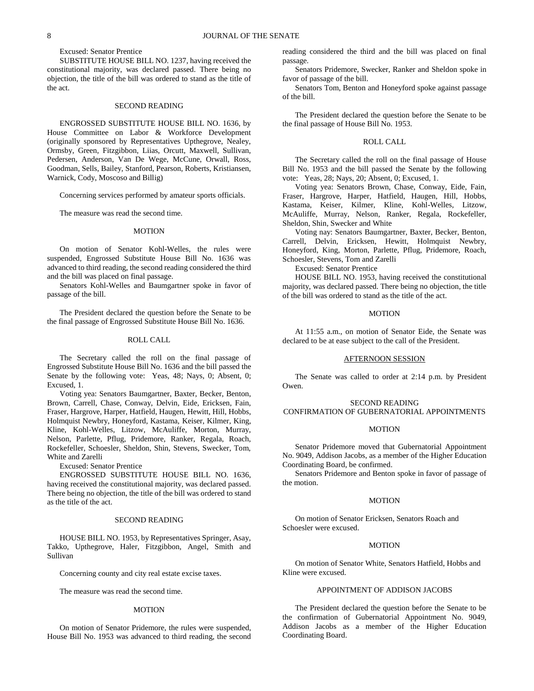## Excused: Senator Prentice

SUBSTITUTE HOUSE BILL NO. 1237, having received the constitutional majority, was declared passed. There being no objection, the title of the bill was ordered to stand as the title of the act.

#### SECOND READING

ENGROSSED SUBSTITUTE HOUSE BILL NO. 1636, by House Committee on Labor & Workforce Development (originally sponsored by Representatives Upthegrove, Nealey, Ormsby, Green, Fitzgibbon, Liias, Orcutt, Maxwell, Sullivan, Pedersen, Anderson, Van De Wege, McCune, Orwall, Ross, Goodman, Sells, Bailey, Stanford, Pearson, Roberts, Kristiansen, Warnick, Cody, Moscoso and Billig)

Concerning services performed by amateur sports officials.

The measure was read the second time.

#### **MOTION**

On motion of Senator Kohl-Welles, the rules were suspended, Engrossed Substitute House Bill No. 1636 was advanced to third reading, the second reading considered the third and the bill was placed on final passage.

Senators Kohl-Welles and Baumgartner spoke in favor of passage of the bill.

The President declared the question before the Senate to be the final passage of Engrossed Substitute House Bill No. 1636.

## ROLL CALL

The Secretary called the roll on the final passage of Engrossed Substitute House Bill No. 1636 and the bill passed the Senate by the following vote: Yeas, 48; Nays, 0; Absent, 0; Excused, 1.

Voting yea: Senators Baumgartner, Baxter, Becker, Benton, Brown, Carrell, Chase, Conway, Delvin, Eide, Ericksen, Fain, Fraser, Hargrove, Harper, Hatfield, Haugen, Hewitt, Hill, Hobbs, Holmquist Newbry, Honeyford, Kastama, Keiser, Kilmer, King, Kline, Kohl-Welles, Litzow, McAuliffe, Morton, Murray, Nelson, Parlette, Pflug, Pridemore, Ranker, Regala, Roach, Rockefeller, Schoesler, Sheldon, Shin, Stevens, Swecker, Tom, White and Zarelli

Excused: Senator Prentice

ENGROSSED SUBSTITUTE HOUSE BILL NO. 1636, having received the constitutional majority, was declared passed. There being no objection, the title of the bill was ordered to stand as the title of the act.

#### SECOND READING

HOUSE BILL NO. 1953, by Representatives Springer, Asay, Takko, Upthegrove, Haler, Fitzgibbon, Angel, Smith and Sullivan

Concerning county and city real estate excise taxes.

The measure was read the second time.

#### MOTION

On motion of Senator Pridemore, the rules were suspended, House Bill No. 1953 was advanced to third reading, the second reading considered the third and the bill was placed on final passage.

Senators Pridemore, Swecker, Ranker and Sheldon spoke in favor of passage of the bill.

Senators Tom, Benton and Honeyford spoke against passage of the bill.

The President declared the question before the Senate to be the final passage of House Bill No. 1953.

## ROLL CALL

The Secretary called the roll on the final passage of House Bill No. 1953 and the bill passed the Senate by the following vote: Yeas, 28; Nays, 20; Absent, 0; Excused, 1.

Voting yea: Senators Brown, Chase, Conway, Eide, Fain, Fraser, Hargrove, Harper, Hatfield, Haugen, Hill, Hobbs, Kastama, Keiser, Kilmer, Kline, Kohl-Welles, Litzow, McAuliffe, Murray, Nelson, Ranker, Regala, Rockefeller, Sheldon, Shin, Swecker and White

Voting nay: Senators Baumgartner, Baxter, Becker, Benton, Carrell, Delvin, Ericksen, Hewitt, Holmquist Newbry, Honeyford, King, Morton, Parlette, Pflug, Pridemore, Roach, Schoesler, Stevens, Tom and Zarelli

Excused: Senator Prentice

HOUSE BILL NO. 1953, having received the constitutional majority, was declared passed. There being no objection, the title of the bill was ordered to stand as the title of the act.

#### MOTION

At 11:55 a.m., on motion of Senator Eide, the Senate was declared to be at ease subject to the call of the President.

## AFTERNOON SESSION

The Senate was called to order at 2:14 p.m. by President Owen.

#### SECOND READING

## CONFIRMATION OF GUBERNATORIAL APPOINTMENTS

#### MOTION

Senator Pridemore moved that Gubernatorial Appointment No. 9049, Addison Jacobs, as a member of the Higher Education Coordinating Board, be confirmed.

Senators Pridemore and Benton spoke in favor of passage of the motion.

#### MOTION

On motion of Senator Ericksen, Senators Roach and Schoesler were excused.

#### MOTION

On motion of Senator White, Senators Hatfield, Hobbs and Kline were excused.

### APPOINTMENT OF ADDISON JACOBS

The President declared the question before the Senate to be the confirmation of Gubernatorial Appointment No. 9049, Addison Jacobs as a member of the Higher Education Coordinating Board.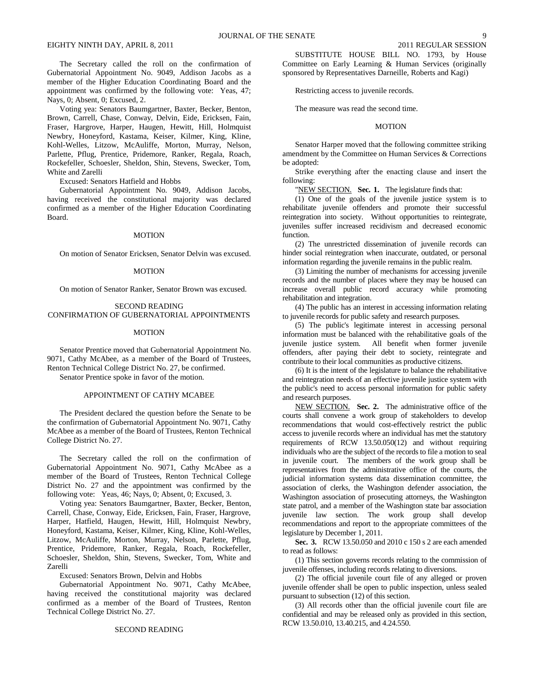The Secretary called the roll on the confirmation of Gubernatorial Appointment No. 9049, Addison Jacobs as a member of the Higher Education Coordinating Board and the appointment was confirmed by the following vote: Yeas, 47; Nays, 0; Absent, 0; Excused, 2.

Voting yea: Senators Baumgartner, Baxter, Becker, Benton, Brown, Carrell, Chase, Conway, Delvin, Eide, Ericksen, Fain, Fraser, Hargrove, Harper, Haugen, Hewitt, Hill, Holmquist Newbry, Honeyford, Kastama, Keiser, Kilmer, King, Kline, Kohl-Welles, Litzow, McAuliffe, Morton, Murray, Nelson, Parlette, Pflug, Prentice, Pridemore, Ranker, Regala, Roach, Rockefeller, Schoesler, Sheldon, Shin, Stevens, Swecker, Tom, White and Zarelli

Excused: Senators Hatfield and Hobbs

Gubernatorial Appointment No. 9049, Addison Jacobs, having received the constitutional majority was declared confirmed as a member of the Higher Education Coordinating Board.

## MOTION

On motion of Senator Ericksen, Senator Delvin was excused.

#### **MOTION**

On motion of Senator Ranker, Senator Brown was excused.

## SECOND READING CONFIRMATION OF GUBERNATORIAL APPOINTMENTS

## MOTION

Senator Prentice moved that Gubernatorial Appointment No. 9071, Cathy McAbee, as a member of the Board of Trustees, Renton Technical College District No. 27, be confirmed.

Senator Prentice spoke in favor of the motion.

#### APPOINTMENT OF CATHY MCABEE

The President declared the question before the Senate to be the confirmation of Gubernatorial Appointment No. 9071, Cathy McAbee as a member of the Board of Trustees, Renton Technical College District No. 27.

The Secretary called the roll on the confirmation of Gubernatorial Appointment No. 9071, Cathy McAbee as a member of the Board of Trustees, Renton Technical College District No. 27 and the appointment was confirmed by the following vote: Yeas, 46; Nays, 0; Absent, 0; Excused, 3.

Voting yea: Senators Baumgartner, Baxter, Becker, Benton, Carrell, Chase, Conway, Eide, Ericksen, Fain, Fraser, Hargrove, Harper, Hatfield, Haugen, Hewitt, Hill, Holmquist Newbry, Honeyford, Kastama, Keiser, Kilmer, King, Kline, Kohl-Welles, Litzow, McAuliffe, Morton, Murray, Nelson, Parlette, Pflug, Prentice, Pridemore, Ranker, Regala, Roach, Rockefeller, Schoesler, Sheldon, Shin, Stevens, Swecker, Tom, White and Zarelli

Excused: Senators Brown, Delvin and Hobbs

Gubernatorial Appointment No. 9071, Cathy McAbee, having received the constitutional majority was declared confirmed as a member of the Board of Trustees, Renton Technical College District No. 27.

SUBSTITUTE HOUSE BILL NO. 1793, by House Committee on Early Learning & Human Services (originally sponsored by Representatives Darneille, Roberts and Kagi)

Restricting access to juvenile records.

The measure was read the second time.

#### MOTION

Senator Harper moved that the following committee striking amendment by the Committee on Human Services & Corrections be adopted:

Strike everything after the enacting clause and insert the following:

"NEW SECTION. **Sec. 1.** The legislature finds that:

(1) One of the goals of the juvenile justice system is to rehabilitate juvenile offenders and promote their successful reintegration into society. Without opportunities to reintegrate, juveniles suffer increased recidivism and decreased economic function.

(2) The unrestricted dissemination of juvenile records can hinder social reintegration when inaccurate, outdated, or personal information regarding the juvenile remains in the public realm.

(3) Limiting the number of mechanisms for accessing juvenile records and the number of places where they may be housed can increase overall public record accuracy while promoting rehabilitation and integration.

(4) The public has an interest in accessing information relating to juvenile records for public safety and research purposes.

(5) The public's legitimate interest in accessing personal information must be balanced with the rehabilitative goals of the juvenile justice system. All benefit when former juvenile offenders, after paying their debt to society, reintegrate and contribute to their local communities as productive citizens.

(6) It is the intent of the legislature to balance the rehabilitative and reintegration needs of an effective juvenile justice system with the public's need to access personal information for public safety and research purposes.

NEW SECTION. **Sec. 2.** The administrative office of the courts shall convene a work group of stakeholders to develop recommendations that would cost-effectively restrict the public access to juvenile records where an individual has met the statutory requirements of RCW 13.50.050(12) and without requiring individuals who are the subject of the records to file a motion to seal in juvenile court. The members of the work group shall be representatives from the administrative office of the courts, the judicial information systems data dissemination committee, the association of clerks, the Washington defender association, the Washington association of prosecuting attorneys, the Washington state patrol, and a member of the Washington state bar association juvenile law section. The work group shall develop recommendations and report to the appropriate committees of the legislature by December 1, 2011.

**Sec. 3.** RCW 13.50.050 and 2010 c 150 s 2 are each amended to read as follows:

(1) This section governs records relating to the commission of juvenile offenses, including records relating to diversions.

(2) The official juvenile court file of any alleged or proven juvenile offender shall be open to public inspection, unless sealed pursuant to subsection (12) of this section.

(3) All records other than the official juvenile court file are confidential and may be released only as provided in this section, RCW 13.50.010, 13.40.215, and 4.24.550.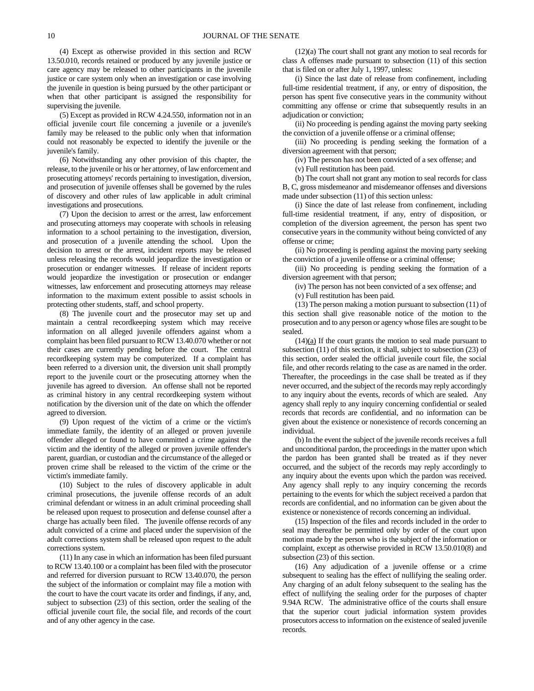(4) Except as otherwise provided in this section and RCW 13.50.010, records retained or produced by any juvenile justice or care agency may be released to other participants in the juvenile justice or care system only when an investigation or case involving the juvenile in question is being pursued by the other participant or when that other participant is assigned the responsibility for supervising the juvenile.

(5) Except as provided in RCW 4.24.550, information not in an official juvenile court file concerning a juvenile or a juvenile's family may be released to the public only when that information could not reasonably be expected to identify the juvenile or the juvenile's family.

(6) Notwithstanding any other provision of this chapter, the release, to the juvenile or his or her attorney, of law enforcement and prosecuting attorneys' records pertaining to investigation, diversion, and prosecution of juvenile offenses shall be governed by the rules of discovery and other rules of law applicable in adult criminal investigations and prosecutions.

(7) Upon the decision to arrest or the arrest, law enforcement and prosecuting attorneys may cooperate with schools in releasing information to a school pertaining to the investigation, diversion, and prosecution of a juvenile attending the school. Upon the decision to arrest or the arrest, incident reports may be released unless releasing the records would jeopardize the investigation or prosecution or endanger witnesses. If release of incident reports would jeopardize the investigation or prosecution or endanger witnesses, law enforcement and prosecuting attorneys may release information to the maximum extent possible to assist schools in protecting other students, staff, and school property.

(8) The juvenile court and the prosecutor may set up and maintain a central recordkeeping system which may receive information on all alleged juvenile offenders against whom a complaint has been filed pursuant to RCW 13.40.070 whether or not their cases are currently pending before the court. The central recordkeeping system may be computerized. If a complaint has been referred to a diversion unit, the diversion unit shall promptly report to the juvenile court or the prosecuting attorney when the juvenile has agreed to diversion. An offense shall not be reported as criminal history in any central recordkeeping system without notification by the diversion unit of the date on which the offender agreed to diversion.

(9) Upon request of the victim of a crime or the victim's immediate family, the identity of an alleged or proven juvenile offender alleged or found to have committed a crime against the victim and the identity of the alleged or proven juvenile offender's parent, guardian, or custodian and the circumstance of the alleged or proven crime shall be released to the victim of the crime or the victim's immediate family.

(10) Subject to the rules of discovery applicable in adult criminal prosecutions, the juvenile offense records of an adult criminal defendant or witness in an adult criminal proceeding shall be released upon request to prosecution and defense counsel after a charge has actually been filed. The juvenile offense records of any adult convicted of a crime and placed under the supervision of the adult corrections system shall be released upon request to the adult corrections system.

(11) In any case in which an information has been filed pursuant to RCW 13.40.100 or a complaint has been filed with the prosecutor and referred for diversion pursuant to RCW 13.40.070, the person the subject of the information or complaint may file a motion with the court to have the court vacate its order and findings, if any, and, subject to subsection (23) of this section, order the sealing of the official juvenile court file, the social file, and records of the court and of any other agency in the case.

(12)(a) The court shall not grant any motion to seal records for class A offenses made pursuant to subsection (11) of this section that is filed on or after July 1, 1997, unless:

(i) Since the last date of release from confinement, including full-time residential treatment, if any, or entry of disposition, the person has spent five consecutive years in the community without committing any offense or crime that subsequently results in an adjudication or conviction;

(ii) No proceeding is pending against the moving party seeking the conviction of a juvenile offense or a criminal offense;

(iii) No proceeding is pending seeking the formation of a diversion agreement with that person;

(iv) The person has not been convicted of a sex offense; and

(v) Full restitution has been paid.

(b) The court shall not grant any motion to seal records for class B, C, gross misdemeanor and misdemeanor offenses and diversions made under subsection (11) of this section unless:

(i) Since the date of last release from confinement, including full-time residential treatment, if any, entry of disposition, or completion of the diversion agreement, the person has spent two consecutive years in the community without being convicted of any offense or crime;

(ii) No proceeding is pending against the moving party seeking the conviction of a juvenile offense or a criminal offense;

(iii) No proceeding is pending seeking the formation of a diversion agreement with that person;

(iv) The person has not been convicted of a sex offense; and

(v) Full restitution has been paid.

(13) The person making a motion pursuant to subsection (11) of this section shall give reasonable notice of the motion to the prosecution and to any person or agency whose files are sought to be sealed.

 $(14)(a)$  If the court grants the motion to seal made pursuant to subsection (11) of this section, it shall, subject to subsection (23) of this section, order sealed the official juvenile court file, the social file, and other records relating to the case as are named in the order. Thereafter, the proceedings in the case shall be treated as if they never occurred, and the subject of the records may reply accordingly to any inquiry about the events, records of which are sealed. Any agency shall reply to any inquiry concerning confidential or sealed records that records are confidential, and no information can be given about the existence or nonexistence of records concerning an individual.

(b) In the event the subject of the juvenile records receives a full and unconditional pardon, the proceedings in the matter upon which the pardon has been granted shall be treated as if they never occurred, and the subject of the records may reply accordingly to any inquiry about the events upon which the pardon was received. Any agency shall reply to any inquiry concerning the records pertaining to the events for which the subject received a pardon that records are confidential, and no information can be given about the existence or nonexistence of records concerning an individual.

(15) Inspection of the files and records included in the order to seal may thereafter be permitted only by order of the court upon motion made by the person who is the subject of the information or complaint, except as otherwise provided in RCW 13.50.010(8) and subsection (23) of this section.

(16) Any adjudication of a juvenile offense or a crime subsequent to sealing has the effect of nullifying the sealing order. Any charging of an adult felony subsequent to the sealing has the effect of nullifying the sealing order for the purposes of chapter 9.94A RCW. The administrative office of the courts shall ensure that the superior court judicial information system provides prosecutors access to information on the existence of sealed juvenile records.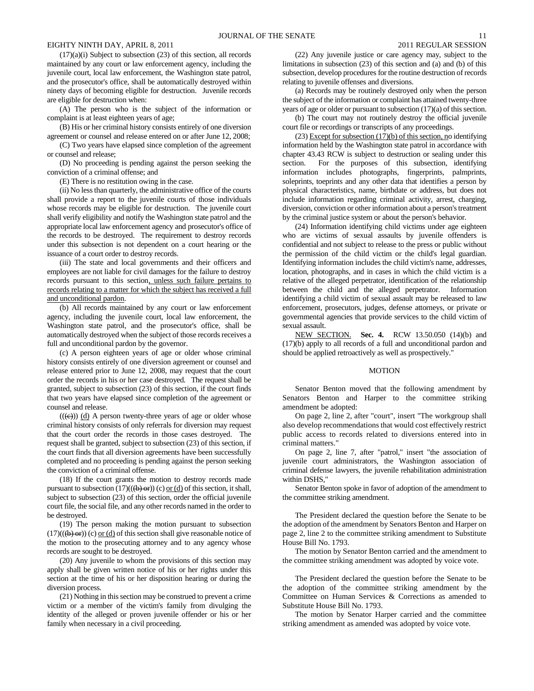$(17)(a)(i)$  Subject to subsection  $(23)$  of this section, all records maintained by any court or law enforcement agency, including the juvenile court, local law enforcement, the Washington state patrol, and the prosecutor's office, shall be automatically destroyed within ninety days of becoming eligible for destruction. Juvenile records are eligible for destruction when:

(A) The person who is the subject of the information or complaint is at least eighteen years of age;

(B) His or her criminal history consists entirely of one diversion agreement or counsel and release entered on or after June 12, 2008;

(C) Two years have elapsed since completion of the agreement or counsel and release;

(D) No proceeding is pending against the person seeking the conviction of a criminal offense; and

(E) There is no restitution owing in the case.

(ii) No less than quarterly, the administrative office of the courts shall provide a report to the juvenile courts of those individuals whose records may be eligible for destruction. The juvenile court shall verify eligibility and notify the Washington state patrol and the appropriate local law enforcement agency and prosecutor's office of the records to be destroyed. The requirement to destroy records under this subsection is not dependent on a court hearing or the issuance of a court order to destroy records.

(iii) The state and local governments and their officers and employees are not liable for civil damages for the failure to destroy records pursuant to this section, unless such failure pertains to records relating to a matter for which the subject has received a full and unconditional pardon.

(b) All records maintained by any court or law enforcement agency, including the juvenile court, local law enforcement, the Washington state patrol, and the prosecutor's office, shall be automatically destroyed when the subject of those records receives a full and unconditional pardon by the governor.

(c) A person eighteen years of age or older whose criminal history consists entirely of one diversion agreement or counsel and release entered prior to June 12, 2008, may request that the court order the records in his or her case destroyed. The request shall be granted, subject to subsection (23) of this section, if the court finds that two years have elapsed since completion of the agreement or counsel and release.

 $((\text{e}))$  (d) A person twenty-three years of age or older whose criminal history consists of only referrals for diversion may request that the court order the records in those cases destroyed. The request shall be granted, subject to subsection (23) of this section, if the court finds that all diversion agreements have been successfully completed and no proceeding is pending against the person seeking the conviction of a criminal offense.

(18) If the court grants the motion to destroy records made pursuant to subsection  $(17)((\text{6}) \text{ or } \text{6})$  or (d) of this section, it shall, subject to subsection (23) of this section, order the official juvenile court file, the social file, and any other records named in the order to be destroyed.

(19) The person making the motion pursuant to subsection  $(17)((\text{(b)} \text{ or } \text{c}) \text{ or } \text{d})$  of this section shall give reasonable notice of the motion to the prosecuting attorney and to any agency whose records are sought to be destroyed.

(20) Any juvenile to whom the provisions of this section may apply shall be given written notice of his or her rights under this section at the time of his or her disposition hearing or during the diversion process.

(21) Nothing in this section may be construed to prevent a crime victim or a member of the victim's family from divulging the identity of the alleged or proven juvenile offender or his or her family when necessary in a civil proceeding.

(22) Any juvenile justice or care agency may, subject to the limitations in subsection (23) of this section and (a) and (b) of this subsection, develop procedures for the routine destruction of records relating to juvenile offenses and diversions.

(a) Records may be routinely destroyed only when the person the subject of the information or complaint has attained twenty-three years of age or older or pursuant to subsection (17)(a) of this section.

(b) The court may not routinely destroy the official juvenile court file or recordings or transcripts of any proceedings.

(23) Except for subsection (17)(b) of this section, no identifying information held by the Washington state patrol in accordance with chapter 43.43 RCW is subject to destruction or sealing under this section. For the purposes of this subsection, identifying information includes photographs, fingerprints, palmprints, soleprints, toeprints and any other data that identifies a person by physical characteristics, name, birthdate or address, but does not include information regarding criminal activity, arrest, charging, diversion, conviction or other information about a person's treatment by the criminal justice system or about the person's behavior.

(24) Information identifying child victims under age eighteen who are victims of sexual assaults by juvenile offenders is confidential and not subject to release to the press or public without the permission of the child victim or the child's legal guardian. Identifying information includes the child victim's name, addresses, location, photographs, and in cases in which the child victim is a relative of the alleged perpetrator, identification of the relationship between the child and the alleged perpetrator. Information identifying a child victim of sexual assault may be released to law enforcement, prosecutors, judges, defense attorneys, or private or governmental agencies that provide services to the child victim of sexual assault.

NEW SECTION. **Sec. 4.** RCW 13.50.050 (14)(b) and (17)(b) apply to all records of a full and unconditional pardon and should be applied retroactively as well as prospectively."

#### MOTION

Senator Benton moved that the following amendment by Senators Benton and Harper to the committee striking amendment be adopted:

On page 2, line 2, after "court", insert "The workgroup shall also develop recommendations that would cost effectively restrict public access to records related to diversions entered into in criminal matters."

On page 2, line 7, after "patrol," insert "the association of juvenile court administrators, the Washington association of criminal defense lawyers, the juvenile rehabilitation administration within DSHS,"

Senator Benton spoke in favor of adoption of the amendment to the committee striking amendment.

The President declared the question before the Senate to be the adoption of the amendment by Senators Benton and Harper on page 2, line 2 to the committee striking amendment to Substitute House Bill No. 1793.

The motion by Senator Benton carried and the amendment to the committee striking amendment was adopted by voice vote.

The President declared the question before the Senate to be the adoption of the committee striking amendment by the Committee on Human Services & Corrections as amended to Substitute House Bill No. 1793.

The motion by Senator Harper carried and the committee striking amendment as amended was adopted by voice vote.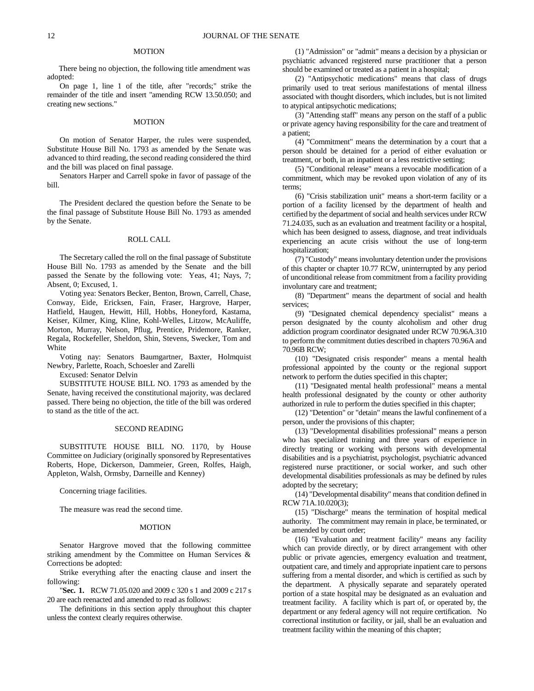### **MOTION**

There being no objection, the following title amendment was adopted:

On page 1, line 1 of the title, after "records;" strike the remainder of the title and insert "amending RCW 13.50.050; and creating new sections."

#### **MOTION**

On motion of Senator Harper, the rules were suspended, Substitute House Bill No. 1793 as amended by the Senate was advanced to third reading, the second reading considered the third and the bill was placed on final passage.

Senators Harper and Carrell spoke in favor of passage of the bill.

The President declared the question before the Senate to be the final passage of Substitute House Bill No. 1793 as amended by the Senate.

### ROLL CALL

The Secretary called the roll on the final passage of Substitute House Bill No. 1793 as amended by the Senate and the bill passed the Senate by the following vote: Yeas, 41; Nays, 7; Absent, 0; Excused, 1.

Voting yea: Senators Becker, Benton, Brown, Carrell, Chase, Conway, Eide, Ericksen, Fain, Fraser, Hargrove, Harper, Hatfield, Haugen, Hewitt, Hill, Hobbs, Honeyford, Kastama, Keiser, Kilmer, King, Kline, Kohl-Welles, Litzow, McAuliffe, Morton, Murray, Nelson, Pflug, Prentice, Pridemore, Ranker, Regala, Rockefeller, Sheldon, Shin, Stevens, Swecker, Tom and White

Voting nay: Senators Baumgartner, Baxter, Holmquist Newbry, Parlette, Roach, Schoesler and Zarelli

Excused: Senator Delvin

SUBSTITUTE HOUSE BILL NO. 1793 as amended by the Senate, having received the constitutional majority, was declared passed. There being no objection, the title of the bill was ordered to stand as the title of the act.

## SECOND READING

SUBSTITUTE HOUSE BILL NO. 1170, by House Committee on Judiciary (originally sponsored by Representatives Roberts, Hope, Dickerson, Dammeier, Green, Rolfes, Haigh, Appleton, Walsh, Ormsby, Darneille and Kenney)

Concerning triage facilities.

The measure was read the second time.

#### **MOTION**

Senator Hargrove moved that the following committee striking amendment by the Committee on Human Services & Corrections be adopted:

Strike everything after the enacting clause and insert the following:

"**Sec. 1.** RCW 71.05.020 and 2009 c 320 s 1 and 2009 c 217 s 20 are each reenacted and amended to read as follows:

The definitions in this section apply throughout this chapter unless the context clearly requires otherwise.

(1) "Admission" or "admit" means a decision by a physician or psychiatric advanced registered nurse practitioner that a person should be examined or treated as a patient in a hospital;

(2) "Antipsychotic medications" means that class of drugs primarily used to treat serious manifestations of mental illness associated with thought disorders, which includes, but is not limited to atypical antipsychotic medications;

(3) "Attending staff" means any person on the staff of a public or private agency having responsibility for the care and treatment of a patient;

(4) "Commitment" means the determination by a court that a person should be detained for a period of either evaluation or treatment, or both, in an inpatient or a less restrictive setting;

(5) "Conditional release" means a revocable modification of a commitment, which may be revoked upon violation of any of its terms;

(6) "Crisis stabilization unit" means a short-term facility or a portion of a facility licensed by the department of health and certified by the department of social and health services under RCW 71.24.035, such as an evaluation and treatment facility or a hospital, which has been designed to assess, diagnose, and treat individuals experiencing an acute crisis without the use of long-term hospitalization;

(7) "Custody" means involuntary detention under the provisions of this chapter or chapter 10.77 RCW, uninterrupted by any period of unconditional release from commitment from a facility providing involuntary care and treatment;

(8) "Department" means the department of social and health services;

(9) "Designated chemical dependency specialist" means a person designated by the county alcoholism and other drug addiction program coordinator designated under RCW 70.96A.310 to perform the commitment duties described in chapters 70.96A and 70.96B RCW;

(10) "Designated crisis responder" means a mental health professional appointed by the county or the regional support network to perform the duties specified in this chapter;

(11) "Designated mental health professional" means a mental health professional designated by the county or other authority authorized in rule to perform the duties specified in this chapter;

(12) "Detention" or "detain" means the lawful confinement of a person, under the provisions of this chapter;

(13) "Developmental disabilities professional" means a person who has specialized training and three years of experience in directly treating or working with persons with developmental disabilities and is a psychiatrist, psychologist, psychiatric advanced registered nurse practitioner, or social worker, and such other developmental disabilities professionals as may be defined by rules adopted by the secretary;

(14) "Developmental disability" means that condition defined in RCW 71A.10.020(3);

(15) "Discharge" means the termination of hospital medical authority. The commitment may remain in place, be terminated, or be amended by court order;

(16) "Evaluation and treatment facility" means any facility which can provide directly, or by direct arrangement with other public or private agencies, emergency evaluation and treatment, outpatient care, and timely and appropriate inpatient care to persons suffering from a mental disorder, and which is certified as such by the department. A physically separate and separately operated portion of a state hospital may be designated as an evaluation and treatment facility. A facility which is part of, or operated by, the department or any federal agency will not require certification. No correctional institution or facility, or jail, shall be an evaluation and treatment facility within the meaning of this chapter;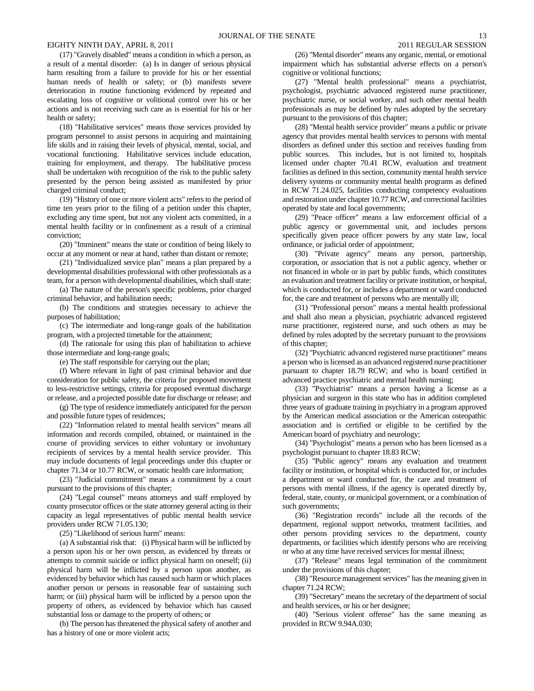(17) "Gravely disabled" means a condition in which a person, as a result of a mental disorder: (a) Is in danger of serious physical harm resulting from a failure to provide for his or her essential human needs of health or safety; or (b) manifests severe deterioration in routine functioning evidenced by repeated and escalating loss of cognitive or volitional control over his or her actions and is not receiving such care as is essential for his or her health or safety;

(18) "Habilitative services" means those services provided by program personnel to assist persons in acquiring and maintaining life skills and in raising their levels of physical, mental, social, and vocational functioning. Habilitative services include education, training for employment, and therapy. The habilitative process shall be undertaken with recognition of the risk to the public safety presented by the person being assisted as manifested by prior charged criminal conduct;

(19) "History of one or more violent acts" refers to the period of time ten years prior to the filing of a petition under this chapter, excluding any time spent, but not any violent acts committed, in a mental health facility or in confinement as a result of a criminal conviction;

(20) "Imminent" means the state or condition of being likely to occur at any moment or near at hand, rather than distant or remote;

(21) "Individualized service plan" means a plan prepared by a developmental disabilities professional with other professionals as a team, for a person with developmental disabilities, which shall state:

(a) The nature of the person's specific problems, prior charged criminal behavior, and habilitation needs;

(b) The conditions and strategies necessary to achieve the purposes of habilitation;

(c) The intermediate and long-range goals of the habilitation program, with a projected timetable for the attainment;

(d) The rationale for using this plan of habilitation to achieve those intermediate and long-range goals;

(e) The staff responsible for carrying out the plan;

(f) Where relevant in light of past criminal behavior and due consideration for public safety, the criteria for proposed movement to less-restrictive settings, criteria for proposed eventual discharge or release, and a projected possible date for discharge or release; and

(g) The type of residence immediately anticipated for the person and possible future types of residences;

(22) "Information related to mental health services" means all information and records compiled, obtained, or maintained in the course of providing services to either voluntary or involuntary recipients of services by a mental health service provider. This may include documents of legal proceedings under this chapter or chapter 71.34 or 10.77 RCW, or somatic health care information;

(23) "Judicial commitment" means a commitment by a court pursuant to the provisions of this chapter;

(24) "Legal counsel" means attorneys and staff employed by county prosecutor offices or the state attorney general acting in their capacity as legal representatives of public mental health service providers under RCW 71.05.130;

(25) "Likelihood of serious harm" means:

(a) A substantial risk that: (i) Physical harm will be inflicted by a person upon his or her own person, as evidenced by threats or attempts to commit suicide or inflict physical harm on oneself; (ii) physical harm will be inflicted by a person upon another, as evidenced by behavior which has caused such harm or which places another person or persons in reasonable fear of sustaining such harm; or (iii) physical harm will be inflicted by a person upon the property of others, as evidenced by behavior which has caused substantial loss or damage to the property of others; or

(b) The person has threatened the physical safety of another and has a history of one or more violent acts;

(26) "Mental disorder" means any organic, mental, or emotional impairment which has substantial adverse effects on a person's cognitive or volitional functions;

(27) "Mental health professional" means a psychiatrist, psychologist, psychiatric advanced registered nurse practitioner, psychiatric nurse, or social worker, and such other mental health professionals as may be defined by rules adopted by the secretary pursuant to the provisions of this chapter;

(28) "Mental health service provider" means a public or private agency that provides mental health services to persons with mental disorders as defined under this section and receives funding from public sources. This includes, but is not limited to, hospitals licensed under chapter 70.41 RCW, evaluation and treatment facilities as defined in this section, community mental health service delivery systems or community mental health programs as defined in RCW 71.24.025, facilities conducting competency evaluations and restoration under chapter 10.77 RCW, and correctional facilities operated by state and local governments;

(29) "Peace officer" means a law enforcement official of a public agency or governmental unit, and includes persons specifically given peace officer powers by any state law, local ordinance, or judicial order of appointment;

(30) "Private agency" means any person, partnership, corporation, or association that is not a public agency, whether or not financed in whole or in part by public funds, which constitutes an evaluation and treatment facility or private institution, or hospital, which is conducted for, or includes a department or ward conducted for, the care and treatment of persons who are mentally ill;

(31) "Professional person" means a mental health professional and shall also mean a physician, psychiatric advanced registered nurse practitioner, registered nurse, and such others as may be defined by rules adopted by the secretary pursuant to the provisions of this chapter;

(32) "Psychiatric advanced registered nurse practitioner" means a person who is licensed as an advanced registered nurse practitioner pursuant to chapter 18.79 RCW; and who is board certified in advanced practice psychiatric and mental health nursing;

(33) "Psychiatrist" means a person having a license as a physician and surgeon in this state who has in addition completed three years of graduate training in psychiatry in a program approved by the American medical association or the American osteopathic association and is certified or eligible to be certified by the American board of psychiatry and neurology;

(34) "Psychologist" means a person who has been licensed as a psychologist pursuant to chapter 18.83 RCW;

(35) "Public agency" means any evaluation and treatment facility or institution, or hospital which is conducted for, or includes a department or ward conducted for, the care and treatment of persons with mental illness, if the agency is operated directly by, federal, state, county, or municipal government, or a combination of such governments;

(36) "Registration records" include all the records of the department, regional support networks, treatment facilities, and other persons providing services to the department, county departments, or facilities which identify persons who are receiving or who at any time have received services for mental illness;

(37) "Release" means legal termination of the commitment under the provisions of this chapter;

(38) "Resource management services" has the meaning given in chapter 71.24 RCW;

(39) "Secretary" means the secretary of the department of social and health services, or his or her designee;

(40) "Serious violent offense" has the same meaning as provided in RCW 9.94A.030;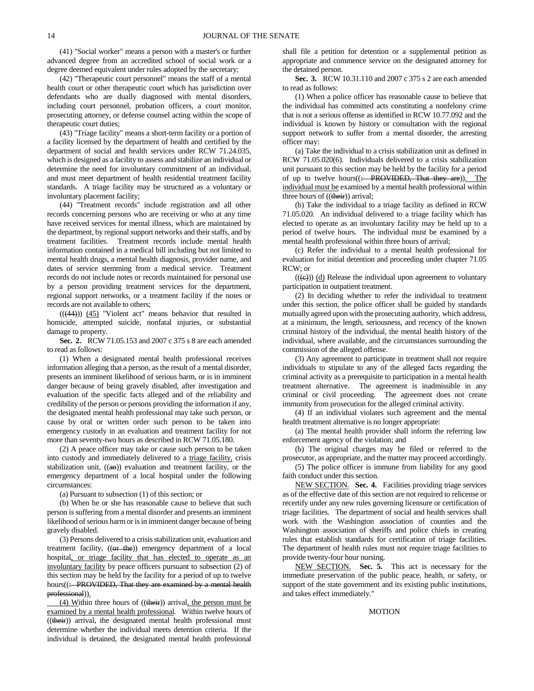(41) "Social worker" means a person with a master's or further advanced degree from an accredited school of social work or a degree deemed equivalent under rules adopted by the secretary;

(42) "Therapeutic court personnel" means the staff of a mental health court or other therapeutic court which has jurisdiction over defendants who are dually diagnosed with mental disorders, including court personnel, probation officers, a court monitor, prosecuting attorney, or defense counsel acting within the scope of therapeutic court duties;

(43) "Triage facility" means a short-term facility or a portion of a facility licensed by the department of health and certified by the department of social and health services under RCW 71.24.035, which is designed as a facility to assess and stabilize an individual or determine the need for involuntary commitment of an individual, and must meet department of health residential treatment facility standards. A triage facility may be structured as a voluntary or involuntary placement facility;

(44) "Treatment records" include registration and all other records concerning persons who are receiving or who at any time have received services for mental illness, which are maintained by the department, by regional support networks and their staffs, and by treatment facilities. Treatment records include mental health information contained in a medical bill including but not limited to mental health drugs, a mental health diagnosis, provider name, and dates of service stemming from a medical service. Treatment records do not include notes or records maintained for personal use by a person providing treatment services for the department, regional support networks, or a treatment facility if the notes or records are not available to others;

 $(((44))$   $(45)$  "Violent act" means behavior that resulted in homicide, attempted suicide, nonfatal injuries, or substantial damage to property.

**Sec. 2.** RCW 71.05.153 and 2007 c 375 s 8 are each amended to read as follows:

(1) When a designated mental health professional receives information alleging that a person, as the result of a mental disorder, presents an imminent likelihood of serious harm, or is in imminent danger because of being gravely disabled, after investigation and evaluation of the specific facts alleged and of the reliability and credibility of the person or persons providing the information if any, the designated mental health professional may take such person, or cause by oral or written order such person to be taken into emergency custody in an evaluation and treatment facility for not more than seventy-two hours as described in RCW 71.05.180.

(2) A peace officer may take or cause such person to be taken into custody and immediately delivered to a triage facility, crisis stabilization unit, ((an)) evaluation and treatment facility, or the emergency department of a local hospital under the following circumstances:

(a) Pursuant to subsection (1) of this section; or

(b) When he or she has reasonable cause to believe that such person is suffering from a mental disorder and presents an imminent likelihood of serious harm or is in imminent danger because of being gravely disabled.

(3) Persons delivered to a crisis stabilization unit, evaluation and treatment facility, ((or the)) emergency department of a local hospital, or triage facility that has elected to operate as an involuntary facility by peace officers pursuant to subsection (2) of this section may be held by the facility for a period of up to twelve hours((: PROVIDED, That they are examined by a mental health professional)).

(4) Within three hours of ((their)) arrival, the person must be examined by a mental health professional. Within twelve hours of  $((**their**))$  arrival, the designated mental health professional must determine whether the individual meets detention criteria. If the individual is detained, the designated mental health professional shall file a petition for detention or a supplemental petition as appropriate and commence service on the designated attorney for the detained person.

**Sec. 3.** RCW 10.31.110 and 2007 c 375 s 2 are each amended to read as follows:

(1) When a police officer has reasonable cause to believe that the individual has committed acts constituting a nonfelony crime that is not a serious offense as identified in RCW 10.77.092 and the individual is known by history or consultation with the regional support network to suffer from a mental disorder, the arresting officer may:

(a) Take the individual to a crisis stabilization unit as defined in RCW 71.05.020(6). Individuals delivered to a crisis stabilization unit pursuant to this section may be held by the facility for a period of up to twelve hours((: PROVIDED, That they are)). The individual must be examined by a mental health professional within three hours of ((their)) arrival;

(b) Take the individual to a triage facility as defined in RCW 71.05.020. An individual delivered to a triage facility which has elected to operate as an involuntary facility may be held up to a period of twelve hours. The individual must be examined by a mental health professional within three hours of arrival;

(c) Refer the individual to a mental health professional for evaluation for initial detention and proceeding under chapter 71.05 RCW; or

 $(( (e)) )$  (d) Release the individual upon agreement to voluntary participation in outpatient treatment.

(2) In deciding whether to refer the individual to treatment under this section, the police officer shall be guided by standards mutually agreed upon with the prosecuting authority, which address, at a minimum, the length, seriousness, and recency of the known criminal history of the individual, the mental health history of the individual, where available, and the circumstances surrounding the commission of the alleged offense.

(3) Any agreement to participate in treatment shall not require individuals to stipulate to any of the alleged facts regarding the criminal activity as a prerequisite to participation in a mental health treatment alternative. The agreement is inadmissible in any criminal or civil proceeding. The agreement does not create immunity from prosecution for the alleged criminal activity.

(4) If an individual violates such agreement and the mental health treatment alternative is no longer appropriate:

(a) The mental health provider shall inform the referring law enforcement agency of the violation; and

(b) The original charges may be filed or referred to the prosecutor, as appropriate, and the matter may proceed accordingly.

(5) The police officer is immune from liability for any good faith conduct under this section.

NEW SECTION. **Sec. 4.** Facilities providing triage services as of the effective date of this section are not required to relicense or recertify under any new rules governing licensure or certification of triage facilities. The department of social and health services shall work with the Washington association of counties and the Washington association of sheriffs and police chiefs in creating rules that establish standards for certification of triage facilities. The department of health rules must not require triage facilities to provide twenty-four hour nursing.

NEW SECTION. **Sec. 5.** This act is necessary for the immediate preservation of the public peace, health, or safety, or support of the state government and its existing public institutions, and takes effect immediately."

## MOTION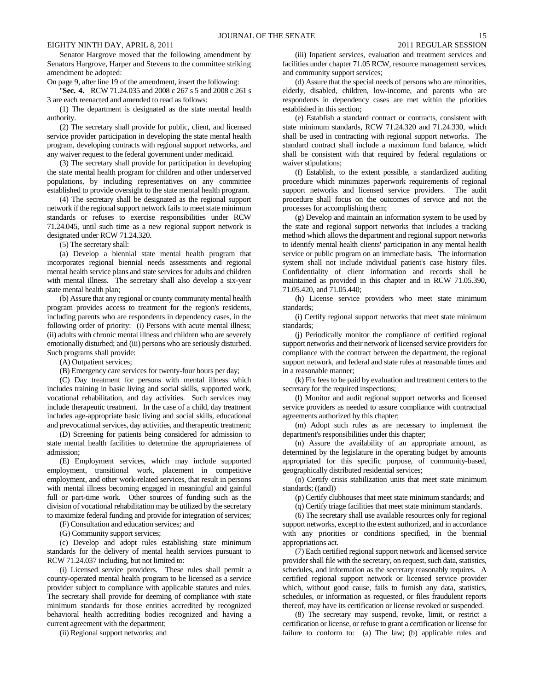Senator Hargrove moved that the following amendment by Senators Hargrove, Harper and Stevens to the committee striking amendment be adopted:

On page 9, after line 19 of the amendment, insert the following:

"**Sec. 4.** RCW 71.24.035 and 2008 c 267 s 5 and 2008 c 261 s 3 are each reenacted and amended to read as follows:

(1) The department is designated as the state mental health authority.

(2) The secretary shall provide for public, client, and licensed service provider participation in developing the state mental health program, developing contracts with regional support networks, and any waiver request to the federal government under medicaid.

(3) The secretary shall provide for participation in developing the state mental health program for children and other underserved populations, by including representatives on any committee established to provide oversight to the state mental health program.

(4) The secretary shall be designated as the regional support network if the regional support network fails to meet state minimum standards or refuses to exercise responsibilities under RCW 71.24.045, until such time as a new regional support network is designated under RCW 71.24.320.

(5) The secretary shall:

(a) Develop a biennial state mental health program that incorporates regional biennial needs assessments and regional mental health service plans and state services for adults and children with mental illness. The secretary shall also develop a six-year state mental health plan;

(b) Assure that any regional or county community mental health program provides access to treatment for the region's residents, including parents who are respondents in dependency cases, in the following order of priority: (i) Persons with acute mental illness; (ii) adults with chronic mental illness and children who are severely emotionally disturbed; and (iii) persons who are seriously disturbed. Such programs shall provide:

(A) Outpatient services;

(B) Emergency care services for twenty-four hours per day;

(C) Day treatment for persons with mental illness which includes training in basic living and social skills, supported work, vocational rehabilitation, and day activities. Such services may include therapeutic treatment. In the case of a child, day treatment includes age-appropriate basic living and social skills, educational and prevocational services, day activities, and therapeutic treatment;

(D) Screening for patients being considered for admission to state mental health facilities to determine the appropriateness of admission;

(E) Employment services, which may include supported employment, transitional work, placement in competitive employment, and other work-related services, that result in persons with mental illness becoming engaged in meaningful and gainful full or part-time work. Other sources of funding such as the division of vocational rehabilitation may be utilized by the secretary to maximize federal funding and provide for integration of services;

(F) Consultation and education services; and

(G) Community support services;

(c) Develop and adopt rules establishing state minimum standards for the delivery of mental health services pursuant to RCW 71.24.037 including, but not limited to:

(i) Licensed service providers. These rules shall permit a county-operated mental health program to be licensed as a service provider subject to compliance with applicable statutes and rules. The secretary shall provide for deeming of compliance with state minimum standards for those entities accredited by recognized behavioral health accrediting bodies recognized and having a current agreement with the department;

(ii) Regional support networks; and

(iii) Inpatient services, evaluation and treatment services and facilities under chapter 71.05 RCW, resource management services, and community support services;

(d) Assure that the special needs of persons who are minorities, elderly, disabled, children, low-income, and parents who are respondents in dependency cases are met within the priorities established in this section;

(e) Establish a standard contract or contracts, consistent with state minimum standards, RCW 71.24.320 and 71.24.330, which shall be used in contracting with regional support networks. The standard contract shall include a maximum fund balance, which shall be consistent with that required by federal regulations or waiver stipulations;

(f) Establish, to the extent possible, a standardized auditing procedure which minimizes paperwork requirements of regional support networks and licensed service providers. The audit procedure shall focus on the outcomes of service and not the processes for accomplishing them;

(g) Develop and maintain an information system to be used by the state and regional support networks that includes a tracking method which allows the department and regional support networks to identify mental health clients' participation in any mental health service or public program on an immediate basis. The information system shall not include individual patient's case history files. Confidentiality of client information and records shall be maintained as provided in this chapter and in RCW 71.05.390, 71.05.420, and 71.05.440;

(h) License service providers who meet state minimum standards;

(i) Certify regional support networks that meet state minimum standards;

(j) Periodically monitor the compliance of certified regional support networks and their network of licensed service providers for compliance with the contract between the department, the regional support network, and federal and state rules at reasonable times and in a reasonable manner;

(k) Fix fees to be paid by evaluation and treatment centers to the secretary for the required inspections;

(l) Monitor and audit regional support networks and licensed service providers as needed to assure compliance with contractual agreements authorized by this chapter;

(m) Adopt such rules as are necessary to implement the department's responsibilities under this chapter;

(n) Assure the availability of an appropriate amount, as determined by the legislature in the operating budget by amounts appropriated for this specific purpose, of community-based, geographically distributed residential services;

(o) Certify crisis stabilization units that meet state minimum standards; ((and))

(p) Certify clubhouses that meet state minimum standards; and

(q) Certify triage facilities that meet state minimum standards.

(6) The secretary shall use available resources only for regional support networks, except to the extent authorized, and in accordance with any priorities or conditions specified, in the biennial appropriations act.

(7) Each certified regional support network and licensed service provider shall file with the secretary, on request, such data, statistics, schedules, and information as the secretary reasonably requires. A certified regional support network or licensed service provider which, without good cause, fails to furnish any data, statistics, schedules, or information as requested, or files fraudulent reports thereof, may have its certification or license revoked or suspended.

(8) The secretary may suspend, revoke, limit, or restrict a certification or license, or refuse to grant a certification or license for failure to conform to: (a) The law; (b) applicable rules and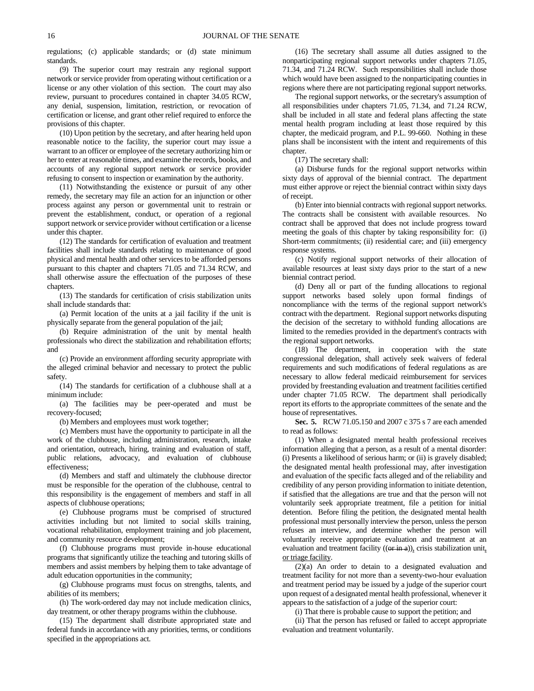regulations; (c) applicable standards; or (d) state minimum standards.

(9) The superior court may restrain any regional support network or service provider from operating without certification or a license or any other violation of this section. The court may also review, pursuant to procedures contained in chapter 34.05 RCW, any denial, suspension, limitation, restriction, or revocation of certification or license, and grant other relief required to enforce the provisions of this chapter.

(10) Upon petition by the secretary, and after hearing held upon reasonable notice to the facility, the superior court may issue a warrant to an officer or employee of the secretary authorizing him or her to enter at reasonable times, and examine the records, books, and accounts of any regional support network or service provider refusing to consent to inspection or examination by the authority.

(11) Notwithstanding the existence or pursuit of any other remedy, the secretary may file an action for an injunction or other process against any person or governmental unit to restrain or prevent the establishment, conduct, or operation of a regional support network or service provider without certification or a license under this chapter.

(12) The standards for certification of evaluation and treatment facilities shall include standards relating to maintenance of good physical and mental health and other services to be afforded persons pursuant to this chapter and chapters 71.05 and 71.34 RCW, and shall otherwise assure the effectuation of the purposes of these chapters.

(13) The standards for certification of crisis stabilization units shall include standards that:

(a) Permit location of the units at a jail facility if the unit is physically separate from the general population of the jail;

(b) Require administration of the unit by mental health professionals who direct the stabilization and rehabilitation efforts; and

(c) Provide an environment affording security appropriate with the alleged criminal behavior and necessary to protect the public safety.

(14) The standards for certification of a clubhouse shall at a minimum include:

(a) The facilities may be peer-operated and must be recovery-focused;

(b) Members and employees must work together;

(c) Members must have the opportunity to participate in all the work of the clubhouse, including administration, research, intake and orientation, outreach, hiring, training and evaluation of staff, public relations, advocacy, and evaluation of clubhouse effectiveness;

(d) Members and staff and ultimately the clubhouse director must be responsible for the operation of the clubhouse, central to this responsibility is the engagement of members and staff in all aspects of clubhouse operations;

(e) Clubhouse programs must be comprised of structured activities including but not limited to social skills training, vocational rehabilitation, employment training and job placement, and community resource development;

(f) Clubhouse programs must provide in-house educational programs that significantly utilize the teaching and tutoring skills of members and assist members by helping them to take advantage of adult education opportunities in the community;

(g) Clubhouse programs must focus on strengths, talents, and abilities of its members;

(h) The work-ordered day may not include medication clinics, day treatment, or other therapy programs within the clubhouse.

(15) The department shall distribute appropriated state and federal funds in accordance with any priorities, terms, or conditions specified in the appropriations act.

(16) The secretary shall assume all duties assigned to the nonparticipating regional support networks under chapters 71.05, 71.34, and 71.24 RCW. Such responsibilities shall include those which would have been assigned to the nonparticipating counties in regions where there are not participating regional support networks.

The regional support networks, or the secretary's assumption of all responsibilities under chapters 71.05, 71.34, and 71.24 RCW, shall be included in all state and federal plans affecting the state mental health program including at least those required by this chapter, the medicaid program, and P.L. 99-660. Nothing in these plans shall be inconsistent with the intent and requirements of this chapter.

(17) The secretary shall:

(a) Disburse funds for the regional support networks within sixty days of approval of the biennial contract. The department must either approve or reject the biennial contract within sixty days of receipt.

(b) Enter into biennial contracts with regional support networks. The contracts shall be consistent with available resources. No contract shall be approved that does not include progress toward meeting the goals of this chapter by taking responsibility for: (i) Short-term commitments; (ii) residential care; and (iii) emergency response systems.

(c) Notify regional support networks of their allocation of available resources at least sixty days prior to the start of a new biennial contract period.

(d) Deny all or part of the funding allocations to regional support networks based solely upon formal findings of noncompliance with the terms of the regional support network's contract with the department. Regional support networks disputing the decision of the secretary to withhold funding allocations are limited to the remedies provided in the department's contracts with the regional support networks.

(18) The department, in cooperation with the state congressional delegation, shall actively seek waivers of federal requirements and such modifications of federal regulations as are necessary to allow federal medicaid reimbursement for services provided by freestanding evaluation and treatment facilities certified under chapter 71.05 RCW. The department shall periodically report its efforts to the appropriate committees of the senate and the house of representatives.

**Sec. 5.** RCW 71.05.150 and 2007 c 375 s 7 are each amended to read as follows:

(1) When a designated mental health professional receives information alleging that a person, as a result of a mental disorder: (i) Presents a likelihood of serious harm; or (ii) is gravely disabled; the designated mental health professional may, after investigation and evaluation of the specific facts alleged and of the reliability and credibility of any person providing information to initiate detention, if satisfied that the allegations are true and that the person will not voluntarily seek appropriate treatment, file a petition for initial detention. Before filing the petition, the designated mental health professional must personally interview the person, unless the person refuses an interview, and determine whether the person will voluntarily receive appropriate evaluation and treatment at an evaluation and treatment facility  $((\theta \vec{r} \cdot \hat{n} \vec{a}))$ , crisis stabilization unit, or triage facility.

(2)(a) An order to detain to a designated evaluation and treatment facility for not more than a seventy-two-hour evaluation and treatment period may be issued by a judge of the superior court upon request of a designated mental health professional, whenever it appears to the satisfaction of a judge of the superior court:

(i) That there is probable cause to support the petition; and

(ii) That the person has refused or failed to accept appropriate evaluation and treatment voluntarily.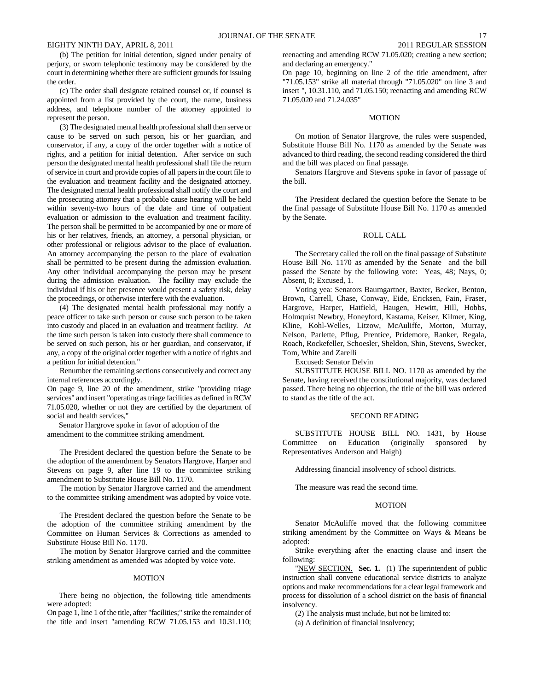(b) The petition for initial detention, signed under penalty of perjury, or sworn telephonic testimony may be considered by the court in determining whether there are sufficient grounds for issuing the order.

(c) The order shall designate retained counsel or, if counsel is appointed from a list provided by the court, the name, business address, and telephone number of the attorney appointed to represent the person.

(3) The designated mental health professional shall then serve or cause to be served on such person, his or her guardian, and conservator, if any, a copy of the order together with a notice of rights, and a petition for initial detention. After service on such person the designated mental health professional shall file the return of service in court and provide copies of all papers in the court file to the evaluation and treatment facility and the designated attorney. The designated mental health professional shall notify the court and the prosecuting attorney that a probable cause hearing will be held within seventy-two hours of the date and time of outpatient evaluation or admission to the evaluation and treatment facility. The person shall be permitted to be accompanied by one or more of his or her relatives, friends, an attorney, a personal physician, or other professional or religious advisor to the place of evaluation. An attorney accompanying the person to the place of evaluation shall be permitted to be present during the admission evaluation. Any other individual accompanying the person may be present during the admission evaluation. The facility may exclude the individual if his or her presence would present a safety risk, delay the proceedings, or otherwise interfere with the evaluation.

(4) The designated mental health professional may notify a peace officer to take such person or cause such person to be taken into custody and placed in an evaluation and treatment facility. At the time such person is taken into custody there shall commence to be served on such person, his or her guardian, and conservator, if any, a copy of the original order together with a notice of rights and a petition for initial detention."

Renumber the remaining sections consecutively and correct any internal references accordingly.

On page 9, line 20 of the amendment, strike "providing triage services" and insert "operating as triage facilities as defined in RCW 71.05.020, whether or not they are certified by the department of social and health services,"

Senator Hargrove spoke in favor of adoption of the amendment to the committee striking amendment.

The President declared the question before the Senate to be the adoption of the amendment by Senators Hargrove, Harper and Stevens on page 9, after line 19 to the committee striking amendment to Substitute House Bill No. 1170.

The motion by Senator Hargrove carried and the amendment to the committee striking amendment was adopted by voice vote.

The President declared the question before the Senate to be the adoption of the committee striking amendment by the Committee on Human Services & Corrections as amended to Substitute House Bill No. 1170.

The motion by Senator Hargrove carried and the committee striking amendment as amended was adopted by voice vote.

#### MOTION

There being no objection, the following title amendments were adopted:

On page 1, line 1 of the title, after "facilities;" strike the remainder of the title and insert "amending RCW 71.05.153 and 10.31.110; reenacting and amending RCW 71.05.020; creating a new section; and declaring an emergency."

On page 10, beginning on line 2 of the title amendment, after "71.05.153" strike all material through "71.05.020" on line 3 and insert ", 10.31.110, and 71.05.150; reenacting and amending RCW 71.05.020 and 71.24.035"

## **MOTION**

On motion of Senator Hargrove, the rules were suspended, Substitute House Bill No. 1170 as amended by the Senate was advanced to third reading, the second reading considered the third and the bill was placed on final passage.

Senators Hargrove and Stevens spoke in favor of passage of the bill.

The President declared the question before the Senate to be the final passage of Substitute House Bill No. 1170 as amended by the Senate.

## ROLL CALL

The Secretary called the roll on the final passage of Substitute House Bill No. 1170 as amended by the Senate and the bill passed the Senate by the following vote: Yeas, 48; Nays, 0; Absent, 0; Excused, 1.

Voting yea: Senators Baumgartner, Baxter, Becker, Benton, Brown, Carrell, Chase, Conway, Eide, Ericksen, Fain, Fraser, Hargrove, Harper, Hatfield, Haugen, Hewitt, Hill, Hobbs, Holmquist Newbry, Honeyford, Kastama, Keiser, Kilmer, King, Kline, Kohl-Welles, Litzow, McAuliffe, Morton, Murray, Nelson, Parlette, Pflug, Prentice, Pridemore, Ranker, Regala, Roach, Rockefeller, Schoesler, Sheldon, Shin, Stevens, Swecker, Tom, White and Zarelli

Excused: Senator Delvin

SUBSTITUTE HOUSE BILL NO. 1170 as amended by the Senate, having received the constitutional majority, was declared passed. There being no objection, the title of the bill was ordered to stand as the title of the act.

## SECOND READING

SUBSTITUTE HOUSE BILL NO. 1431, by House Committee on Education (originally sponsored by Representatives Anderson and Haigh)

Addressing financial insolvency of school districts.

The measure was read the second time.

## MOTION

Senator McAuliffe moved that the following committee striking amendment by the Committee on Ways & Means be adopted:

Strike everything after the enacting clause and insert the following:

"NEW SECTION. **Sec. 1.** (1) The superintendent of public instruction shall convene educational service districts to analyze options and make recommendations for a clear legal framework and process for dissolution of a school district on the basis of financial insolvency.

(2) The analysis must include, but not be limited to:

(a) A definition of financial insolvency;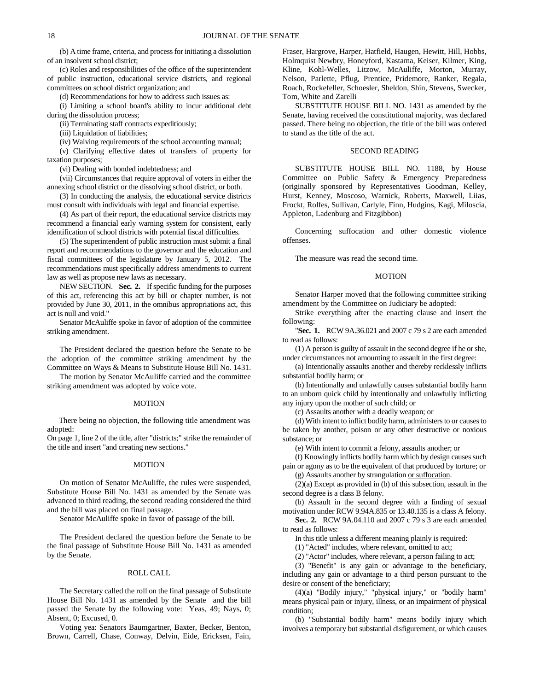(b) A time frame, criteria, and process for initiating a dissolution of an insolvent school district;

(c) Roles and responsibilities of the office of the superintendent of public instruction, educational service districts, and regional committees on school district organization; and

(d) Recommendations for how to address such issues as:

(i) Limiting a school board's ability to incur additional debt during the dissolution process;

(ii) Terminating staff contracts expeditiously;

(iii) Liquidation of liabilities;

(iv) Waiving requirements of the school accounting manual;

(v) Clarifying effective dates of transfers of property for taxation purposes;

(vi) Dealing with bonded indebtedness; and

(vii) Circumstances that require approval of voters in either the annexing school district or the dissolving school district, or both.

(3) In conducting the analysis, the educational service districts must consult with individuals with legal and financial expertise.

(4) As part of their report, the educational service districts may recommend a financial early warning system for consistent, early identification of school districts with potential fiscal difficulties.

(5) The superintendent of public instruction must submit a final report and recommendations to the governor and the education and fiscal committees of the legislature by January 5, 2012. The recommendations must specifically address amendments to current law as well as propose new laws as necessary.

NEW SECTION. **Sec. 2.** If specific funding for the purposes of this act, referencing this act by bill or chapter number, is not provided by June 30, 2011, in the omnibus appropriations act, this act is null and void."

Senator McAuliffe spoke in favor of adoption of the committee striking amendment.

The President declared the question before the Senate to be the adoption of the committee striking amendment by the Committee on Ways & Means to Substitute House Bill No. 1431.

The motion by Senator McAuliffe carried and the committee striking amendment was adopted by voice vote.

## MOTION

There being no objection, the following title amendment was adopted:

On page 1, line 2 of the title, after "districts;" strike the remainder of the title and insert "and creating new sections."

#### MOTION

On motion of Senator McAuliffe, the rules were suspended, Substitute House Bill No. 1431 as amended by the Senate was advanced to third reading, the second reading considered the third and the bill was placed on final passage.

Senator McAuliffe spoke in favor of passage of the bill.

The President declared the question before the Senate to be the final passage of Substitute House Bill No. 1431 as amended by the Senate.

#### ROLL CALL

The Secretary called the roll on the final passage of Substitute House Bill No. 1431 as amended by the Senate and the bill passed the Senate by the following vote: Yeas, 49; Nays, 0; Absent, 0; Excused, 0.

Voting yea: Senators Baumgartner, Baxter, Becker, Benton, Brown, Carrell, Chase, Conway, Delvin, Eide, Ericksen, Fain,

Fraser, Hargrove, Harper, Hatfield, Haugen, Hewitt, Hill, Hobbs, Holmquist Newbry, Honeyford, Kastama, Keiser, Kilmer, King, Kline, Kohl-Welles, Litzow, McAuliffe, Morton, Murray, Nelson, Parlette, Pflug, Prentice, Pridemore, Ranker, Regala, Roach, Rockefeller, Schoesler, Sheldon, Shin, Stevens, Swecker, Tom, White and Zarelli

SUBSTITUTE HOUSE BILL NO. 1431 as amended by the Senate, having received the constitutional majority, was declared passed. There being no objection, the title of the bill was ordered to stand as the title of the act.

#### SECOND READING

SUBSTITUTE HOUSE BILL NO. 1188, by House Committee on Public Safety & Emergency Preparedness (originally sponsored by Representatives Goodman, Kelley, Hurst, Kenney, Moscoso, Warnick, Roberts, Maxwell, Liias, Frockt, Rolfes, Sullivan, Carlyle, Finn, Hudgins, Kagi, Miloscia, Appleton, Ladenburg and Fitzgibbon)

Concerning suffocation and other domestic violence offenses.

The measure was read the second time.

#### MOTION

Senator Harper moved that the following committee striking amendment by the Committee on Judiciary be adopted:

Strike everything after the enacting clause and insert the following:

"**Sec. 1.** RCW 9A.36.021 and 2007 c 79 s 2 are each amended to read as follows:

(1) A person is guilty of assault in the second degree if he or she, under circumstances not amounting to assault in the first degree:

(a) Intentionally assaults another and thereby recklessly inflicts substantial bodily harm; or

(b) Intentionally and unlawfully causes substantial bodily harm to an unborn quick child by intentionally and unlawfully inflicting any injury upon the mother of such child; or

(c) Assaults another with a deadly weapon; or

(d) With intent to inflict bodily harm, administers to or causes to be taken by another, poison or any other destructive or noxious substance; or

(e) With intent to commit a felony, assaults another; or

(f) Knowingly inflicts bodily harm which by design causes such pain or agony as to be the equivalent of that produced by torture; or

(g) Assaults another by strangulation or suffocation.

(2)(a) Except as provided in (b) of this subsection, assault in the second degree is a class B felony.

(b) Assault in the second degree with a finding of sexual motivation under RCW 9.94A.835 or 13.40.135 is a class A felony.

**Sec. 2.** RCW 9A.04.110 and 2007 c 79 s 3 are each amended to read as follows:

In this title unless a different meaning plainly is required:

(1) "Acted" includes, where relevant, omitted to act;

(2) "Actor" includes, where relevant, a person failing to act;

(3) "Benefit" is any gain or advantage to the beneficiary, including any gain or advantage to a third person pursuant to the desire or consent of the beneficiary;

(4)(a) "Bodily injury," "physical injury," or "bodily harm" means physical pain or injury, illness, or an impairment of physical condition;

(b) "Substantial bodily harm" means bodily injury which involves a temporary but substantial disfigurement, or which causes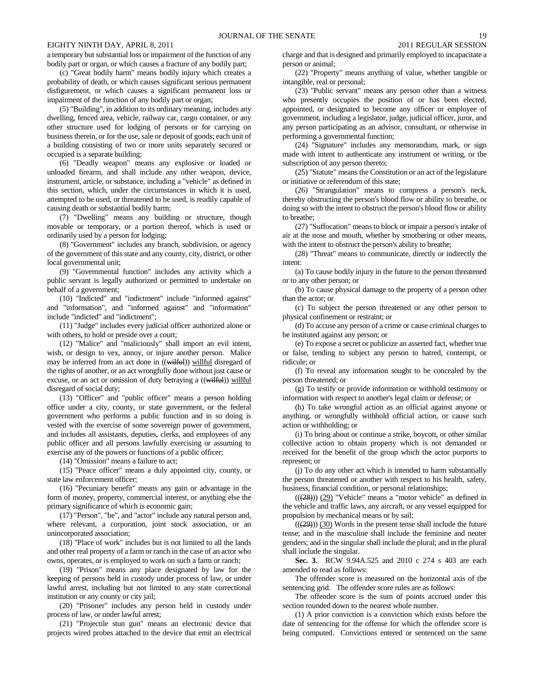a temporary but substantial loss or impairment of the function of any bodily part or organ, or which causes a fracture of any bodily part;

(c) "Great bodily harm" means bodily injury which creates a probability of death, or which causes significant serious permanent disfigurement, or which causes a significant permanent loss or impairment of the function of any bodily part or organ;

(5) "Building", in addition to its ordinary meaning, includes any dwelling, fenced area, vehicle, railway car, cargo container, or any other structure used for lodging of persons or for carrying on business therein, or for the use, sale or deposit of goods; each unit of a building consisting of two or more units separately secured or occupied is a separate building;

(6) "Deadly weapon" means any explosive or loaded or unloaded firearm, and shall include any other weapon, device, instrument, article, or substance, including a "vehicle" as defined in this section, which, under the circumstances in which it is used, attempted to be used, or threatened to be used, is readily capable of causing death or substantial bodily harm;

(7) "Dwelling" means any building or structure, though movable or temporary, or a portion thereof, which is used or ordinarily used by a person for lodging;

(8) "Government" includes any branch, subdivision, or agency of the government of this state and any county, city, district, or other local governmental unit;

(9) "Governmental function" includes any activity which a public servant is legally authorized or permitted to undertake on behalf of a government;

(10) "Indicted" and "indictment" include "informed against" and "information", and "informed against" and "information" include "indicted" and "indictment";

(11) "Judge" includes every judicial officer authorized alone or with others, to hold or preside over a court;

(12) "Malice" and "maliciously" shall import an evil intent, wish, or design to vex, annoy, or injure another person. Malice may be inferred from an act done in ((wilful)) willful disregard of the rights of another, or an act wrongfully done without just cause or excuse, or an act or omission of duty betraying a ((wilful)) willful disregard of social duty;

(13) "Officer" and "public officer" means a person holding office under a city, county, or state government, or the federal government who performs a public function and in so doing is vested with the exercise of some sovereign power of government, and includes all assistants, deputies, clerks, and employees of any public officer and all persons lawfully exercising or assuming to exercise any of the powers or functions of a public officer;

(14) "Omission" means a failure to act;

(15) "Peace officer" means a duly appointed city, county, or state law enforcement officer;

(16) "Pecuniary benefit" means any gain or advantage in the form of money, property, commercial interest, or anything else the primary significance of which is economic gain;

(17) "Person", "he", and "actor" include any natural person and, where relevant, a corporation, joint stock association, or an unincorporated association;

(18) "Place of work" includes but is not limited to all the lands and other real property of a farm or ranch in the case of an actor who owns, operates, or is employed to work on such a farm or ranch;

(19) "Prison" means any place designated by law for the keeping of persons held in custody under process of law, or under lawful arrest, including but not limited to any state correctional institution or any county or city jail;

(20) "Prisoner" includes any person held in custody under process of law, or under lawful arrest;

(21) "Projectile stun gun" means an electronic device that projects wired probes attached to the device that emit an electrical

charge and that is designed and primarily employed to incapacitate a person or animal;

(22) "Property" means anything of value, whether tangible or intangible, real or personal;

(23) "Public servant" means any person other than a witness who presently occupies the position of or has been elected, appointed, or designated to become any officer or employee of government, including a legislator, judge, judicial officer, juror, and any person participating as an advisor, consultant, or otherwise in performing a governmental function;

(24) "Signature" includes any memorandum, mark, or sign made with intent to authenticate any instrument or writing, or the subscription of any person thereto;

(25) "Statute" means the Constitution or an act of the legislature or initiative or referendum of this state;

(26) "Strangulation" means to compress a person's neck, thereby obstructing the person's blood flow or ability to breathe, or doing so with the intent to obstruct the person's blood flow or ability to breathe;

(27) "Suffocation" means to block or impair a person's intake of air at the nose and mouth, whether by smothering or other means, with the intent to obstruct the person's ability to breathe;

(28) "Threat" means to communicate, directly or indirectly the intent:

(a) To cause bodily injury in the future to the person threatened or to any other person; or

(b) To cause physical damage to the property of a person other than the actor; or

(c) To subject the person threatened or any other person to physical confinement or restraint; or

(d) To accuse any person of a crime or cause criminal charges to be instituted against any person; or

(e) To expose a secret or publicize an asserted fact, whether true or false, tending to subject any person to hatred, contempt, or ridicule; or

(f) To reveal any information sought to be concealed by the person threatened; or

(g) To testify or provide information or withhold testimony or information with respect to another's legal claim or defense; or

(h) To take wrongful action as an official against anyone or anything, or wrongfully withhold official action, or cause such action or withholding; or

(i) To bring about or continue a strike, boycott, or other similar collective action to obtain property which is not demanded or received for the benefit of the group which the actor purports to represent; or

(j) To do any other act which is intended to harm substantially the person threatened or another with respect to his health, safety, business, financial condition, or personal relationships;

 $((28))$  (29) "Vehicle" means a "motor vehicle" as defined in the vehicle and traffic laws, any aircraft, or any vessel equipped for propulsion by mechanical means or by sail;

 $((29))$  (30) Words in the present tense shall include the future tense; and in the masculine shall include the feminine and neuter genders; and in the singular shall include the plural; and in the plural shall include the singular.

**Sec. 3.** RCW 9.94A.525 and 2010 c 274 s 403 are each amended to read as follows:

The offender score is measured on the horizontal axis of the sentencing grid. The offender score rules are as follows:

The offender score is the sum of points accrued under this section rounded down to the nearest whole number.

(1) A prior conviction is a conviction which exists before the date of sentencing for the offense for which the offender score is being computed. Convictions entered or sentenced on the same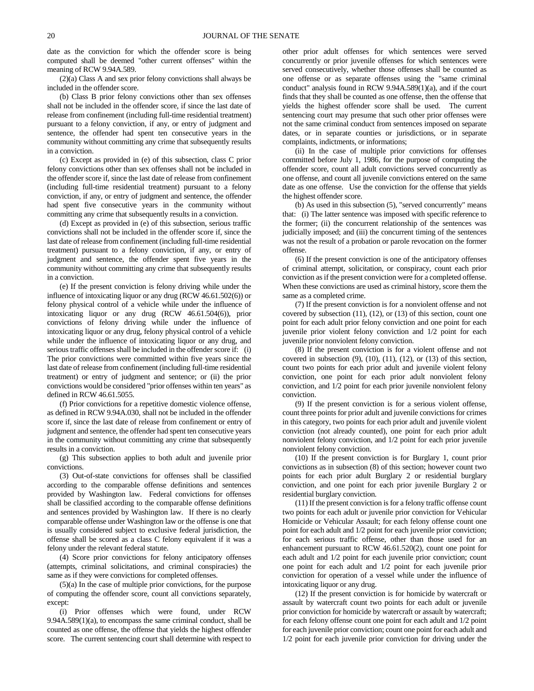date as the conviction for which the offender score is being computed shall be deemed "other current offenses" within the meaning of RCW 9.94A.589.

(2)(a) Class A and sex prior felony convictions shall always be included in the offender score.

(b) Class B prior felony convictions other than sex offenses shall not be included in the offender score, if since the last date of release from confinement (including full-time residential treatment) pursuant to a felony conviction, if any, or entry of judgment and sentence, the offender had spent ten consecutive years in the community without committing any crime that subsequently results in a conviction.

(c) Except as provided in (e) of this subsection, class C prior felony convictions other than sex offenses shall not be included in the offender score if, since the last date of release from confinement (including full-time residential treatment) pursuant to a felony conviction, if any, or entry of judgment and sentence, the offender had spent five consecutive years in the community without committing any crime that subsequently results in a conviction.

(d) Except as provided in (e) of this subsection, serious traffic convictions shall not be included in the offender score if, since the last date of release from confinement (including full-time residential treatment) pursuant to a felony conviction, if any, or entry of judgment and sentence, the offender spent five years in the community without committing any crime that subsequently results in a conviction.

(e) If the present conviction is felony driving while under the influence of intoxicating liquor or any drug (RCW 46.61.502(6)) or felony physical control of a vehicle while under the influence of intoxicating liquor or any drug (RCW 46.61.504(6)), prior convictions of felony driving while under the influence of intoxicating liquor or any drug, felony physical control of a vehicle while under the influence of intoxicating liquor or any drug, and serious traffic offenses shall be included in the offender score if: (i) The prior convictions were committed within five years since the last date of release from confinement (including full-time residential treatment) or entry of judgment and sentence; or (ii) the prior convictions would be considered "prior offenses within ten years" as defined in RCW 46.61.5055.

(f) Prior convictions for a repetitive domestic violence offense, as defined in RCW 9.94A.030, shall not be included in the offender score if, since the last date of release from confinement or entry of judgment and sentence, the offender had spent ten consecutive years in the community without committing any crime that subsequently results in a conviction.

(g) This subsection applies to both adult and juvenile prior convictions.

(3) Out-of-state convictions for offenses shall be classified according to the comparable offense definitions and sentences provided by Washington law. Federal convictions for offenses shall be classified according to the comparable offense definitions and sentences provided by Washington law. If there is no clearly comparable offense under Washington law or the offense is one that is usually considered subject to exclusive federal jurisdiction, the offense shall be scored as a class C felony equivalent if it was a felony under the relevant federal statute.

(4) Score prior convictions for felony anticipatory offenses (attempts, criminal solicitations, and criminal conspiracies) the same as if they were convictions for completed offenses.

(5)(a) In the case of multiple prior convictions, for the purpose of computing the offender score, count all convictions separately, except:

(i) Prior offenses which were found, under RCW 9.94A.589(1)(a), to encompass the same criminal conduct, shall be counted as one offense, the offense that yields the highest offender score. The current sentencing court shall determine with respect to other prior adult offenses for which sentences were served concurrently or prior juvenile offenses for which sentences were served consecutively, whether those offenses shall be counted as one offense or as separate offenses using the "same criminal conduct" analysis found in RCW 9.94A.589(1)(a), and if the court finds that they shall be counted as one offense, then the offense that yields the highest offender score shall be used. The current sentencing court may presume that such other prior offenses were not the same criminal conduct from sentences imposed on separate dates, or in separate counties or jurisdictions, or in separate complaints, indictments, or informations;

(ii) In the case of multiple prior convictions for offenses committed before July 1, 1986, for the purpose of computing the offender score, count all adult convictions served concurrently as one offense, and count all juvenile convictions entered on the same date as one offense. Use the conviction for the offense that yields the highest offender score.

(b) As used in this subsection (5), "served concurrently" means that: (i) The latter sentence was imposed with specific reference to the former; (ii) the concurrent relationship of the sentences was judicially imposed; and (iii) the concurrent timing of the sentences was not the result of a probation or parole revocation on the former offense.

(6) If the present conviction is one of the anticipatory offenses of criminal attempt, solicitation, or conspiracy, count each prior conviction as if the present conviction were for a completed offense. When these convictions are used as criminal history, score them the same as a completed crime.

(7) If the present conviction is for a nonviolent offense and not covered by subsection (11), (12), or (13) of this section, count one point for each adult prior felony conviction and one point for each juvenile prior violent felony conviction and 1/2 point for each juvenile prior nonviolent felony conviction.

(8) If the present conviction is for a violent offense and not covered in subsection  $(9)$ ,  $(10)$ ,  $(11)$ ,  $(12)$ , or  $(13)$  of this section, count two points for each prior adult and juvenile violent felony conviction, one point for each prior adult nonviolent felony conviction, and 1/2 point for each prior juvenile nonviolent felony conviction.

(9) If the present conviction is for a serious violent offense, count three points for prior adult and juvenile convictions for crimes in this category, two points for each prior adult and juvenile violent conviction (not already counted), one point for each prior adult nonviolent felony conviction, and 1/2 point for each prior juvenile nonviolent felony conviction.

(10) If the present conviction is for Burglary 1, count prior convictions as in subsection (8) of this section; however count two points for each prior adult Burglary 2 or residential burglary conviction, and one point for each prior juvenile Burglary 2 or residential burglary conviction.

(11) If the present conviction is for a felony traffic offense count two points for each adult or juvenile prior conviction for Vehicular Homicide or Vehicular Assault; for each felony offense count one point for each adult and 1/2 point for each juvenile prior conviction; for each serious traffic offense, other than those used for an enhancement pursuant to RCW 46.61.520(2), count one point for each adult and 1/2 point for each juvenile prior conviction; count one point for each adult and 1/2 point for each juvenile prior conviction for operation of a vessel while under the influence of intoxicating liquor or any drug.

(12) If the present conviction is for homicide by watercraft or assault by watercraft count two points for each adult or juvenile prior conviction for homicide by watercraft or assault by watercraft; for each felony offense count one point for each adult and 1/2 point for each juvenile prior conviction; count one point for each adult and 1/2 point for each juvenile prior conviction for driving under the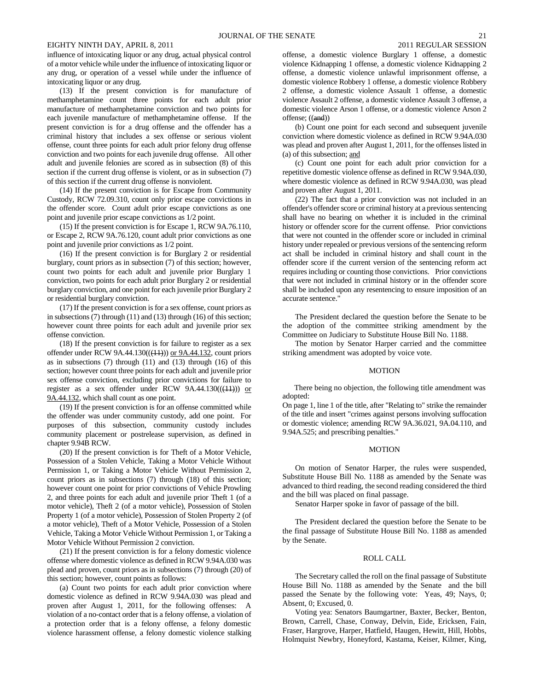influence of intoxicating liquor or any drug, actual physical control of a motor vehicle while under the influence of intoxicating liquor or any drug, or operation of a vessel while under the influence of intoxicating liquor or any drug.

(13) If the present conviction is for manufacture of methamphetamine count three points for each adult prior manufacture of methamphetamine conviction and two points for each juvenile manufacture of methamphetamine offense. If the present conviction is for a drug offense and the offender has a criminal history that includes a sex offense or serious violent offense, count three points for each adult prior felony drug offense conviction and two points for each juvenile drug offense. All other adult and juvenile felonies are scored as in subsection (8) of this section if the current drug offense is violent, or as in subsection (7) of this section if the current drug offense is nonviolent.

(14) If the present conviction is for Escape from Community Custody, RCW 72.09.310, count only prior escape convictions in the offender score. Count adult prior escape convictions as one point and juvenile prior escape convictions as 1/2 point.

(15) If the present conviction is for Escape 1, RCW 9A.76.110, or Escape 2, RCW 9A.76.120, count adult prior convictions as one point and juvenile prior convictions as 1/2 point.

(16) If the present conviction is for Burglary 2 or residential burglary, count priors as in subsection (7) of this section; however, count two points for each adult and juvenile prior Burglary 1 conviction, two points for each adult prior Burglary 2 or residential burglary conviction, and one point for each juvenile prior Burglary 2 or residential burglary conviction.

(17) If the present conviction is for a sex offense, count priors as in subsections (7) through (11) and (13) through (16) of this section; however count three points for each adult and juvenile prior sex offense conviction.

(18) If the present conviction is for failure to register as a sex offender under RCW  $9A.44.130((\frac{11}{11}))$  or  $9A.44.132$ , count priors as in subsections (7) through (11) and (13) through (16) of this section; however count three points for each adult and juvenile prior sex offense conviction, excluding prior convictions for failure to register as a sex offender under RCW  $9A.44.130((\left(\frac{11}{11}\right)))$  or 9A.44.132, which shall count as one point.

(19) If the present conviction is for an offense committed while the offender was under community custody, add one point. For purposes of this subsection, community custody includes community placement or postrelease supervision, as defined in chapter 9.94B RCW.

(20) If the present conviction is for Theft of a Motor Vehicle, Possession of a Stolen Vehicle, Taking a Motor Vehicle Without Permission 1, or Taking a Motor Vehicle Without Permission 2, count priors as in subsections (7) through (18) of this section; however count one point for prior convictions of Vehicle Prowling 2, and three points for each adult and juvenile prior Theft 1 (of a motor vehicle), Theft 2 (of a motor vehicle), Possession of Stolen Property 1 (of a motor vehicle), Possession of Stolen Property 2 (of a motor vehicle), Theft of a Motor Vehicle, Possession of a Stolen Vehicle, Taking a Motor Vehicle Without Permission 1, or Taking a Motor Vehicle Without Permission 2 conviction.

(21) If the present conviction is for a felony domestic violence offense where domestic violence as defined in RCW 9.94A.030 was plead and proven, count priors as in subsections (7) through (20) of this section; however, count points as follows:

(a) Count two points for each adult prior conviction where domestic violence as defined in RCW 9.94A.030 was plead and proven after August 1, 2011, for the following offenses: A violation of a no-contact order that is a felony offense, a violation of a protection order that is a felony offense, a felony domestic violence harassment offense, a felony domestic violence stalking offense, a domestic violence Burglary 1 offense, a domestic violence Kidnapping 1 offense, a domestic violence Kidnapping 2 offense, a domestic violence unlawful imprisonment offense, a domestic violence Robbery 1 offense, a domestic violence Robbery 2 offense, a domestic violence Assault 1 offense, a domestic violence Assault 2 offense, a domestic violence Assault 3 offense, a domestic violence Arson 1 offense, or a domestic violence Arson 2 offense; ((and))

(b) Count one point for each second and subsequent juvenile conviction where domestic violence as defined in RCW 9.94A.030 was plead and proven after August 1, 2011, for the offenses listed in (a) of this subsection; and

(c) Count one point for each adult prior conviction for a repetitive domestic violence offense as defined in RCW 9.94A.030, where domestic violence as defined in RCW 9.94A.030, was plead and proven after August 1, 2011.

(22) The fact that a prior conviction was not included in an offender's offender score or criminal history at a previous sentencing shall have no bearing on whether it is included in the criminal history or offender score for the current offense. Prior convictions that were not counted in the offender score or included in criminal history under repealed or previous versions of the sentencing reform act shall be included in criminal history and shall count in the offender score if the current version of the sentencing reform act requires including or counting those convictions. Prior convictions that were not included in criminal history or in the offender score shall be included upon any resentencing to ensure imposition of an accurate sentence."

The President declared the question before the Senate to be the adoption of the committee striking amendment by the Committee on Judiciary to Substitute House Bill No. 1188.

The motion by Senator Harper carried and the committee striking amendment was adopted by voice vote.

#### MOTION

There being no objection, the following title amendment was adopted:

On page 1, line 1 of the title, after "Relating to" strike the remainder of the title and insert "crimes against persons involving suffocation or domestic violence; amending RCW 9A.36.021, 9A.04.110, and 9.94A.525; and prescribing penalties."

## **MOTION**

On motion of Senator Harper, the rules were suspended, Substitute House Bill No. 1188 as amended by the Senate was advanced to third reading, the second reading considered the third and the bill was placed on final passage.

Senator Harper spoke in favor of passage of the bill.

The President declared the question before the Senate to be the final passage of Substitute House Bill No. 1188 as amended by the Senate.

## ROLL CALL

The Secretary called the roll on the final passage of Substitute House Bill No. 1188 as amended by the Senate and the bill passed the Senate by the following vote: Yeas, 49; Nays, 0; Absent, 0; Excused, 0.

Voting yea: Senators Baumgartner, Baxter, Becker, Benton, Brown, Carrell, Chase, Conway, Delvin, Eide, Ericksen, Fain, Fraser, Hargrove, Harper, Hatfield, Haugen, Hewitt, Hill, Hobbs, Holmquist Newbry, Honeyford, Kastama, Keiser, Kilmer, King,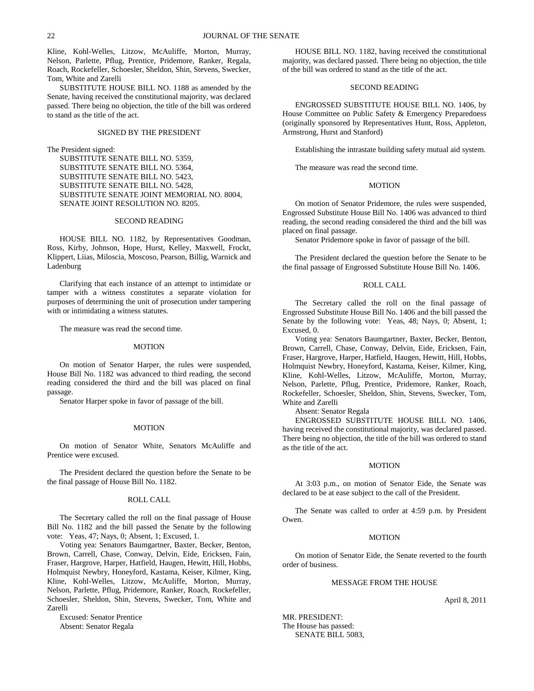Kline, Kohl-Welles, Litzow, McAuliffe, Morton, Murray, Nelson, Parlette, Pflug, Prentice, Pridemore, Ranker, Regala, Roach, Rockefeller, Schoesler, Sheldon, Shin, Stevens, Swecker, Tom, White and Zarelli

SUBSTITUTE HOUSE BILL NO. 1188 as amended by the Senate, having received the constitutional majority, was declared passed. There being no objection, the title of the bill was ordered to stand as the title of the act.

#### SIGNED BY THE PRESIDENT

The President signed:

SUBSTITUTE SENATE BILL NO. 5359, SUBSTITUTE SENATE BILL NO. 5364, SUBSTITUTE SENATE BILL NO. 5423, SUBSTITUTE SENATE BILL NO. 5428, SUBSTITUTE SENATE JOINT MEMORIAL NO. 8004, SENATE JOINT RESOLUTION NO. 8205.

## SECOND READING

HOUSE BILL NO. 1182, by Representatives Goodman, Ross, Kirby, Johnson, Hope, Hurst, Kelley, Maxwell, Frockt, Klippert, Liias, Miloscia, Moscoso, Pearson, Billig, Warnick and Ladenburg

Clarifying that each instance of an attempt to intimidate or tamper with a witness constitutes a separate violation for purposes of determining the unit of prosecution under tampering with or intimidating a witness statutes.

The measure was read the second time.

## MOTION

On motion of Senator Harper, the rules were suspended, House Bill No. 1182 was advanced to third reading, the second reading considered the third and the bill was placed on final passage.

Senator Harper spoke in favor of passage of the bill.

#### MOTION

On motion of Senator White, Senators McAuliffe and Prentice were excused.

The President declared the question before the Senate to be the final passage of House Bill No. 1182.

## ROLL CALL

The Secretary called the roll on the final passage of House Bill No. 1182 and the bill passed the Senate by the following vote: Yeas, 47; Nays, 0; Absent, 1; Excused, 1.

Voting yea: Senators Baumgartner, Baxter, Becker, Benton, Brown, Carrell, Chase, Conway, Delvin, Eide, Ericksen, Fain, Fraser, Hargrove, Harper, Hatfield, Haugen, Hewitt, Hill, Hobbs, Holmquist Newbry, Honeyford, Kastama, Keiser, Kilmer, King, Kline, Kohl-Welles, Litzow, McAuliffe, Morton, Murray, Nelson, Parlette, Pflug, Pridemore, Ranker, Roach, Rockefeller, Schoesler, Sheldon, Shin, Stevens, Swecker, Tom, White and Zarelli

Excused: Senator Prentice Absent: Senator Regala

HOUSE BILL NO. 1182, having received the constitutional majority, was declared passed. There being no objection, the title of the bill was ordered to stand as the title of the act.

## SECOND READING

ENGROSSED SUBSTITUTE HOUSE BILL NO. 1406, by House Committee on Public Safety & Emergency Preparedness (originally sponsored by Representatives Hunt, Ross, Appleton, Armstrong, Hurst and Stanford)

Establishing the intrastate building safety mutual aid system.

The measure was read the second time.

#### MOTION

On motion of Senator Pridemore, the rules were suspended, Engrossed Substitute House Bill No. 1406 was advanced to third reading, the second reading considered the third and the bill was placed on final passage.

Senator Pridemore spoke in favor of passage of the bill.

The President declared the question before the Senate to be the final passage of Engrossed Substitute House Bill No. 1406.

#### ROLL CALL

The Secretary called the roll on the final passage of Engrossed Substitute House Bill No. 1406 and the bill passed the Senate by the following vote: Yeas, 48; Nays, 0; Absent, 1; Excused, 0.

Voting yea: Senators Baumgartner, Baxter, Becker, Benton, Brown, Carrell, Chase, Conway, Delvin, Eide, Ericksen, Fain, Fraser, Hargrove, Harper, Hatfield, Haugen, Hewitt, Hill, Hobbs, Holmquist Newbry, Honeyford, Kastama, Keiser, Kilmer, King, Kline, Kohl-Welles, Litzow, McAuliffe, Morton, Murray, Nelson, Parlette, Pflug, Prentice, Pridemore, Ranker, Roach, Rockefeller, Schoesler, Sheldon, Shin, Stevens, Swecker, Tom, White and Zarelli

Absent: Senator Regala

ENGROSSED SUBSTITUTE HOUSE BILL NO. 1406, having received the constitutional majority, was declared passed. There being no objection, the title of the bill was ordered to stand as the title of the act.

## MOTION

At 3:03 p.m., on motion of Senator Eide, the Senate was declared to be at ease subject to the call of the President.

The Senate was called to order at 4:59 p.m. by President Owen.

## MOTION

On motion of Senator Eide, the Senate reverted to the fourth order of business.

#### MESSAGE FROM THE HOUSE

April 8, 2011

MR. PRESIDENT: The House has passed: SENATE BILL 5083,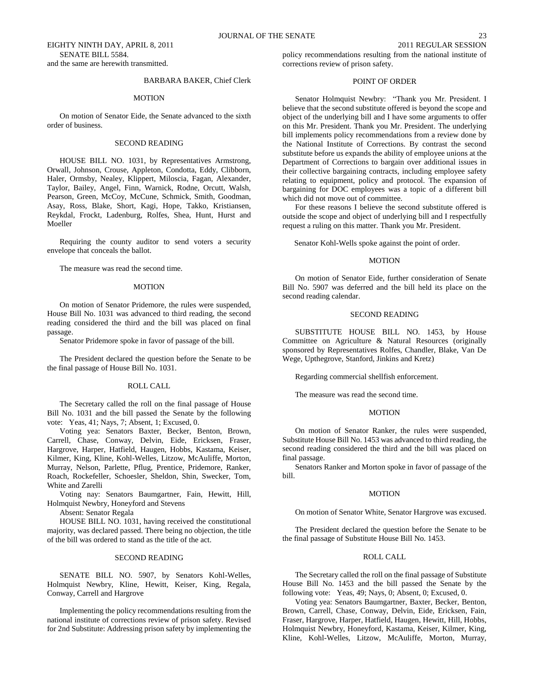EIGHTY NINTH DAY, APRIL 8, 2011 2011 REGULAR SESSION SENATE BILL 5584. and the same are herewith transmitted.

## BARBARA BAKER, Chief Clerk

#### MOTION

On motion of Senator Eide, the Senate advanced to the sixth order of business.

## SECOND READING

HOUSE BILL NO. 1031, by Representatives Armstrong, Orwall, Johnson, Crouse, Appleton, Condotta, Eddy, Clibborn, Haler, Ormsby, Nealey, Klippert, Miloscia, Fagan, Alexander, Taylor, Bailey, Angel, Finn, Warnick, Rodne, Orcutt, Walsh, Pearson, Green, McCoy, McCune, Schmick, Smith, Goodman, Asay, Ross, Blake, Short, Kagi, Hope, Takko, Kristiansen, Reykdal, Frockt, Ladenburg, Rolfes, Shea, Hunt, Hurst and Moeller

Requiring the county auditor to send voters a security envelope that conceals the ballot.

The measure was read the second time.

## MOTION

On motion of Senator Pridemore, the rules were suspended, House Bill No. 1031 was advanced to third reading, the second reading considered the third and the bill was placed on final passage.

Senator Pridemore spoke in favor of passage of the bill.

The President declared the question before the Senate to be the final passage of House Bill No. 1031.

#### ROLL CALL

The Secretary called the roll on the final passage of House Bill No. 1031 and the bill passed the Senate by the following vote: Yeas, 41; Nays, 7; Absent, 1; Excused, 0.

Voting yea: Senators Baxter, Becker, Benton, Brown, Carrell, Chase, Conway, Delvin, Eide, Ericksen, Fraser, Hargrove, Harper, Hatfield, Haugen, Hobbs, Kastama, Keiser, Kilmer, King, Kline, Kohl-Welles, Litzow, McAuliffe, Morton, Murray, Nelson, Parlette, Pflug, Prentice, Pridemore, Ranker, Roach, Rockefeller, Schoesler, Sheldon, Shin, Swecker, Tom, White and Zarelli

Voting nay: Senators Baumgartner, Fain, Hewitt, Hill, Holmquist Newbry, Honeyford and Stevens

Absent: Senator Regala

HOUSE BILL NO. 1031, having received the constitutional majority, was declared passed. There being no objection, the title of the bill was ordered to stand as the title of the act.

## SECOND READING

SENATE BILL NO. 5907, by Senators Kohl-Welles, Holmquist Newbry, Kline, Hewitt, Keiser, King, Regala, Conway, Carrell and Hargrove

Implementing the policy recommendations resulting from the national institute of corrections review of prison safety. Revised for 2nd Substitute: Addressing prison safety by implementing the policy recommendations resulting from the national institute of corrections review of prison safety.

## POINT OF ORDER

Senator Holmquist Newbry: "Thank you Mr. President. I believe that the second substitute offered is beyond the scope and object of the underlying bill and I have some arguments to offer on this Mr. President. Thank you Mr. President. The underlying bill implements policy recommendations from a review done by the National Institute of Corrections. By contrast the second substitute before us expands the ability of employee unions at the Department of Corrections to bargain over additional issues in their collective bargaining contracts, including employee safety relating to equipment, policy and protocol. The expansion of bargaining for DOC employees was a topic of a different bill which did not move out of committee.

For these reasons I believe the second substitute offered is outside the scope and object of underlying bill and I respectfully request a ruling on this matter. Thank you Mr. President.

Senator Kohl-Wells spoke against the point of order.

#### MOTION

On motion of Senator Eide, further consideration of Senate Bill No. 5907 was deferred and the bill held its place on the second reading calendar.

## SECOND READING

SUBSTITUTE HOUSE BILL NO. 1453, by House Committee on Agriculture & Natural Resources (originally sponsored by Representatives Rolfes, Chandler, Blake, Van De Wege, Upthegrove, Stanford, Jinkins and Kretz)

Regarding commercial shellfish enforcement.

The measure was read the second time.

## MOTION

On motion of Senator Ranker, the rules were suspended, Substitute House Bill No. 1453 was advanced to third reading, the second reading considered the third and the bill was placed on final passage.

Senators Ranker and Morton spoke in favor of passage of the bill.

## **MOTION**

On motion of Senator White, Senator Hargrove was excused.

The President declared the question before the Senate to be the final passage of Substitute House Bill No. 1453.

### ROLL CALL

The Secretary called the roll on the final passage of Substitute House Bill No. 1453 and the bill passed the Senate by the following vote: Yeas, 49; Nays, 0; Absent, 0; Excused, 0.

Voting yea: Senators Baumgartner, Baxter, Becker, Benton, Brown, Carrell, Chase, Conway, Delvin, Eide, Ericksen, Fain, Fraser, Hargrove, Harper, Hatfield, Haugen, Hewitt, Hill, Hobbs, Holmquist Newbry, Honeyford, Kastama, Keiser, Kilmer, King, Kline, Kohl-Welles, Litzow, McAuliffe, Morton, Murray,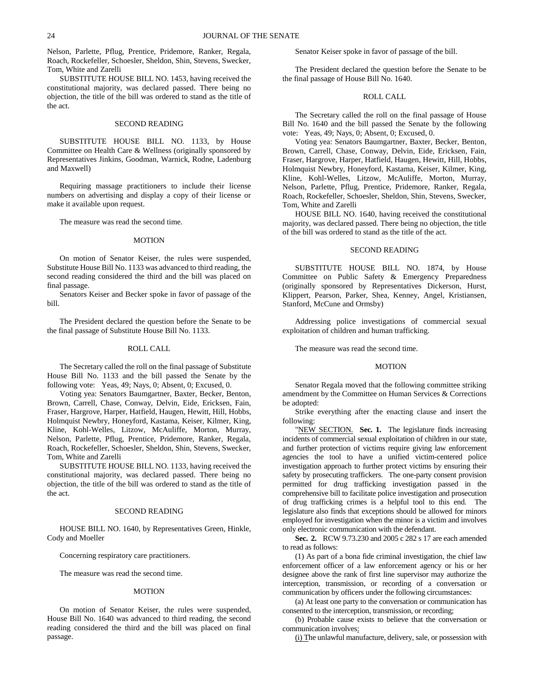Nelson, Parlette, Pflug, Prentice, Pridemore, Ranker, Regala, Roach, Rockefeller, Schoesler, Sheldon, Shin, Stevens, Swecker, Tom, White and Zarelli

SUBSTITUTE HOUSE BILL NO. 1453, having received the constitutional majority, was declared passed. There being no objection, the title of the bill was ordered to stand as the title of the act.

## SECOND READING

SUBSTITUTE HOUSE BILL NO. 1133, by House Committee on Health Care & Wellness (originally sponsored by Representatives Jinkins, Goodman, Warnick, Rodne, Ladenburg and Maxwell)

Requiring massage practitioners to include their license numbers on advertising and display a copy of their license or make it available upon request.

The measure was read the second time.

## MOTION

On motion of Senator Keiser, the rules were suspended, Substitute House Bill No. 1133 was advanced to third reading, the second reading considered the third and the bill was placed on final passage.

Senators Keiser and Becker spoke in favor of passage of the bill.

The President declared the question before the Senate to be the final passage of Substitute House Bill No. 1133.

#### ROLL CALL

The Secretary called the roll on the final passage of Substitute House Bill No. 1133 and the bill passed the Senate by the following vote: Yeas, 49; Nays, 0; Absent, 0; Excused, 0.

Voting yea: Senators Baumgartner, Baxter, Becker, Benton, Brown, Carrell, Chase, Conway, Delvin, Eide, Ericksen, Fain, Fraser, Hargrove, Harper, Hatfield, Haugen, Hewitt, Hill, Hobbs, Holmquist Newbry, Honeyford, Kastama, Keiser, Kilmer, King, Kline, Kohl-Welles, Litzow, McAuliffe, Morton, Murray, Nelson, Parlette, Pflug, Prentice, Pridemore, Ranker, Regala, Roach, Rockefeller, Schoesler, Sheldon, Shin, Stevens, Swecker, Tom, White and Zarelli

SUBSTITUTE HOUSE BILL NO. 1133, having received the constitutional majority, was declared passed. There being no objection, the title of the bill was ordered to stand as the title of the act.

#### SECOND READING

HOUSE BILL NO. 1640, by Representatives Green, Hinkle, Cody and Moeller

Concerning respiratory care practitioners.

The measure was read the second time.

#### MOTION

On motion of Senator Keiser, the rules were suspended, House Bill No. 1640 was advanced to third reading, the second reading considered the third and the bill was placed on final passage.

Senator Keiser spoke in favor of passage of the bill.

The President declared the question before the Senate to be the final passage of House Bill No. 1640.

## ROLL CALL

The Secretary called the roll on the final passage of House Bill No. 1640 and the bill passed the Senate by the following vote: Yeas, 49; Nays, 0; Absent, 0; Excused, 0.

Voting yea: Senators Baumgartner, Baxter, Becker, Benton, Brown, Carrell, Chase, Conway, Delvin, Eide, Ericksen, Fain, Fraser, Hargrove, Harper, Hatfield, Haugen, Hewitt, Hill, Hobbs, Holmquist Newbry, Honeyford, Kastama, Keiser, Kilmer, King, Kline, Kohl-Welles, Litzow, McAuliffe, Morton, Murray, Nelson, Parlette, Pflug, Prentice, Pridemore, Ranker, Regala, Roach, Rockefeller, Schoesler, Sheldon, Shin, Stevens, Swecker, Tom, White and Zarelli

HOUSE BILL NO. 1640, having received the constitutional majority, was declared passed. There being no objection, the title of the bill was ordered to stand as the title of the act.

## SECOND READING

SUBSTITUTE HOUSE BILL NO. 1874, by House Committee on Public Safety & Emergency Preparedness (originally sponsored by Representatives Dickerson, Hurst, Klippert, Pearson, Parker, Shea, Kenney, Angel, Kristiansen, Stanford, McCune and Ormsby)

Addressing police investigations of commercial sexual exploitation of children and human trafficking.

The measure was read the second time.

## MOTION

Senator Regala moved that the following committee striking amendment by the Committee on Human Services & Corrections be adopted:

Strike everything after the enacting clause and insert the following:

"NEW SECTION. Sec. 1. The legislature finds increasing incidents of commercial sexual exploitation of children in our state, and further protection of victims require giving law enforcement agencies the tool to have a unified victim-centered police investigation approach to further protect victims by ensuring their safety by prosecuting traffickers. The one-party consent provision permitted for drug trafficking investigation passed in the comprehensive bill to facilitate police investigation and prosecution of drug trafficking crimes is a helpful tool to this end. The legislature also finds that exceptions should be allowed for minors employed for investigation when the minor is a victim and involves only electronic communication with the defendant.

**Sec. 2.** RCW 9.73.230 and 2005 c 282 s 17 are each amended to read as follows:

(1) As part of a bona fide criminal investigation, the chief law enforcement officer of a law enforcement agency or his or her designee above the rank of first line supervisor may authorize the interception, transmission, or recording of a conversation or communication by officers under the following circumstances:

(a) At least one party to the conversation or communication has consented to the interception, transmission, or recording;

(b) Probable cause exists to believe that the conversation or communication involves:

(i) The unlawful manufacture, delivery, sale, or possession with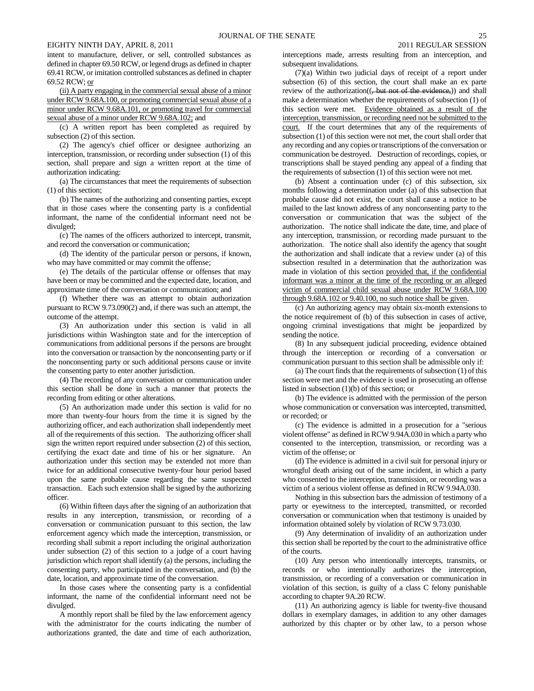intent to manufacture, deliver, or sell, controlled substances as defined in chapter 69.50 RCW, or legend drugs as defined in chapter 69.41 RCW, or imitation controlled substances as defined in chapter 69.52 RCW; or

(ii) A party engaging in the commercial sexual abuse of a minor under RCW 9.68A.100, or promoting commercial sexual abuse of a minor under RCW 9.68A.101, or promoting travel for commercial sexual abuse of a minor under RCW 9.68A.102; and

(c) A written report has been completed as required by subsection (2) of this section.

(2) The agency's chief officer or designee authorizing an interception, transmission, or recording under subsection (1) of this section, shall prepare and sign a written report at the time of authorization indicating:

(a) The circumstances that meet the requirements of subsection (1) of this section;

(b) The names of the authorizing and consenting parties, except that in those cases where the consenting party is a confidential informant, the name of the confidential informant need not be divulged;

(c) The names of the officers authorized to intercept, transmit, and record the conversation or communication;

(d) The identity of the particular person or persons, if known, who may have committed or may commit the offense;

(e) The details of the particular offense or offenses that may have been or may be committed and the expected date, location, and approximate time of the conversation or communication; and

(f) Whether there was an attempt to obtain authorization pursuant to RCW 9.73.090(2) and, if there was such an attempt, the outcome of the attempt.

(3) An authorization under this section is valid in all jurisdictions within Washington state and for the interception of communications from additional persons if the persons are brought into the conversation or transaction by the nonconsenting party or if the nonconsenting party or such additional persons cause or invite the consenting party to enter another jurisdiction.

(4) The recording of any conversation or communication under this section shall be done in such a manner that protects the recording from editing or other alterations.

(5) An authorization made under this section is valid for no more than twenty-four hours from the time it is signed by the authorizing officer, and each authorization shall independently meet all of the requirements of this section. The authorizing officer shall sign the written report required under subsection (2) of this section, certifying the exact date and time of his or her signature. An authorization under this section may be extended not more than twice for an additional consecutive twenty-four hour period based upon the same probable cause regarding the same suspected transaction. Each such extension shall be signed by the authorizing officer.

(6) Within fifteen days after the signing of an authorization that results in any interception, transmission, or recording of a conversation or communication pursuant to this section, the law enforcement agency which made the interception, transmission, or recording shall submit a report including the original authorization under subsection (2) of this section to a judge of a court having jurisdiction which report shall identify (a) the persons, including the consenting party, who participated in the conversation, and (b) the date, location, and approximate time of the conversation.

In those cases where the consenting party is a confidential informant, the name of the confidential informant need not be divulged.

A monthly report shall be filed by the law enforcement agency with the administrator for the courts indicating the number of authorizations granted, the date and time of each authorization,

interceptions made, arrests resulting from an interception, and subsequent invalidations.

(7)(a) Within two judicial days of receipt of a report under subsection (6) of this section, the court shall make an ex parte review of the authorization((, but not of the evidence,)) and shall make a determination whether the requirements of subsection (1) of this section were met. Evidence obtained as a result of the interception, transmission, or recording need not be submitted to the court. If the court determines that any of the requirements of subsection (1) of this section were not met, the court shall order that any recording and any copies or transcriptions of the conversation or communication be destroyed. Destruction of recordings, copies, or transcriptions shall be stayed pending any appeal of a finding that the requirements of subsection (1) of this section were not met.

(b) Absent a continuation under (c) of this subsection, six months following a determination under (a) of this subsection that probable cause did not exist, the court shall cause a notice to be mailed to the last known address of any nonconsenting party to the conversation or communication that was the subject of the authorization. The notice shall indicate the date, time, and place of any interception, transmission, or recording made pursuant to the authorization. The notice shall also identify the agency that sought the authorization and shall indicate that a review under (a) of this subsection resulted in a determination that the authorization was made in violation of this section provided that, if the confidential informant was a minor at the time of the recording or an alleged victim of commercial child sexual abuse under RCW 9.68A.100 through 9.68A.102 or 9.40.100, no such notice shall be given.

(c) An authorizing agency may obtain six-month extensions to the notice requirement of (b) of this subsection in cases of active, ongoing criminal investigations that might be jeopardized by sending the notice.

(8) In any subsequent judicial proceeding, evidence obtained through the interception or recording of a conversation or communication pursuant to this section shall be admissible only if:

(a) The court finds that the requirements of subsection (1) of this section were met and the evidence is used in prosecuting an offense listed in subsection (1)(b) of this section; or

(b) The evidence is admitted with the permission of the person whose communication or conversation was intercepted, transmitted, or recorded; or

(c) The evidence is admitted in a prosecution for a "serious violent offense" as defined in RCW 9.94A.030 in which a party who consented to the interception, transmission, or recording was a victim of the offense; or

(d) The evidence is admitted in a civil suit for personal injury or wrongful death arising out of the same incident, in which a party who consented to the interception, transmission, or recording was a victim of a serious violent offense as defined in RCW 9.94A.030.

Nothing in this subsection bars the admission of testimony of a party or eyewitness to the intercepted, transmitted, or recorded conversation or communication when that testimony is unaided by information obtained solely by violation of RCW 9.73.030.

(9) Any determination of invalidity of an authorization under this section shall be reported by the court to the administrative office of the courts.

(10) Any person who intentionally intercepts, transmits, or records or who intentionally authorizes the interception, transmission, or recording of a conversation or communication in violation of this section, is guilty of a class C felony punishable according to chapter 9A.20 RCW.

(11) An authorizing agency is liable for twenty-five thousand dollars in exemplary damages, in addition to any other damages authorized by this chapter or by other law, to a person whose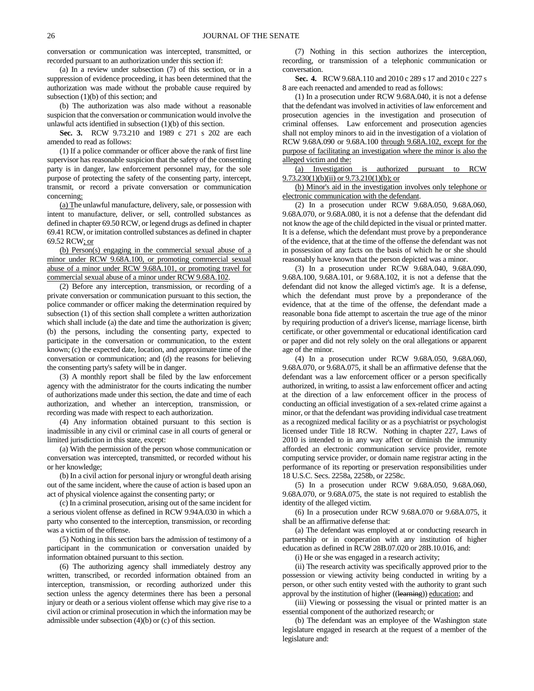conversation or communication was intercepted, transmitted, or recorded pursuant to an authorization under this section if:

(a) In a review under subsection (7) of this section, or in a suppression of evidence proceeding, it has been determined that the authorization was made without the probable cause required by subsection (1)(b) of this section; and

(b) The authorization was also made without a reasonable suspicion that the conversation or communication would involve the unlawful acts identified in subsection (1)(b) of this section.

**Sec. 3.** RCW 9.73.210 and 1989 c 271 s 202 are each amended to read as follows:

(1) If a police commander or officer above the rank of first line supervisor has reasonable suspicion that the safety of the consenting party is in danger, law enforcement personnel may, for the sole purpose of protecting the safety of the consenting party, intercept, transmit, or record a private conversation or communication concerning:

(a) The unlawful manufacture, delivery, sale, or possession with intent to manufacture, deliver, or sell, controlled substances as defined in chapter 69.50 RCW, or legend drugs as defined in chapter 69.41 RCW, or imitation controlled substances as defined in chapter 69.52 RCW; or

(b) Person(s) engaging in the commercial sexual abuse of a minor under RCW 9.68A.100, or promoting commercial sexual abuse of a minor under RCW 9.68A.101, or promoting travel for commercial sexual abuse of a minor under RCW 9.68A.102.

(2) Before any interception, transmission, or recording of a private conversation or communication pursuant to this section, the police commander or officer making the determination required by subsection (1) of this section shall complete a written authorization which shall include (a) the date and time the authorization is given; (b) the persons, including the consenting party, expected to participate in the conversation or communication, to the extent known; (c) the expected date, location, and approximate time of the conversation or communication; and (d) the reasons for believing the consenting party's safety will be in danger.

(3) A monthly report shall be filed by the law enforcement agency with the administrator for the courts indicating the number of authorizations made under this section, the date and time of each authorization, and whether an interception, transmission, or recording was made with respect to each authorization.

(4) Any information obtained pursuant to this section is inadmissible in any civil or criminal case in all courts of general or limited jurisdiction in this state, except:

(a) With the permission of the person whose communication or conversation was intercepted, transmitted, or recorded without his or her knowledge;

(b) In a civil action for personal injury or wrongful death arising out of the same incident, where the cause of action is based upon an act of physical violence against the consenting party; or

(c) In a criminal prosecution, arising out of the same incident for a serious violent offense as defined in RCW 9.94A.030 in which a party who consented to the interception, transmission, or recording was a victim of the offense.

(5) Nothing in this section bars the admission of testimony of a participant in the communication or conversation unaided by information obtained pursuant to this section.

(6) The authorizing agency shall immediately destroy any written, transcribed, or recorded information obtained from an interception, transmission, or recording authorized under this section unless the agency determines there has been a personal injury or death or a serious violent offense which may give rise to a civil action or criminal prosecution in which the information may be admissible under subsection (4)(b) or (c) of this section.

(7) Nothing in this section authorizes the interception, recording, or transmission of a telephonic communication or conversation.

**Sec. 4.** RCW 9.68A.110 and 2010 c 289 s 17 and 2010 c 227 s 8 are each reenacted and amended to read as follows:

(1) In a prosecution under RCW 9.68A.040, it is not a defense that the defendant was involved in activities of law enforcement and prosecution agencies in the investigation and prosecution of criminal offenses. Law enforcement and prosecution agencies shall not employ minors to aid in the investigation of a violation of RCW 9.68A.090 or 9.68A.100 through 9.68A.102, except for the purpose of facilitating an investigation where the minor is also the alleged victim and the:

(a) Investigation is authorized pursuant to RCW  $9.73.230(1)(b)(ii)$  or  $9.73.210(1)(b)$ ; or

(b) Minor's aid in the investigation involves only telephone or electronic communication with the defendant.

(2) In a prosecution under RCW 9.68A.050, 9.68A.060, 9.68A.070, or 9.68A.080, it is not a defense that the defendant did not know the age of the child depicted in the visual or printed matter. It is a defense, which the defendant must prove by a preponderance of the evidence, that at the time of the offense the defendant was not in possession of any facts on the basis of which he or she should reasonably have known that the person depicted was a minor.

(3) In a prosecution under RCW 9.68A.040, 9.68A.090, 9.68A.100, 9.68A.101, or 9.68A.102, it is not a defense that the defendant did not know the alleged victim's age. It is a defense, which the defendant must prove by a preponderance of the evidence, that at the time of the offense, the defendant made a reasonable bona fide attempt to ascertain the true age of the minor by requiring production of a driver's license, marriage license, birth certificate, or other governmental or educational identification card or paper and did not rely solely on the oral allegations or apparent age of the minor.

(4) In a prosecution under RCW 9.68A.050, 9.68A.060, 9.68A.070, or 9.68A.075, it shall be an affirmative defense that the defendant was a law enforcement officer or a person specifically authorized, in writing, to assist a law enforcement officer and acting at the direction of a law enforcement officer in the process of conducting an official investigation of a sex-related crime against a minor, or that the defendant was providing individual case treatment as a recognized medical facility or as a psychiatrist or psychologist licensed under Title 18 RCW. Nothing in chapter 227, Laws of 2010 is intended to in any way affect or diminish the immunity afforded an electronic communication service provider, remote computing service provider, or domain name registrar acting in the performance of its reporting or preservation responsibilities under 18 U.S.C. Secs. 2258a, 2258b, or 2258c.

(5) In a prosecution under RCW 9.68A.050, 9.68A.060, 9.68A.070, or 9.68A.075, the state is not required to establish the identity of the alleged victim.

(6) In a prosecution under RCW 9.68A.070 or 9.68A.075, it shall be an affirmative defense that:

(a) The defendant was employed at or conducting research in partnership or in cooperation with any institution of higher education as defined in RCW 28B.07.020 or 28B.10.016, and:

(i) He or she was engaged in a research activity;

(ii) The research activity was specifically approved prior to the possession or viewing activity being conducted in writing by a person, or other such entity vested with the authority to grant such approval by the institution of higher ((learning)) education; and

(iii) Viewing or possessing the visual or printed matter is an essential component of the authorized research; or

(b) The defendant was an employee of the Washington state legislature engaged in research at the request of a member of the legislature and: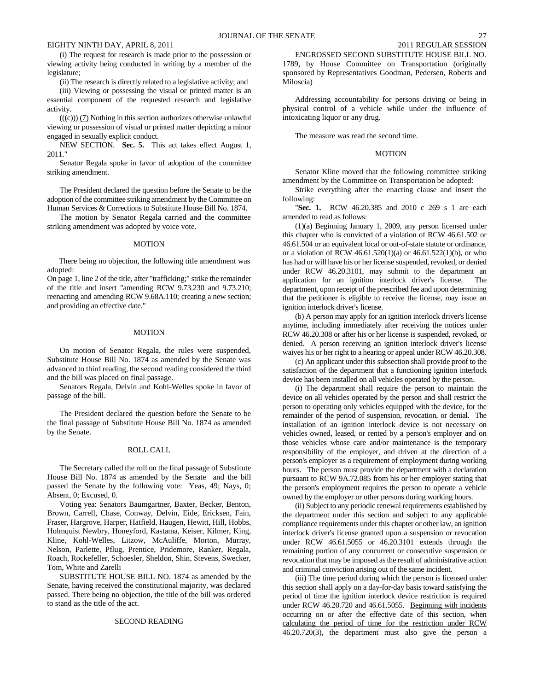(i) The request for research is made prior to the possession or viewing activity being conducted in writing by a member of the legislature;

(ii) The research is directly related to a legislative activity; and

(iii) Viewing or possessing the visual or printed matter is an essential component of the requested research and legislative activity.

 $((\epsilon))$  (7) Nothing in this section authorizes otherwise unlawful viewing or possession of visual or printed matter depicting a minor engaged in sexually explicit conduct.

NEW SECTION. **Sec. 5.** This act takes effect August 1, 2011."

Senator Regala spoke in favor of adoption of the committee striking amendment.

The President declared the question before the Senate to be the adoption of the committee striking amendment by the Committee on Human Services & Corrections to Substitute House Bill No. 1874.

The motion by Senator Regala carried and the committee striking amendment was adopted by voice vote.

#### MOTION

There being no objection, the following title amendment was adopted:

On page 1, line 2 of the title, after "trafficking;" strike the remainder of the title and insert "amending RCW 9.73.230 and 9.73.210; reenacting and amending RCW 9.68A.110; creating a new section; and providing an effective date."

## MOTION

On motion of Senator Regala, the rules were suspended, Substitute House Bill No. 1874 as amended by the Senate was advanced to third reading, the second reading considered the third and the bill was placed on final passage.

Senators Regala, Delvin and Kohl-Welles spoke in favor of passage of the bill.

The President declared the question before the Senate to be the final passage of Substitute House Bill No. 1874 as amended by the Senate.

## ROLL CALL

The Secretary called the roll on the final passage of Substitute House Bill No. 1874 as amended by the Senate and the bill passed the Senate by the following vote: Yeas, 49; Nays, 0; Absent, 0; Excused, 0.

Voting yea: Senators Baumgartner, Baxter, Becker, Benton, Brown, Carrell, Chase, Conway, Delvin, Eide, Ericksen, Fain, Fraser, Hargrove, Harper, Hatfield, Haugen, Hewitt, Hill, Hobbs, Holmquist Newbry, Honeyford, Kastama, Keiser, Kilmer, King, Kline, Kohl-Welles, Litzow, McAuliffe, Morton, Murray, Nelson, Parlette, Pflug, Prentice, Pridemore, Ranker, Regala, Roach, Rockefeller, Schoesler, Sheldon, Shin, Stevens, Swecker, Tom, White and Zarelli

SUBSTITUTE HOUSE BILL NO. 1874 as amended by the Senate, having received the constitutional majority, was declared passed. There being no objection, the title of the bill was ordered to stand as the title of the act.

#### SECOND READING

ENGROSSED SECOND SUBSTITUTE HOUSE BILL NO. 1789, by House Committee on Transportation (originally sponsored by Representatives Goodman, Pedersen, Roberts and Miloscia)

Addressing accountability for persons driving or being in physical control of a vehicle while under the influence of intoxicating liquor or any drug.

The measure was read the second time.

#### MOTION

Senator Kline moved that the following committee striking amendment by the Committee on Transportation be adopted:

Strike everything after the enacting clause and insert the following:

"**Sec. 1.** RCW 46.20.385 and 2010 c 269 s 1 are each amended to read as follows:

(1)(a) Beginning January 1, 2009, any person licensed under this chapter who is convicted of a violation of RCW 46.61.502 or 46.61.504 or an equivalent local or out-of-state statute or ordinance, or a violation of RCW 46.61.520(1)(a) or 46.61.522(1)(b), or who has had or will have his or her license suspended, revoked, or denied under RCW 46.20.3101, may submit to the department an application for an ignition interlock driver's license. The department, upon receipt of the prescribed fee and upon determining that the petitioner is eligible to receive the license, may issue an ignition interlock driver's license.

(b) A person may apply for an ignition interlock driver's license anytime, including immediately after receiving the notices under RCW 46.20.308 or after his or her license is suspended, revoked, or denied. A person receiving an ignition interlock driver's license waives his or her right to a hearing or appeal under RCW 46.20.308.

(c) An applicant under this subsection shall provide proof to the satisfaction of the department that a functioning ignition interlock device has been installed on all vehicles operated by the person.

(i) The department shall require the person to maintain the device on all vehicles operated by the person and shall restrict the person to operating only vehicles equipped with the device, for the remainder of the period of suspension, revocation, or denial. The installation of an ignition interlock device is not necessary on vehicles owned, leased, or rented by a person's employer and on those vehicles whose care and/or maintenance is the temporary responsibility of the employer, and driven at the direction of a person's employer as a requirement of employment during working hours. The person must provide the department with a declaration pursuant to RCW 9A.72.085 from his or her employer stating that the person's employment requires the person to operate a vehicle owned by the employer or other persons during working hours.

(ii) Subject to any periodic renewal requirements established by the department under this section and subject to any applicable compliance requirements under this chapter or other law, an ignition interlock driver's license granted upon a suspension or revocation under RCW 46.61.5055 or 46.20.3101 extends through the remaining portion of any concurrent or consecutive suspension or revocation that may be imposed as the result of administrative action and criminal conviction arising out of the same incident.

(iii) The time period during which the person is licensed under this section shall apply on a day-for-day basis toward satisfying the period of time the ignition interlock device restriction is required under RCW 46.20.720 and 46.61.5055. Beginning with incidents occurring on or after the effective date of this section, when calculating the period of time for the restriction under RCW 46.20.720(3), the department must also give the person a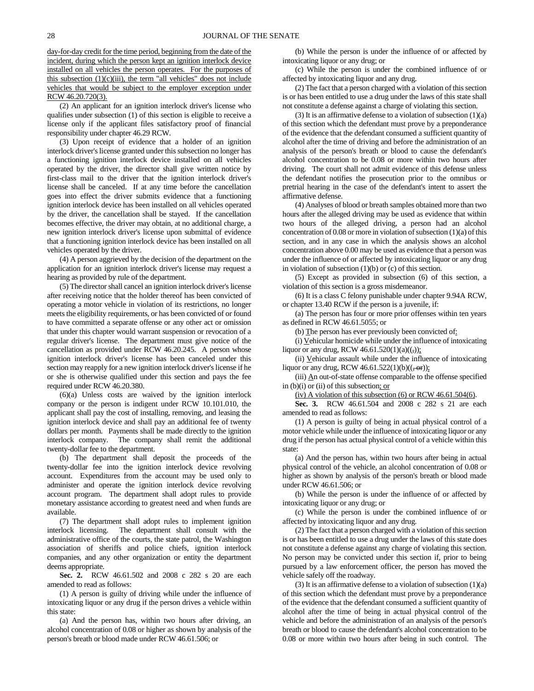day-for-day credit for the time period, beginning from the date of the incident, during which the person kept an ignition interlock device installed on all vehicles the person operates. For the purposes of this subsection  $(1)(c)(iii)$ , the term "all vehicles" does not include vehicles that would be subject to the employer exception under RCW 46.20.720(3).

(2) An applicant for an ignition interlock driver's license who qualifies under subsection (1) of this section is eligible to receive a license only if the applicant files satisfactory proof of financial responsibility under chapter 46.29 RCW.

(3) Upon receipt of evidence that a holder of an ignition interlock driver's license granted under this subsection no longer has a functioning ignition interlock device installed on all vehicles operated by the driver, the director shall give written notice by first-class mail to the driver that the ignition interlock driver's license shall be canceled. If at any time before the cancellation goes into effect the driver submits evidence that a functioning ignition interlock device has been installed on all vehicles operated by the driver, the cancellation shall be stayed. If the cancellation becomes effective, the driver may obtain, at no additional charge, a new ignition interlock driver's license upon submittal of evidence that a functioning ignition interlock device has been installed on all vehicles operated by the driver.

(4) A person aggrieved by the decision of the department on the application for an ignition interlock driver's license may request a hearing as provided by rule of the department.

(5) The director shall cancel an ignition interlock driver's license after receiving notice that the holder thereof has been convicted of operating a motor vehicle in violation of its restrictions, no longer meets the eligibility requirements, or has been convicted of or found to have committed a separate offense or any other act or omission that under this chapter would warrant suspension or revocation of a regular driver's license. The department must give notice of the cancellation as provided under RCW 46.20.245. A person whose ignition interlock driver's license has been canceled under this section may reapply for a new ignition interlock driver's license if he or she is otherwise qualified under this section and pays the fee required under RCW 46.20.380.

(6)(a) Unless costs are waived by the ignition interlock company or the person is indigent under RCW 10.101.010, the applicant shall pay the cost of installing, removing, and leasing the ignition interlock device and shall pay an additional fee of twenty dollars per month. Payments shall be made directly to the ignition interlock company. The company shall remit the additional twenty-dollar fee to the department.

(b) The department shall deposit the proceeds of the twenty-dollar fee into the ignition interlock device revolving account. Expenditures from the account may be used only to administer and operate the ignition interlock device revolving account program. The department shall adopt rules to provide monetary assistance according to greatest need and when funds are available.

(7) The department shall adopt rules to implement ignition interlock licensing. The department shall consult with the administrative office of the courts, the state patrol, the Washington association of sheriffs and police chiefs, ignition interlock companies, and any other organization or entity the department deems appropriate.

**Sec. 2.** RCW 46.61.502 and 2008 c 282 s 20 are each amended to read as follows:

(1) A person is guilty of driving while under the influence of intoxicating liquor or any drug if the person drives a vehicle within this state:

(a) And the person has, within two hours after driving, an alcohol concentration of 0.08 or higher as shown by analysis of the person's breath or blood made under RCW 46.61.506; or

(b) While the person is under the influence of or affected by intoxicating liquor or any drug; or

(c) While the person is under the combined influence of or affected by intoxicating liquor and any drug.

(2) The fact that a person charged with a violation of this section is or has been entitled to use a drug under the laws of this state shall not constitute a defense against a charge of violating this section.

(3) It is an affirmative defense to a violation of subsection  $(1)(a)$ of this section which the defendant must prove by a preponderance of the evidence that the defendant consumed a sufficient quantity of alcohol after the time of driving and before the administration of an analysis of the person's breath or blood to cause the defendant's alcohol concentration to be 0.08 or more within two hours after driving. The court shall not admit evidence of this defense unless the defendant notifies the prosecution prior to the omnibus or pretrial hearing in the case of the defendant's intent to assert the affirmative defense.

(4) Analyses of blood or breath samples obtained more than two hours after the alleged driving may be used as evidence that within two hours of the alleged driving, a person had an alcohol concentration of 0.08 or more in violation of subsection (1)(a) of this section, and in any case in which the analysis shows an alcohol concentration above 0.00 may be used as evidence that a person was under the influence of or affected by intoxicating liquor or any drug in violation of subsection  $(1)(b)$  or  $(c)$  of this section.

(5) Except as provided in subsection (6) of this section, a violation of this section is a gross misdemeanor.

(6) It is a class C felony punishable under chapter 9.94A RCW, or chapter 13.40 RCW if the person is a juvenile, if:

(a) The person has four or more prior offenses within ten years as defined in RCW 46.61.5055; or

(b) The person has ever previously been convicted of:

(i) Vehicular homicide while under the influence of intoxicating liquor or any drug, RCW  $46.61.520(1)(a)((,))$ ;

(ii)  $V$ ehicular assault while under the influence of intoxicating</u> liquor or any drug, RCW  $46.61.522(1)(b)((\frac{1}{2} \text{ or }))$ ;

(iii) An out-of-state offense comparable to the offense specified in  $(b)(i)$  or  $(ii)$  of this subsection; or

(iv) A violation of this subsection  $(6)$  or RCW 46.61.504 $(6)$ .

**Sec. 3.** RCW 46.61.504 and 2008 c 282 s 21 are each amended to read as follows:

(1) A person is guilty of being in actual physical control of a motor vehicle while under the influence of intoxicating liquor or any drug if the person has actual physical control of a vehicle within this state:

(a) And the person has, within two hours after being in actual physical control of the vehicle, an alcohol concentration of 0.08 or higher as shown by analysis of the person's breath or blood made under RCW 46.61.506; or

(b) While the person is under the influence of or affected by intoxicating liquor or any drug; or

(c) While the person is under the combined influence of or affected by intoxicating liquor and any drug.

(2) The fact that a person charged with a violation of this section is or has been entitled to use a drug under the laws of this state does not constitute a defense against any charge of violating this section. No person may be convicted under this section if, prior to being pursued by a law enforcement officer, the person has moved the vehicle safely off the roadway.

(3) It is an affirmative defense to a violation of subsection  $(1)(a)$ of this section which the defendant must prove by a preponderance of the evidence that the defendant consumed a sufficient quantity of alcohol after the time of being in actual physical control of the vehicle and before the administration of an analysis of the person's breath or blood to cause the defendant's alcohol concentration to be 0.08 or more within two hours after being in such control. The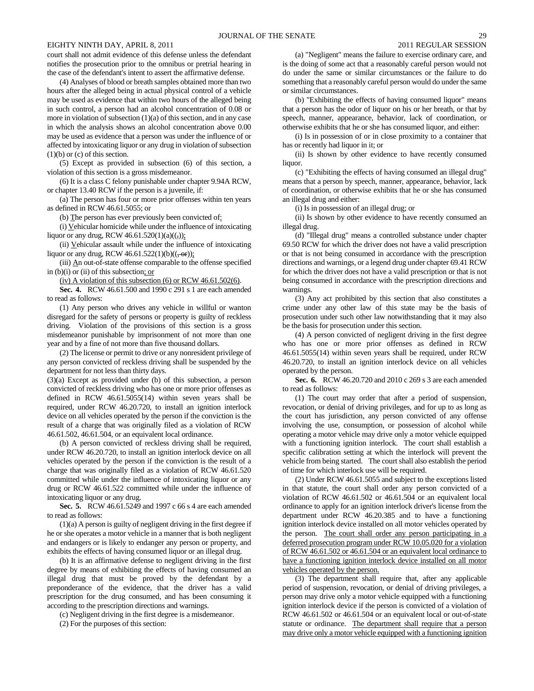court shall not admit evidence of this defense unless the defendant notifies the prosecution prior to the omnibus or pretrial hearing in the case of the defendant's intent to assert the affirmative defense.

(4) Analyses of blood or breath samples obtained more than two hours after the alleged being in actual physical control of a vehicle may be used as evidence that within two hours of the alleged being in such control, a person had an alcohol concentration of 0.08 or more in violation of subsection (1)(a) of this section, and in any case in which the analysis shows an alcohol concentration above 0.00 may be used as evidence that a person was under the influence of or affected by intoxicating liquor or any drug in violation of subsection (1)(b) or (c) of this section.

(5) Except as provided in subsection (6) of this section, a violation of this section is a gross misdemeanor.

(6) It is a class C felony punishable under chapter 9.94A RCW, or chapter 13.40 RCW if the person is a juvenile, if:

(a) The person has four or more prior offenses within ten years as defined in RCW 46.61.5055; or

(b) The person has ever previously been convicted of:

(i) Vehicular homicide while under the influence of intoxicating liquor or any drug, RCW 46.61.520(1)(a)((,));

(ii) Vehicular assault while under the influence of intoxicating liquor or any drug, RCW 46.61.522(1)(b)( $(\overline{, \text{or}})$ );

(iii) An out-of-state offense comparable to the offense specified in (b)(i) or (ii) of this subsection; or

(iv) A violation of this subsection (6) or RCW 46.61.502(6).

**Sec. 4.** RCW 46.61.500 and 1990 c 291 s 1 are each amended to read as follows:

(1) Any person who drives any vehicle in willful or wanton disregard for the safety of persons or property is guilty of reckless driving. Violation of the provisions of this section is a gross misdemeanor punishable by imprisonment of not more than one year and by a fine of not more than five thousand dollars.

(2) The license or permit to drive or any nonresident privilege of any person convicted of reckless driving shall be suspended by the department for not less than thirty days.

(3)(a) Except as provided under (b) of this subsection, a person convicted of reckless driving who has one or more prior offenses as defined in RCW 46.61.5055(14) within seven years shall be required, under RCW 46.20.720, to install an ignition interlock device on all vehicles operated by the person if the conviction is the result of a charge that was originally filed as a violation of RCW 46.61.502, 46.61.504, or an equivalent local ordinance.

(b) A person convicted of reckless driving shall be required, under RCW 46.20.720, to install an ignition interlock device on all vehicles operated by the person if the conviction is the result of a charge that was originally filed as a violation of RCW 46.61.520 committed while under the influence of intoxicating liquor or any drug or RCW 46.61.522 committed while under the influence of intoxicating liquor or any drug.

**Sec. 5.** RCW 46.61.5249 and 1997 c 66 s 4 are each amended to read as follows:

(1)(a) A person is guilty of negligent driving in the first degree if he or she operates a motor vehicle in a manner that is both negligent and endangers or is likely to endanger any person or property, and exhibits the effects of having consumed liquor or an illegal drug.

(b) It is an affirmative defense to negligent driving in the first degree by means of exhibiting the effects of having consumed an illegal drug that must be proved by the defendant by a preponderance of the evidence, that the driver has a valid prescription for the drug consumed, and has been consuming it according to the prescription directions and warnings.

(c) Negligent driving in the first degree is a misdemeanor.

(2) For the purposes of this section:

(a) "Negligent" means the failure to exercise ordinary care, and is the doing of some act that a reasonably careful person would not do under the same or similar circumstances or the failure to do something that a reasonably careful person would do under the same or similar circumstances.

(b) "Exhibiting the effects of having consumed liquor" means that a person has the odor of liquor on his or her breath, or that by speech, manner, appearance, behavior, lack of coordination, or otherwise exhibits that he or she has consumed liquor, and either:

(i) Is in possession of or in close proximity to a container that has or recently had liquor in it; or

(ii) Is shown by other evidence to have recently consumed liquor.

(c) "Exhibiting the effects of having consumed an illegal drug" means that a person by speech, manner, appearance, behavior, lack of coordination, or otherwise exhibits that he or she has consumed an illegal drug and either:

(i) Is in possession of an illegal drug; or

(ii) Is shown by other evidence to have recently consumed an illegal drug.

(d) "Illegal drug" means a controlled substance under chapter 69.50 RCW for which the driver does not have a valid prescription or that is not being consumed in accordance with the prescription directions and warnings, or a legend drug under chapter 69.41 RCW for which the driver does not have a valid prescription or that is not being consumed in accordance with the prescription directions and warnings.

(3) Any act prohibited by this section that also constitutes a crime under any other law of this state may be the basis of prosecution under such other law notwithstanding that it may also be the basis for prosecution under this section.

(4) A person convicted of negligent driving in the first degree who has one or more prior offenses as defined in RCW 46.61.5055(14) within seven years shall be required, under RCW 46.20.720, to install an ignition interlock device on all vehicles operated by the person.

**Sec. 6.** RCW 46.20.720 and 2010 c 269 s 3 are each amended to read as follows:

(1) The court may order that after a period of suspension, revocation, or denial of driving privileges, and for up to as long as the court has jurisdiction, any person convicted of any offense involving the use, consumption, or possession of alcohol while operating a motor vehicle may drive only a motor vehicle equipped with a functioning ignition interlock. The court shall establish a specific calibration setting at which the interlock will prevent the vehicle from being started. The court shall also establish the period of time for which interlock use will be required.

(2) Under RCW 46.61.5055 and subject to the exceptions listed in that statute, the court shall order any person convicted of a violation of RCW 46.61.502 or 46.61.504 or an equivalent local ordinance to apply for an ignition interlock driver's license from the department under RCW 46.20.385 and to have a functioning ignition interlock device installed on all motor vehicles operated by the person. The court shall order any person participating in a deferred prosecution program under RCW 10.05.020 for a violation of RCW 46.61.502 or 46.61.504 or an equivalent local ordinance to have a functioning ignition interlock device installed on all motor vehicles operated by the person.

(3) The department shall require that, after any applicable period of suspension, revocation, or denial of driving privileges, a person may drive only a motor vehicle equipped with a functioning ignition interlock device if the person is convicted of a violation of RCW 46.61.502 or 46.61.504 or an equivalent local or out-of-state statute or ordinance. The department shall require that a person may drive only a motor vehicle equipped with a functioning ignition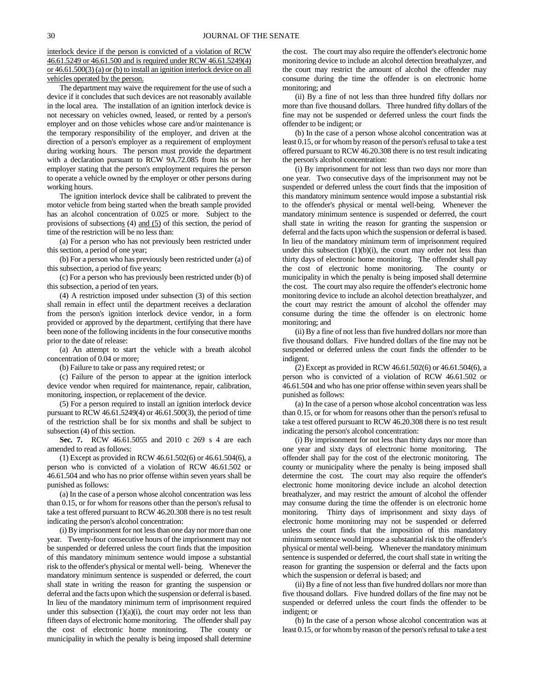interlock device if the person is convicted of a violation of RCW 46.61.5249 or 46.61.500 and is required under RCW 46.61.5249(4) or 46.61.500(3) (a) or (b) to install an ignition interlock device on all vehicles operated by the person.

The department may waive the requirement for the use of such a device if it concludes that such devices are not reasonably available in the local area. The installation of an ignition interlock device is not necessary on vehicles owned, leased, or rented by a person's employer and on those vehicles whose care and/or maintenance is the temporary responsibility of the employer, and driven at the direction of a person's employer as a requirement of employment during working hours. The person must provide the department with a declaration pursuant to RCW 9A.72.085 from his or her employer stating that the person's employment requires the person to operate a vehicle owned by the employer or other persons during working hours.

The ignition interlock device shall be calibrated to prevent the motor vehicle from being started when the breath sample provided has an alcohol concentration of 0.025 or more. Subject to the provisions of subsections (4) and (5) of this section, the period of time of the restriction will be no less than:

(a) For a person who has not previously been restricted under this section, a period of one year;

(b) For a person who has previously been restricted under (a) of this subsection, a period of five years;

(c) For a person who has previously been restricted under (b) of this subsection, a period of ten years.

(4) A restriction imposed under subsection (3) of this section shall remain in effect until the department receives a declaration from the person's ignition interlock device vendor, in a form provided or approved by the department, certifying that there have been none of the following incidents in the four consecutive months prior to the date of release:

(a) An attempt to start the vehicle with a breath alcohol concentration of 0.04 or more;

(b) Failure to take or pass any required retest; or

(c) Failure of the person to appear at the ignition interlock device vendor when required for maintenance, repair, calibration, monitoring, inspection, or replacement of the device.

(5) For a person required to install an ignition interlock device pursuant to RCW 46.61.5249(4) or 46.61.500(3), the period of time of the restriction shall be for six months and shall be subject to subsection (4) of this section.

**Sec. 7.** RCW 46.61.5055 and 2010 c 269 s 4 are each amended to read as follows:

(1) Except as provided in RCW 46.61.502(6) or 46.61.504(6), a person who is convicted of a violation of RCW 46.61.502 or 46.61.504 and who has no prior offense within seven years shall be punished as follows:

(a) In the case of a person whose alcohol concentration was less than 0.15, or for whom for reasons other than the person's refusal to take a test offered pursuant to RCW 46.20.308 there is no test result indicating the person's alcohol concentration:

(i) By imprisonment for not less than one day nor more than one year. Twenty-four consecutive hours of the imprisonment may not be suspended or deferred unless the court finds that the imposition of this mandatory minimum sentence would impose a substantial risk to the offender's physical or mental well- being. Whenever the mandatory minimum sentence is suspended or deferred, the court shall state in writing the reason for granting the suspension or deferral and the facts upon which the suspension or deferral is based. In lieu of the mandatory minimum term of imprisonment required under this subsection  $(1)(a)(i)$ , the court may order not less than fifteen days of electronic home monitoring. The offender shall pay the cost of electronic home monitoring. The county or municipality in which the penalty is being imposed shall determine the cost. The court may also require the offender's electronic home monitoring device to include an alcohol detection breathalyzer, and the court may restrict the amount of alcohol the offender may consume during the time the offender is on electronic home monitoring; and

(ii) By a fine of not less than three hundred fifty dollars nor more than five thousand dollars. Three hundred fifty dollars of the fine may not be suspended or deferred unless the court finds the offender to be indigent; or

(b) In the case of a person whose alcohol concentration was at least 0.15, or for whom by reason of the person's refusal to take a test offered pursuant to RCW 46.20.308 there is no test result indicating the person's alcohol concentration:

(i) By imprisonment for not less than two days nor more than one year. Two consecutive days of the imprisonment may not be suspended or deferred unless the court finds that the imposition of this mandatory minimum sentence would impose a substantial risk to the offender's physical or mental well-being. Whenever the mandatory minimum sentence is suspended or deferred, the court shall state in writing the reason for granting the suspension or deferral and the facts upon which the suspension or deferral is based. In lieu of the mandatory minimum term of imprisonment required under this subsection  $(1)(b)(i)$ , the court may order not less than thirty days of electronic home monitoring. The offender shall pay the cost of electronic home monitoring. The county or municipality in which the penalty is being imposed shall determine the cost. The court may also require the offender's electronic home monitoring device to include an alcohol detection breathalyzer, and the court may restrict the amount of alcohol the offender may consume during the time the offender is on electronic home monitoring; and

(ii) By a fine of not less than five hundred dollars nor more than five thousand dollars. Five hundred dollars of the fine may not be suspended or deferred unless the court finds the offender to be indigent.

(2) Except as provided in RCW 46.61.502(6) or 46.61.504(6), a person who is convicted of a violation of RCW 46.61.502 or 46.61.504 and who has one prior offense within seven years shall be punished as follows:

(a) In the case of a person whose alcohol concentration was less than 0.15, or for whom for reasons other than the person's refusal to take a test offered pursuant to RCW 46.20.308 there is no test result indicating the person's alcohol concentration:

(i) By imprisonment for not less than thirty days nor more than one year and sixty days of electronic home monitoring. The offender shall pay for the cost of the electronic monitoring. The county or municipality where the penalty is being imposed shall determine the cost. The court may also require the offender's electronic home monitoring device include an alcohol detection breathalyzer, and may restrict the amount of alcohol the offender may consume during the time the offender is on electronic home monitoring. Thirty days of imprisonment and sixty days of electronic home monitoring may not be suspended or deferred unless the court finds that the imposition of this mandatory minimum sentence would impose a substantial risk to the offender's physical or mental well-being. Whenever the mandatory minimum sentence is suspended or deferred, the court shall state in writing the reason for granting the suspension or deferral and the facts upon which the suspension or deferral is based; and

(ii) By a fine of not less than five hundred dollars nor more than five thousand dollars. Five hundred dollars of the fine may not be suspended or deferred unless the court finds the offender to be indigent; or

(b) In the case of a person whose alcohol concentration was at least 0.15, or for whom by reason of the person's refusal to take a test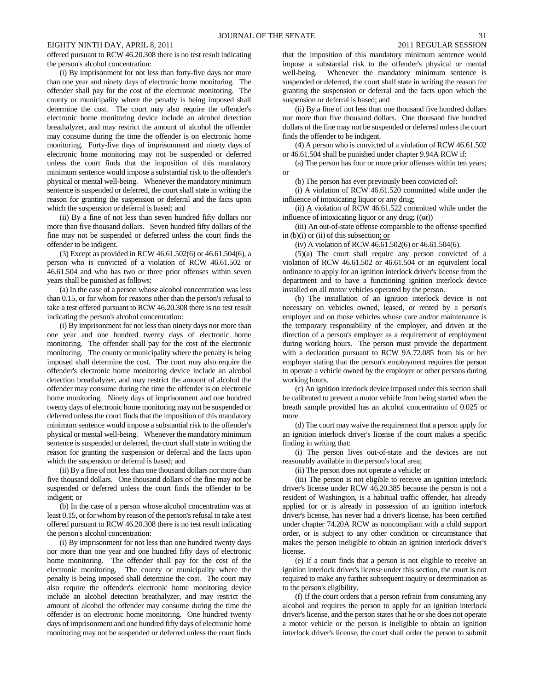offered pursuant to RCW 46.20.308 there is no test result indicating the person's alcohol concentration:

(i) By imprisonment for not less than forty-five days nor more than one year and ninety days of electronic home monitoring. The offender shall pay for the cost of the electronic monitoring. The county or municipality where the penalty is being imposed shall determine the cost. The court may also require the offender's electronic home monitoring device include an alcohol detection breathalyzer, and may restrict the amount of alcohol the offender may consume during the time the offender is on electronic home monitoring. Forty-five days of imprisonment and ninety days of electronic home monitoring may not be suspended or deferred unless the court finds that the imposition of this mandatory minimum sentence would impose a substantial risk to the offender's physical or mental well-being. Whenever the mandatory minimum sentence is suspended or deferred, the court shall state in writing the reason for granting the suspension or deferral and the facts upon which the suspension or deferral is based; and

(ii) By a fine of not less than seven hundred fifty dollars nor more than five thousand dollars. Seven hundred fifty dollars of the fine may not be suspended or deferred unless the court finds the offender to be indigent.

(3) Except as provided in RCW 46.61.502(6) or 46.61.504(6), a person who is convicted of a violation of RCW 46.61.502 or 46.61.504 and who has two or three prior offenses within seven years shall be punished as follows:

(a) In the case of a person whose alcohol concentration was less than 0.15, or for whom for reasons other than the person's refusal to take a test offered pursuant to RCW 46.20.308 there is no test result indicating the person's alcohol concentration:

(i) By imprisonment for not less than ninety days nor more than one year and one hundred twenty days of electronic home monitoring. The offender shall pay for the cost of the electronic monitoring. The county or municipality where the penalty is being imposed shall determine the cost. The court may also require the offender's electronic home monitoring device include an alcohol detection breathalyzer, and may restrict the amount of alcohol the offender may consume during the time the offender is on electronic home monitoring. Ninety days of imprisonment and one hundred twenty days of electronic home monitoring may not be suspended or deferred unless the court finds that the imposition of this mandatory minimum sentence would impose a substantial risk to the offender's physical or mental well-being. Whenever the mandatory minimum sentence is suspended or deferred, the court shall state in writing the reason for granting the suspension or deferral and the facts upon which the suspension or deferral is based; and

(ii) By a fine of not less than one thousand dollars nor more than five thousand dollars. One thousand dollars of the fine may not be suspended or deferred unless the court finds the offender to be indigent; or

(b) In the case of a person whose alcohol concentration was at least 0.15, or for whom by reason of the person's refusal to take a test offered pursuant to RCW 46.20.308 there is no test result indicating the person's alcohol concentration:

(i) By imprisonment for not less than one hundred twenty days nor more than one year and one hundred fifty days of electronic home monitoring. The offender shall pay for the cost of the electronic monitoring. The county or municipality where the penalty is being imposed shall determine the cost. The court may also require the offender's electronic home monitoring device include an alcohol detection breathalyzer, and may restrict the amount of alcohol the offender may consume during the time the offender is on electronic home monitoring. One hundred twenty days of imprisonment and one hundred fifty days of electronic home monitoring may not be suspended or deferred unless the court finds

that the imposition of this mandatory minimum sentence would impose a substantial risk to the offender's physical or mental well-being. Whenever the mandatory minimum sentence is suspended or deferred, the court shall state in writing the reason for granting the suspension or deferral and the facts upon which the suspension or deferral is based; and

(ii) By a fine of not less than one thousand five hundred dollars nor more than five thousand dollars. One thousand five hundred dollars of the fine may not be suspended or deferred unless the court finds the offender to be indigent.

(4) A person who is convicted of a violation of RCW 46.61.502 or 46.61.504 shall be punished under chapter 9.94A RCW if:

(a) The person has four or more prior offenses within ten years; or

(b) The person has ever previously been convicted of:

(i) A violation of RCW 46.61.520 committed while under the influence of intoxicating liquor or any drug;

(ii)  $\triangle$  violation of RCW 46.61.522 committed while under the influence of intoxicating liquor or any drug;  $((\Theta$ **r**))

(iii)  $\Delta$ n out-of-state offense comparable to the offense specified in (b)(i) or (ii) of this subsection; or

(iv) A violation of RCW 46.61.502(6) or 46.61.504(6).

(5)(a) The court shall require any person convicted of a violation of RCW 46.61.502 or 46.61.504 or an equivalent local ordinance to apply for an ignition interlock driver's license from the department and to have a functioning ignition interlock device installed on all motor vehicles operated by the person.

(b) The installation of an ignition interlock device is not necessary on vehicles owned, leased, or rented by a person's employer and on those vehicles whose care and/or maintenance is the temporary responsibility of the employer, and driven at the direction of a person's employer as a requirement of employment during working hours. The person must provide the department with a declaration pursuant to RCW 9A.72.085 from his or her employer stating that the person's employment requires the person to operate a vehicle owned by the employer or other persons during working hours.

(c) An ignition interlock device imposed under this section shall be calibrated to prevent a motor vehicle from being started when the breath sample provided has an alcohol concentration of 0.025 or more.

(d) The court may waive the requirement that a person apply for an ignition interlock driver's license if the court makes a specific finding in writing that:

(i) The person lives out-of-state and the devices are not reasonably available in the person's local area;

(ii) The person does not operate a vehicle; or

(iii) The person is not eligible to receive an ignition interlock driver's license under RCW 46.20.385 because the person is not a resident of Washington, is a habitual traffic offender, has already applied for or is already in possession of an ignition interlock driver's license, has never had a driver's license, has been certified under chapter 74.20A RCW as noncompliant with a child support order, or is subject to any other condition or circumstance that makes the person ineligible to obtain an ignition interlock driver's license.

(e) If a court finds that a person is not eligible to receive an ignition interlock driver's license under this section, the court is not required to make any further subsequent inquiry or determination as to the person's eligibility.

(f) If the court orders that a person refrain from consuming any alcohol and requires the person to apply for an ignition interlock driver's license, and the person states that he or she does not operate a motor vehicle or the person is ineligible to obtain an ignition interlock driver's license, the court shall order the person to submit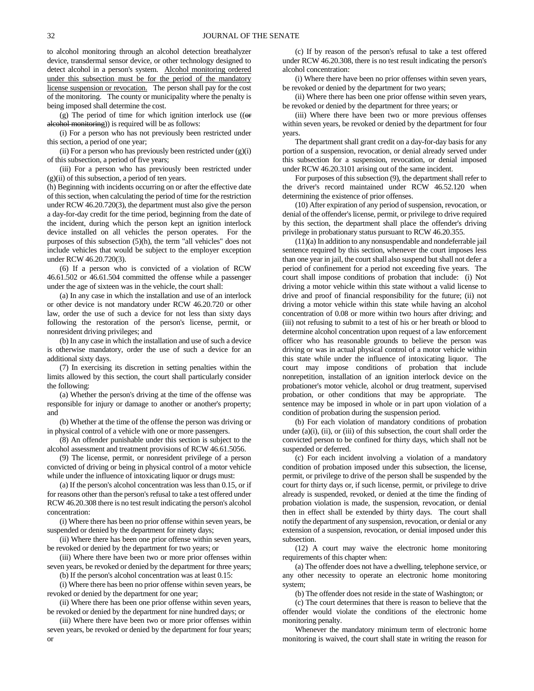to alcohol monitoring through an alcohol detection breathalyzer device, transdermal sensor device, or other technology designed to detect alcohol in a person's system. Alcohol monitoring ordered under this subsection must be for the period of the mandatory license suspension or revocation. The person shall pay for the cost of the monitoring. The county or municipality where the penalty is being imposed shall determine the cost.

(g) The period of time for which ignition interlock use  $((\n\rho$ alcohol monitoring)) is required will be as follows:

(i) For a person who has not previously been restricted under this section, a period of one year;

(ii) For a person who has previously been restricted under  $(g)(i)$ of this subsection, a period of five years;

(iii) For a person who has previously been restricted under (g)(ii) of this subsection, a period of ten years.

(h) Beginning with incidents occurring on or after the effective date of this section, when calculating the period of time for the restriction under RCW 46.20.720(3), the department must also give the person a day-for-day credit for the time period, beginning from the date of the incident, during which the person kept an ignition interlock device installed on all vehicles the person operates. For the purposes of this subsection (5)(h), the term "all vehicles" does not include vehicles that would be subject to the employer exception under RCW 46.20.720(3).

(6) If a person who is convicted of a violation of RCW 46.61.502 or 46.61.504 committed the offense while a passenger under the age of sixteen was in the vehicle, the court shall:

(a) In any case in which the installation and use of an interlock or other device is not mandatory under RCW 46.20.720 or other law, order the use of such a device for not less than sixty days following the restoration of the person's license, permit, or nonresident driving privileges; and

(b) In any case in which the installation and use of such a device is otherwise mandatory, order the use of such a device for an additional sixty days.

(7) In exercising its discretion in setting penalties within the limits allowed by this section, the court shall particularly consider the following:

(a) Whether the person's driving at the time of the offense was responsible for injury or damage to another or another's property; and

(b) Whether at the time of the offense the person was driving or in physical control of a vehicle with one or more passengers.

(8) An offender punishable under this section is subject to the alcohol assessment and treatment provisions of RCW 46.61.5056.

(9) The license, permit, or nonresident privilege of a person convicted of driving or being in physical control of a motor vehicle while under the influence of intoxicating liquor or drugs must:

(a) If the person's alcohol concentration was less than 0.15, or if for reasons other than the person's refusal to take a test offered under RCW 46.20.308 there is no test result indicating the person's alcohol concentration:

(i) Where there has been no prior offense within seven years, be suspended or denied by the department for ninety days;

(ii) Where there has been one prior offense within seven years, be revoked or denied by the department for two years; or

(iii) Where there have been two or more prior offenses within seven years, be revoked or denied by the department for three years;

(b) If the person's alcohol concentration was at least 0.15:

(i) Where there has been no prior offense within seven years, be revoked or denied by the department for one year;

(ii) Where there has been one prior offense within seven years, be revoked or denied by the department for nine hundred days; or

(iii) Where there have been two or more prior offenses within seven years, be revoked or denied by the department for four years; or

(c) If by reason of the person's refusal to take a test offered under RCW 46.20.308, there is no test result indicating the person's alcohol concentration:

(i) Where there have been no prior offenses within seven years, be revoked or denied by the department for two years;

(ii) Where there has been one prior offense within seven years, be revoked or denied by the department for three years; or

(iii) Where there have been two or more previous offenses within seven years, be revoked or denied by the department for four years.

The department shall grant credit on a day-for-day basis for any portion of a suspension, revocation, or denial already served under this subsection for a suspension, revocation, or denial imposed under RCW 46.20.3101 arising out of the same incident.

For purposes of this subsection (9), the department shall refer to the driver's record maintained under RCW 46.52.120 when determining the existence of prior offenses.

(10) After expiration of any period of suspension, revocation, or denial of the offender's license, permit, or privilege to drive required by this section, the department shall place the offender's driving privilege in probationary status pursuant to RCW 46.20.355.

(11)(a) In addition to any nonsuspendable and nondeferrable jail sentence required by this section, whenever the court imposes less than one year in jail, the court shall also suspend but shall not defer a period of confinement for a period not exceeding five years. The court shall impose conditions of probation that include: (i) Not driving a motor vehicle within this state without a valid license to drive and proof of financial responsibility for the future; (ii) not driving a motor vehicle within this state while having an alcohol concentration of 0.08 or more within two hours after driving; and (iii) not refusing to submit to a test of his or her breath or blood to determine alcohol concentration upon request of a law enforcement officer who has reasonable grounds to believe the person was driving or was in actual physical control of a motor vehicle within this state while under the influence of intoxicating liquor. The court may impose conditions of probation that include nonrepetition, installation of an ignition interlock device on the probationer's motor vehicle, alcohol or drug treatment, supervised probation, or other conditions that may be appropriate. The sentence may be imposed in whole or in part upon violation of a condition of probation during the suspension period.

(b) For each violation of mandatory conditions of probation under  $(a)(i)$ ,  $(ii)$ , or  $(iii)$  of this subsection, the court shall order the convicted person to be confined for thirty days, which shall not be suspended or deferred.

(c) For each incident involving a violation of a mandatory condition of probation imposed under this subsection, the license, permit, or privilege to drive of the person shall be suspended by the court for thirty days or, if such license, permit, or privilege to drive already is suspended, revoked, or denied at the time the finding of probation violation is made, the suspension, revocation, or denial then in effect shall be extended by thirty days. The court shall notify the department of any suspension, revocation, or denial or any extension of a suspension, revocation, or denial imposed under this subsection.

(12) A court may waive the electronic home monitoring requirements of this chapter when:

(a) The offender does not have a dwelling, telephone service, or any other necessity to operate an electronic home monitoring system;

(b) The offender does not reside in the state of Washington; or

(c) The court determines that there is reason to believe that the offender would violate the conditions of the electronic home monitoring penalty.

Whenever the mandatory minimum term of electronic home monitoring is waived, the court shall state in writing the reason for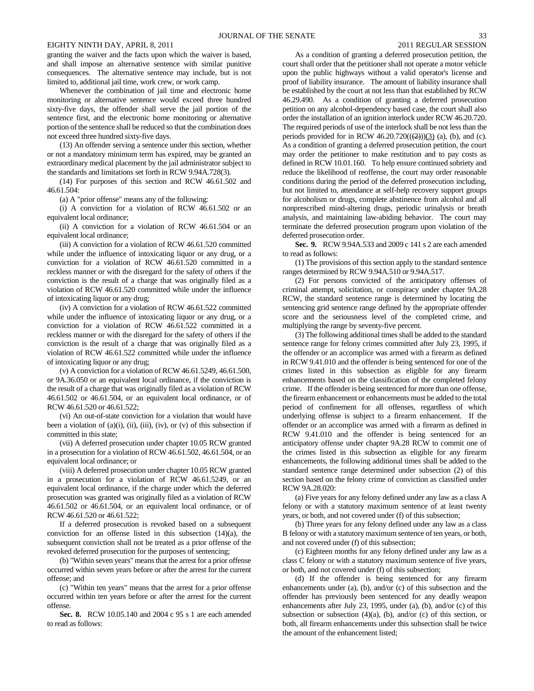granting the waiver and the facts upon which the waiver is based, and shall impose an alternative sentence with similar punitive consequences. The alternative sentence may include, but is not limited to, additional jail time, work crew, or work camp.

Whenever the combination of jail time and electronic home monitoring or alternative sentence would exceed three hundred sixty-five days, the offender shall serve the jail portion of the sentence first, and the electronic home monitoring or alternative portion of the sentence shall be reduced so that the combination does not exceed three hundred sixty-five days.

(13) An offender serving a sentence under this section, whether or not a mandatory minimum term has expired, may be granted an extraordinary medical placement by the jail administrator subject to the standards and limitations set forth in RCW 9.94A.728(3).

(14) For purposes of this section and RCW 46.61.502 and 46.61.504:

(a) A "prior offense" means any of the following:

(i) A conviction for a violation of RCW 46.61.502 or an equivalent local ordinance;

(ii) A conviction for a violation of RCW 46.61.504 or an equivalent local ordinance;

(iii) A conviction for a violation of RCW 46.61.520 committed while under the influence of intoxicating liquor or any drug, or a conviction for a violation of RCW 46.61.520 committed in a reckless manner or with the disregard for the safety of others if the conviction is the result of a charge that was originally filed as a violation of RCW 46.61.520 committed while under the influence of intoxicating liquor or any drug;

(iv) A conviction for a violation of RCW 46.61.522 committed while under the influence of intoxicating liquor or any drug, or a conviction for a violation of RCW 46.61.522 committed in a reckless manner or with the disregard for the safety of others if the conviction is the result of a charge that was originally filed as a violation of RCW 46.61.522 committed while under the influence of intoxicating liquor or any drug;

(v) A conviction for a violation of RCW 46.61.5249, 46.61.500, or 9A.36.050 or an equivalent local ordinance, if the conviction is the result of a charge that was originally filed as a violation of RCW 46.61.502 or 46.61.504, or an equivalent local ordinance, or of RCW 46.61.520 or 46.61.522;

(vi) An out-of-state conviction for a violation that would have been a violation of  $(a)(i)$ ,  $(ii)$ ,  $(iii)$ ,  $(iv)$ , or  $(v)$  of this subsection if committed in this state;

(vii) A deferred prosecution under chapter 10.05 RCW granted in a prosecution for a violation of RCW 46.61.502, 46.61.504, or an equivalent local ordinance; or

(viii) A deferred prosecution under chapter 10.05 RCW granted in a prosecution for a violation of RCW 46.61.5249, or an equivalent local ordinance, if the charge under which the deferred prosecution was granted was originally filed as a violation of RCW 46.61.502 or 46.61.504, or an equivalent local ordinance, or of RCW 46.61.520 or 46.61.522;

If a deferred prosecution is revoked based on a subsequent conviction for an offense listed in this subsection (14)(a), the subsequent conviction shall not be treated as a prior offense of the revoked deferred prosecution for the purposes of sentencing;

(b) "Within seven years" means that the arrest for a prior offense occurred within seven years before or after the arrest for the current offense; and

(c) "Within ten years" means that the arrest for a prior offense occurred within ten years before or after the arrest for the current offense.

**Sec. 8.** RCW 10.05.140 and 2004 c 95 s 1 are each amended to read as follows:

As a condition of granting a deferred prosecution petition, the court shall order that the petitioner shall not operate a motor vehicle upon the public highways without a valid operator's license and proof of liability insurance. The amount of liability insurance shall be established by the court at not less than that established by RCW 46.29.490. As a condition of granting a deferred prosecution petition on any alcohol-dependency based case, the court shall also order the installation of an ignition interlock under RCW 46.20.720. The required periods of use of the interlock shall be not less than the periods provided for in RCW  $46.20.720((2))$ (3) (a), (b), and (c). As a condition of granting a deferred prosecution petition, the court may order the petitioner to make restitution and to pay costs as defined in RCW 10.01.160. To help ensure continued sobriety and reduce the likelihood of reoffense, the court may order reasonable conditions during the period of the deferred prosecution including, but not limited to, attendance at self-help recovery support groups for alcoholism or drugs, complete abstinence from alcohol and all nonprescribed mind-altering drugs, periodic urinalysis or breath analysis, and maintaining law-abiding behavior. The court may terminate the deferred prosecution program upon violation of the deferred prosecution order.

**Sec. 9.** RCW 9.94A.533 and 2009 c 141 s 2 are each amended to read as follows:

(1) The provisions of this section apply to the standard sentence ranges determined by RCW 9.94A.510 or 9.94A.517.

(2) For persons convicted of the anticipatory offenses of criminal attempt, solicitation, or conspiracy under chapter 9A.28 RCW, the standard sentence range is determined by locating the sentencing grid sentence range defined by the appropriate offender score and the seriousness level of the completed crime, and multiplying the range by seventy-five percent.

(3) The following additional times shall be added to the standard sentence range for felony crimes committed after July 23, 1995, if the offender or an accomplice was armed with a firearm as defined in RCW 9.41.010 and the offender is being sentenced for one of the crimes listed in this subsection as eligible for any firearm enhancements based on the classification of the completed felony crime. If the offender is being sentenced for more than one offense, the firearm enhancement or enhancements must be added to the total period of confinement for all offenses, regardless of which underlying offense is subject to a firearm enhancement. If the offender or an accomplice was armed with a firearm as defined in RCW 9.41.010 and the offender is being sentenced for an anticipatory offense under chapter 9A.28 RCW to commit one of the crimes listed in this subsection as eligible for any firearm enhancements, the following additional times shall be added to the standard sentence range determined under subsection (2) of this section based on the felony crime of conviction as classified under RCW 9A.28.020:

(a) Five years for any felony defined under any law as a class A felony or with a statutory maximum sentence of at least twenty years, or both, and not covered under (f) of this subsection;

(b) Three years for any felony defined under any law as a class B felony or with a statutory maximum sentence of ten years, or both, and not covered under (f) of this subsection;

(c) Eighteen months for any felony defined under any law as a class C felony or with a statutory maximum sentence of five years, or both, and not covered under (f) of this subsection;

(d) If the offender is being sentenced for any firearm enhancements under (a), (b), and/or (c) of this subsection and the offender has previously been sentenced for any deadly weapon enhancements after July 23, 1995, under (a), (b), and/or (c) of this subsection or subsection  $(4)(a)$ ,  $(b)$ , and/or  $(c)$  of this section, or both, all firearm enhancements under this subsection shall be twice the amount of the enhancement listed;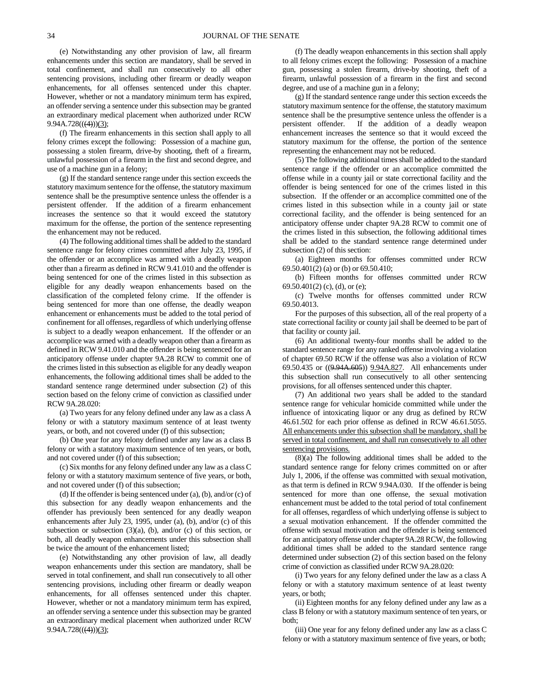(e) Notwithstanding any other provision of law, all firearm enhancements under this section are mandatory, shall be served in total confinement, and shall run consecutively to all other sentencing provisions, including other firearm or deadly weapon enhancements, for all offenses sentenced under this chapter. However, whether or not a mandatory minimum term has expired, an offender serving a sentence under this subsection may be granted an extraordinary medical placement when authorized under RCW  $9.94A.728(((4)))(3);$ 

(f) The firearm enhancements in this section shall apply to all felony crimes except the following: Possession of a machine gun, possessing a stolen firearm, drive-by shooting, theft of a firearm, unlawful possession of a firearm in the first and second degree, and use of a machine gun in a felony;

(g) If the standard sentence range under this section exceeds the statutory maximum sentence for the offense, the statutory maximum sentence shall be the presumptive sentence unless the offender is a persistent offender. If the addition of a firearm enhancement increases the sentence so that it would exceed the statutory maximum for the offense, the portion of the sentence representing the enhancement may not be reduced.

(4) The following additional times shall be added to the standard sentence range for felony crimes committed after July 23, 1995, if the offender or an accomplice was armed with a deadly weapon other than a firearm as defined in RCW 9.41.010 and the offender is being sentenced for one of the crimes listed in this subsection as eligible for any deadly weapon enhancements based on the classification of the completed felony crime. If the offender is being sentenced for more than one offense, the deadly weapon enhancement or enhancements must be added to the total period of confinement for all offenses, regardless of which underlying offense is subject to a deadly weapon enhancement. If the offender or an accomplice was armed with a deadly weapon other than a firearm as defined in RCW 9.41.010 and the offender is being sentenced for an anticipatory offense under chapter 9A.28 RCW to commit one of the crimes listed in this subsection as eligible for any deadly weapon enhancements, the following additional times shall be added to the standard sentence range determined under subsection (2) of this section based on the felony crime of conviction as classified under RCW 9A.28.020:

(a) Two years for any felony defined under any law as a class A felony or with a statutory maximum sentence of at least twenty years, or both, and not covered under (f) of this subsection;

(b) One year for any felony defined under any law as a class B felony or with a statutory maximum sentence of ten years, or both, and not covered under (f) of this subsection;

(c) Six months for any felony defined under any law as a class C felony or with a statutory maximum sentence of five years, or both, and not covered under (f) of this subsection;

(d) If the offender is being sentenced under (a), (b), and/or (c) of this subsection for any deadly weapon enhancements and the offender has previously been sentenced for any deadly weapon enhancements after July 23, 1995, under (a), (b), and/or (c) of this subsection or subsection  $(3)(a)$ ,  $(b)$ , and/or  $(c)$  of this section, or both, all deadly weapon enhancements under this subsection shall be twice the amount of the enhancement listed;

(e) Notwithstanding any other provision of law, all deadly weapon enhancements under this section are mandatory, shall be served in total confinement, and shall run consecutively to all other sentencing provisions, including other firearm or deadly weapon enhancements, for all offenses sentenced under this chapter. However, whether or not a mandatory minimum term has expired, an offender serving a sentence under this subsection may be granted an extraordinary medical placement when authorized under RCW  $9.94A.728(((4)))(3);$ 

(f) The deadly weapon enhancements in this section shall apply to all felony crimes except the following: Possession of a machine gun, possessing a stolen firearm, drive-by shooting, theft of a firearm, unlawful possession of a firearm in the first and second degree, and use of a machine gun in a felony;

(g) If the standard sentence range under this section exceeds the statutory maximum sentence for the offense, the statutory maximum sentence shall be the presumptive sentence unless the offender is a persistent offender. If the addition of a deadly weapon enhancement increases the sentence so that it would exceed the statutory maximum for the offense, the portion of the sentence representing the enhancement may not be reduced.

(5) The following additional times shall be added to the standard sentence range if the offender or an accomplice committed the offense while in a county jail or state correctional facility and the offender is being sentenced for one of the crimes listed in this subsection. If the offender or an accomplice committed one of the crimes listed in this subsection while in a county jail or state correctional facility, and the offender is being sentenced for an anticipatory offense under chapter 9A.28 RCW to commit one of the crimes listed in this subsection, the following additional times shall be added to the standard sentence range determined under subsection (2) of this section:

(a) Eighteen months for offenses committed under RCW 69.50.401(2) (a) or (b) or 69.50.410;

(b) Fifteen months for offenses committed under RCW 69.50.401(2) (c), (d), or (e);

(c) Twelve months for offenses committed under RCW 69.50.4013.

For the purposes of this subsection, all of the real property of a state correctional facility or county jail shall be deemed to be part of that facility or county jail.

(6) An additional twenty-four months shall be added to the standard sentence range for any ranked offense involving a violation of chapter 69.50 RCW if the offense was also a violation of RCW 69.50.435 or ((9.94A.605)) 9.94A.827. All enhancements under this subsection shall run consecutively to all other sentencing provisions, for all offenses sentenced under this chapter.

(7) An additional two years shall be added to the standard sentence range for vehicular homicide committed while under the influence of intoxicating liquor or any drug as defined by RCW 46.61.502 for each prior offense as defined in RCW 46.61.5055. All enhancements under this subsection shall be mandatory, shall be served in total confinement, and shall run consecutively to all other sentencing provisions.

(8)(a) The following additional times shall be added to the standard sentence range for felony crimes committed on or after July 1, 2006, if the offense was committed with sexual motivation, as that term is defined in RCW 9.94A.030. If the offender is being sentenced for more than one offense, the sexual motivation enhancement must be added to the total period of total confinement for all offenses, regardless of which underlying offense is subject to a sexual motivation enhancement. If the offender committed the offense with sexual motivation and the offender is being sentenced for an anticipatory offense under chapter 9A.28 RCW, the following additional times shall be added to the standard sentence range determined under subsection (2) of this section based on the felony crime of conviction as classified under RCW 9A.28.020:

(i) Two years for any felony defined under the law as a class A felony or with a statutory maximum sentence of at least twenty years, or both;

(ii) Eighteen months for any felony defined under any law as a class B felony or with a statutory maximum sentence of ten years, or both;

(iii) One year for any felony defined under any law as a class C felony or with a statutory maximum sentence of five years, or both;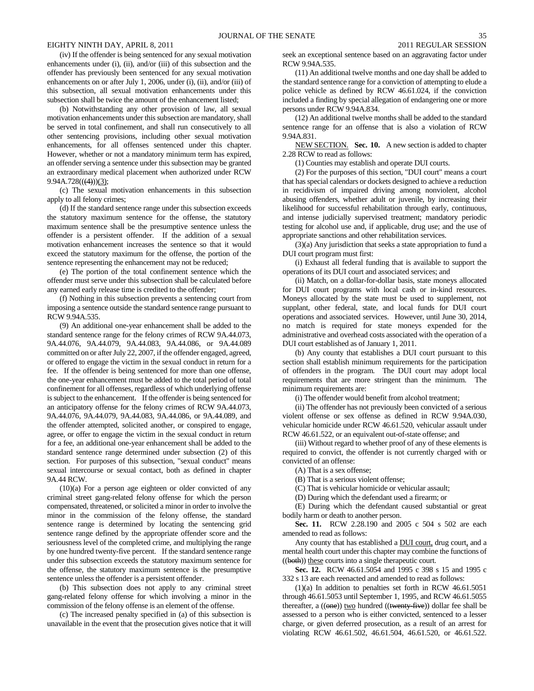(iv) If the offender is being sentenced for any sexual motivation enhancements under (i), (ii), and/or (iii) of this subsection and the offender has previously been sentenced for any sexual motivation enhancements on or after July 1, 2006, under (i), (ii), and/or (iii) of this subsection, all sexual motivation enhancements under this subsection shall be twice the amount of the enhancement listed;

(b) Notwithstanding any other provision of law, all sexual motivation enhancements under this subsection are mandatory, shall be served in total confinement, and shall run consecutively to all other sentencing provisions, including other sexual motivation enhancements, for all offenses sentenced under this chapter. However, whether or not a mandatory minimum term has expired, an offender serving a sentence under this subsection may be granted an extraordinary medical placement when authorized under RCW  $9.94A.728(((4)))(3);$ 

(c) The sexual motivation enhancements in this subsection apply to all felony crimes;

(d) If the standard sentence range under this subsection exceeds the statutory maximum sentence for the offense, the statutory maximum sentence shall be the presumptive sentence unless the offender is a persistent offender. If the addition of a sexual motivation enhancement increases the sentence so that it would exceed the statutory maximum for the offense, the portion of the sentence representing the enhancement may not be reduced;

(e) The portion of the total confinement sentence which the offender must serve under this subsection shall be calculated before any earned early release time is credited to the offender;

(f) Nothing in this subsection prevents a sentencing court from imposing a sentence outside the standard sentence range pursuant to RCW 9.94A.535.

(9) An additional one-year enhancement shall be added to the standard sentence range for the felony crimes of RCW 9A.44.073, 9A.44.076, 9A.44.079, 9A.44.083, 9A.44.086, or 9A.44.089 committed on or after July 22, 2007, if the offender engaged, agreed, or offered to engage the victim in the sexual conduct in return for a fee. If the offender is being sentenced for more than one offense, the one-year enhancement must be added to the total period of total confinement for all offenses, regardless of which underlying offense is subject to the enhancement. If the offender is being sentenced for an anticipatory offense for the felony crimes of RCW 9A.44.073, 9A.44.076, 9A.44.079, 9A.44.083, 9A.44.086, or 9A.44.089, and the offender attempted, solicited another, or conspired to engage, agree, or offer to engage the victim in the sexual conduct in return for a fee, an additional one-year enhancement shall be added to the standard sentence range determined under subsection (2) of this section. For purposes of this subsection, "sexual conduct" means sexual intercourse or sexual contact, both as defined in chapter 9A.44 RCW.

(10)(a) For a person age eighteen or older convicted of any criminal street gang-related felony offense for which the person compensated, threatened, or solicited a minor in order to involve the minor in the commission of the felony offense, the standard sentence range is determined by locating the sentencing grid sentence range defined by the appropriate offender score and the seriousness level of the completed crime, and multiplying the range by one hundred twenty-five percent. If the standard sentence range under this subsection exceeds the statutory maximum sentence for the offense, the statutory maximum sentence is the presumptive sentence unless the offender is a persistent offender.

(b) This subsection does not apply to any criminal street gang-related felony offense for which involving a minor in the commission of the felony offense is an element of the offense.

(c) The increased penalty specified in (a) of this subsection is unavailable in the event that the prosecution gives notice that it will seek an exceptional sentence based on an aggravating factor under RCW 9.94A.535.

(11) An additional twelve months and one day shall be added to the standard sentence range for a conviction of attempting to elude a police vehicle as defined by RCW 46.61.024, if the conviction included a finding by special allegation of endangering one or more persons under RCW 9.94A.834.

(12) An additional twelve months shall be added to the standard sentence range for an offense that is also a violation of RCW 9.94A.831.

NEW SECTION. **Sec. 10.** A new section is added to chapter 2.28 RCW to read as follows:

(1) Counties may establish and operate DUI courts.

(2) For the purposes of this section, "DUI court" means a court that has special calendars or dockets designed to achieve a reduction in recidivism of impaired driving among nonviolent, alcohol abusing offenders, whether adult or juvenile, by increasing their likelihood for successful rehabilitation through early, continuous, and intense judicially supervised treatment; mandatory periodic testing for alcohol use and, if applicable, drug use; and the use of appropriate sanctions and other rehabilitation services.

(3)(a) Any jurisdiction that seeks a state appropriation to fund a DUI court program must first:

(i) Exhaust all federal funding that is available to support the operations of its DUI court and associated services; and

(ii) Match, on a dollar-for-dollar basis, state moneys allocated for DUI court programs with local cash or in-kind resources. Moneys allocated by the state must be used to supplement, not supplant, other federal, state, and local funds for DUI court operations and associated services. However, until June 30, 2014, no match is required for state moneys expended for the administrative and overhead costs associated with the operation of a DUI court established as of January 1, 2011.

(b) Any county that establishes a DUI court pursuant to this section shall establish minimum requirements for the participation of offenders in the program. The DUI court may adopt local requirements that are more stringent than the minimum. The minimum requirements are:

(i) The offender would benefit from alcohol treatment;

(ii) The offender has not previously been convicted of a serious violent offense or sex offense as defined in RCW 9.94A.030, vehicular homicide under RCW 46.61.520, vehicular assault under RCW 46.61.522, or an equivalent out-of-state offense; and

(iii) Without regard to whether proof of any of these elements is required to convict, the offender is not currently charged with or convicted of an offense:

(A) That is a sex offense;

(B) That is a serious violent offense;

(C) That is vehicular homicide or vehicular assault;

(D) During which the defendant used a firearm; or

(E) During which the defendant caused substantial or great bodily harm or death to another person.

**Sec. 11.** RCW 2.28.190 and 2005 c 504 s 502 are each amended to read as follows:

Any county that has established a **DUI** court, drug court, and a mental health court under this chapter may combine the functions of ((both)) these courts into a single therapeutic court.

**Sec. 12.** RCW 46.61.5054 and 1995 c 398 s 15 and 1995 c 332 s 13 are each reenacted and amended to read as follows:

(1)(a) In addition to penalties set forth in RCW 46.61.5051 through 46.61.5053 until September 1, 1995, and RCW 46.61.5055 thereafter, a  $((\overline{\text{one}}))$  two hundred  $((\overline{\text{twenty-five}}))$  dollar fee shall be assessed to a person who is either convicted, sentenced to a lesser charge, or given deferred prosecution, as a result of an arrest for violating RCW 46.61.502, 46.61.504, 46.61.520, or 46.61.522.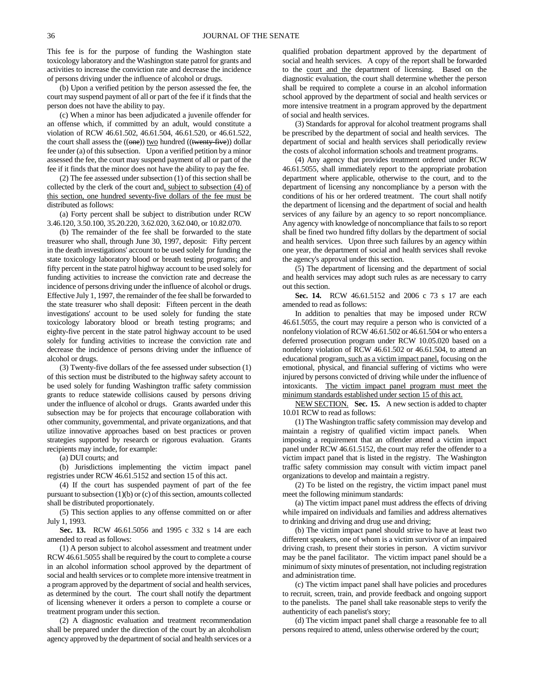This fee is for the purpose of funding the Washington state toxicology laboratory and the Washington state patrol for grants and activities to increase the conviction rate and decrease the incidence of persons driving under the influence of alcohol or drugs.

(b) Upon a verified petition by the person assessed the fee, the court may suspend payment of all or part of the fee if it finds that the person does not have the ability to pay.

(c) When a minor has been adjudicated a juvenile offender for an offense which, if committed by an adult, would constitute a violation of RCW 46.61.502, 46.61.504, 46.61.520, or 46.61.522, the court shall assess the  $((one))$  two hundred  $((twenty-five))$  dollar fee under (a) of this subsection. Upon a verified petition by a minor assessed the fee, the court may suspend payment of all or part of the fee if it finds that the minor does not have the ability to pay the fee.

(2) The fee assessed under subsection (1) of this section shall be collected by the clerk of the court and, subject to subsection (4) of this section, one hundred seventy-five dollars of the fee must be distributed as follows:

(a) Forty percent shall be subject to distribution under RCW 3.46.120, 3.50.100, 35.20.220, 3.62.020, 3.62.040, or 10.82.070.

(b) The remainder of the fee shall be forwarded to the state treasurer who shall, through June 30, 1997, deposit: Fifty percent in the death investigations' account to be used solely for funding the state toxicology laboratory blood or breath testing programs; and fifty percent in the state patrol highway account to be used solely for funding activities to increase the conviction rate and decrease the incidence of persons driving under the influence of alcohol or drugs. Effective July 1, 1997, the remainder of the fee shall be forwarded to the state treasurer who shall deposit: Fifteen percent in the death investigations' account to be used solely for funding the state toxicology laboratory blood or breath testing programs; and eighty-five percent in the state patrol highway account to be used solely for funding activities to increase the conviction rate and decrease the incidence of persons driving under the influence of alcohol or drugs.

(3) Twenty-five dollars of the fee assessed under subsection (1) of this section must be distributed to the highway safety account to be used solely for funding Washington traffic safety commission grants to reduce statewide collisions caused by persons driving under the influence of alcohol or drugs. Grants awarded under this subsection may be for projects that encourage collaboration with other community, governmental, and private organizations, and that utilize innovative approaches based on best practices or proven strategies supported by research or rigorous evaluation. Grants recipients may include, for example:

(a) DUI courts; and

(b) Jurisdictions implementing the victim impact panel registries under RCW 46.61.5152 and section 15 of this act.

(4) If the court has suspended payment of part of the fee pursuant to subsection (1)(b) or (c) of this section, amounts collected shall be distributed proportionately.

(5) This section applies to any offense committed on or after July 1, 1993.

**Sec. 13.** RCW 46.61.5056 and 1995 c 332 s 14 are each amended to read as follows:

(1) A person subject to alcohol assessment and treatment under RCW 46.61.5055 shall be required by the court to complete a course in an alcohol information school approved by the department of social and health services or to complete more intensive treatment in a program approved by the department of social and health services, as determined by the court. The court shall notify the department of licensing whenever it orders a person to complete a course or treatment program under this section.

(2) A diagnostic evaluation and treatment recommendation shall be prepared under the direction of the court by an alcoholism agency approved by the department of social and health services or a qualified probation department approved by the department of social and health services. A copy of the report shall be forwarded to the court and the department of licensing. Based on the diagnostic evaluation, the court shall determine whether the person shall be required to complete a course in an alcohol information school approved by the department of social and health services or more intensive treatment in a program approved by the department of social and health services.

(3) Standards for approval for alcohol treatment programs shall be prescribed by the department of social and health services. The department of social and health services shall periodically review the costs of alcohol information schools and treatment programs.

(4) Any agency that provides treatment ordered under RCW 46.61.5055, shall immediately report to the appropriate probation department where applicable, otherwise to the court, and to the department of licensing any noncompliance by a person with the conditions of his or her ordered treatment. The court shall notify the department of licensing and the department of social and health services of any failure by an agency to so report noncompliance. Any agency with knowledge of noncompliance that fails to so report shall be fined two hundred fifty dollars by the department of social and health services. Upon three such failures by an agency within one year, the department of social and health services shall revoke the agency's approval under this section.

(5) The department of licensing and the department of social and health services may adopt such rules as are necessary to carry out this section.

**Sec. 14.** RCW 46.61.5152 and 2006 c 73 s 17 are each amended to read as follows:

In addition to penalties that may be imposed under RCW 46.61.5055, the court may require a person who is convicted of a nonfelony violation of RCW 46.61.502 or 46.61.504 or who enters a deferred prosecution program under RCW 10.05.020 based on a nonfelony violation of RCW 46.61.502 or 46.61.504, to attend an educational program, such as a victim impact panel, focusing on the emotional, physical, and financial suffering of victims who were injured by persons convicted of driving while under the influence of intoxicants. The victim impact panel program must meet the minimum standards established under section 15 of this act.

NEW SECTION. **Sec. 15.** A new section is added to chapter 10.01 RCW to read as follows:

(1) The Washington traffic safety commission may develop and maintain a registry of qualified victim impact panels. When imposing a requirement that an offender attend a victim impact panel under RCW 46.61.5152, the court may refer the offender to a victim impact panel that is listed in the registry. The Washington traffic safety commission may consult with victim impact panel organizations to develop and maintain a registry.

(2) To be listed on the registry, the victim impact panel must meet the following minimum standards:

(a) The victim impact panel must address the effects of driving while impaired on individuals and families and address alternatives to drinking and driving and drug use and driving;

(b) The victim impact panel should strive to have at least two different speakers, one of whom is a victim survivor of an impaired driving crash, to present their stories in person. A victim survivor may be the panel facilitator. The victim impact panel should be a minimum of sixty minutes of presentation, not including registration and administration time.

(c) The victim impact panel shall have policies and procedures to recruit, screen, train, and provide feedback and ongoing support to the panelists. The panel shall take reasonable steps to verify the authenticity of each panelist's story;

(d) The victim impact panel shall charge a reasonable fee to all persons required to attend, unless otherwise ordered by the court;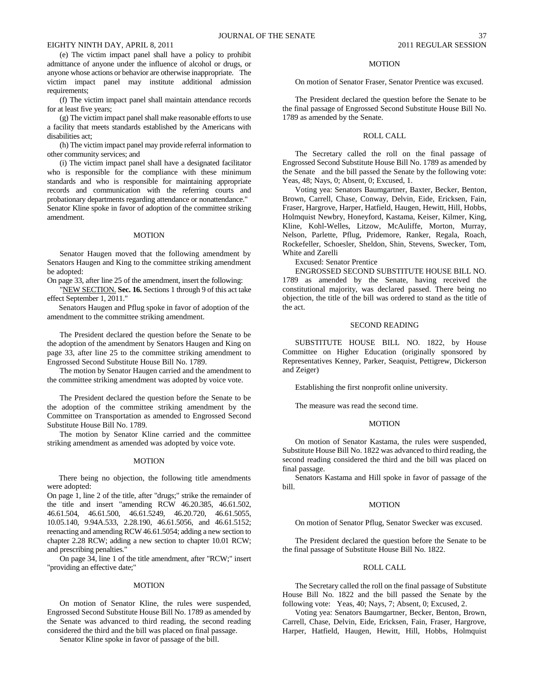(e) The victim impact panel shall have a policy to prohibit admittance of anyone under the influence of alcohol or drugs, or anyone whose actions or behavior are otherwise inappropriate. The victim impact panel may institute additional admission requirements;

(f) The victim impact panel shall maintain attendance records for at least five years;

(g) The victim impact panel shall make reasonable efforts to use a facility that meets standards established by the Americans with disabilities act;

(h) The victim impact panel may provide referral information to other community services; and

(i) The victim impact panel shall have a designated facilitator who is responsible for the compliance with these minimum standards and who is responsible for maintaining appropriate records and communication with the referring courts and probationary departments regarding attendance or nonattendance." Senator Kline spoke in favor of adoption of the committee striking amendment.

## MOTION

Senator Haugen moved that the following amendment by Senators Haugen and King to the committee striking amendment be adopted:

On page 33, after line 25 of the amendment, insert the following:

"NEW SECTION. **Sec. 16.** Sections 1 through 9 of this act take effect September 1, 2011."

Senators Haugen and Pflug spoke in favor of adoption of the amendment to the committee striking amendment.

The President declared the question before the Senate to be the adoption of the amendment by Senators Haugen and King on page 33, after line 25 to the committee striking amendment to Engrossed Second Substitute House Bill No. 1789.

The motion by Senator Haugen carried and the amendment to the committee striking amendment was adopted by voice vote.

The President declared the question before the Senate to be the adoption of the committee striking amendment by the Committee on Transportation as amended to Engrossed Second Substitute House Bill No. 1789.

The motion by Senator Kline carried and the committee striking amendment as amended was adopted by voice vote.

### **MOTION**

There being no objection, the following title amendments were adopted:

On page 1, line 2 of the title, after "drugs;" strike the remainder of the title and insert "amending RCW 46.20.385, 46.61.502, 46.61.504, 46.61.500, 46.61.5249, 46.20.720, 46.61.5055, 10.05.140, 9.94A.533, 2.28.190, 46.61.5056, and 46.61.5152; reenacting and amending RCW 46.61.5054; adding a new section to chapter 2.28 RCW; adding a new section to chapter 10.01 RCW; and prescribing penalties."

On page 34, line 1 of the title amendment, after "RCW;" insert "providing an effective date;"

## **MOTION**

On motion of Senator Kline, the rules were suspended, Engrossed Second Substitute House Bill No. 1789 as amended by the Senate was advanced to third reading, the second reading considered the third and the bill was placed on final passage.

Senator Kline spoke in favor of passage of the bill.

#### MOTION

On motion of Senator Fraser, Senator Prentice was excused.

The President declared the question before the Senate to be the final passage of Engrossed Second Substitute House Bill No. 1789 as amended by the Senate.

## ROLL CALL

The Secretary called the roll on the final passage of Engrossed Second Substitute House Bill No. 1789 as amended by the Senate and the bill passed the Senate by the following vote: Yeas, 48; Nays, 0; Absent, 0; Excused, 1.

Voting yea: Senators Baumgartner, Baxter, Becker, Benton, Brown, Carrell, Chase, Conway, Delvin, Eide, Ericksen, Fain, Fraser, Hargrove, Harper, Hatfield, Haugen, Hewitt, Hill, Hobbs, Holmquist Newbry, Honeyford, Kastama, Keiser, Kilmer, King, Kline, Kohl-Welles, Litzow, McAuliffe, Morton, Murray, Nelson, Parlette, Pflug, Pridemore, Ranker, Regala, Roach, Rockefeller, Schoesler, Sheldon, Shin, Stevens, Swecker, Tom, White and Zarelli

Excused: Senator Prentice

ENGROSSED SECOND SUBSTITUTE HOUSE BILL NO. 1789 as amended by the Senate, having received the constitutional majority, was declared passed. There being no objection, the title of the bill was ordered to stand as the title of the act.

## SECOND READING

SUBSTITUTE HOUSE BILL NO. 1822, by House Committee on Higher Education (originally sponsored by Representatives Kenney, Parker, Seaquist, Pettigrew, Dickerson and Zeiger)

Establishing the first nonprofit online university.

The measure was read the second time.

#### MOTION

On motion of Senator Kastama, the rules were suspended, Substitute House Bill No. 1822 was advanced to third reading, the second reading considered the third and the bill was placed on final passage.

Senators Kastama and Hill spoke in favor of passage of the bill.

## MOTION

On motion of Senator Pflug, Senator Swecker was excused.

The President declared the question before the Senate to be the final passage of Substitute House Bill No. 1822.

## ROLL CALL

The Secretary called the roll on the final passage of Substitute House Bill No. 1822 and the bill passed the Senate by the following vote: Yeas, 40; Nays, 7; Absent, 0; Excused, 2.

Voting yea: Senators Baumgartner, Becker, Benton, Brown, Carrell, Chase, Delvin, Eide, Ericksen, Fain, Fraser, Hargrove, Harper, Hatfield, Haugen, Hewitt, Hill, Hobbs, Holmquist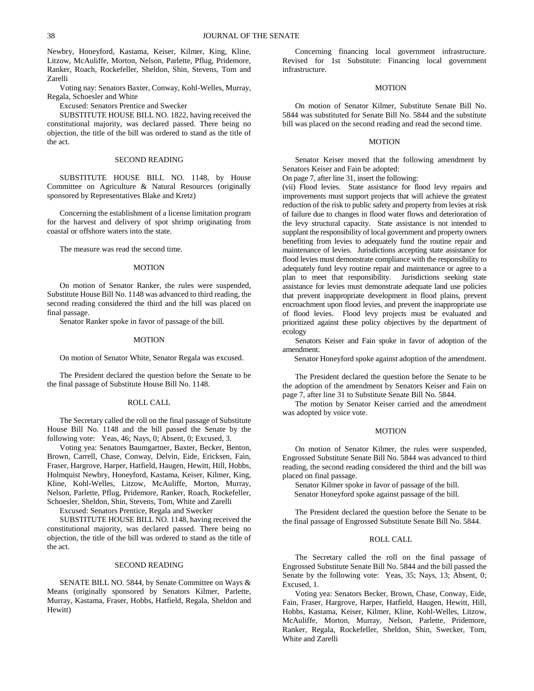Newbry, Honeyford, Kastama, Keiser, Kilmer, King, Kline, Litzow, McAuliffe, Morton, Nelson, Parlette, Pflug, Pridemore, Ranker, Roach, Rockefeller, Sheldon, Shin, Stevens, Tom and Zarelli

Voting nay: Senators Baxter, Conway, Kohl-Welles, Murray, Regala, Schoesler and White

Excused: Senators Prentice and Swecker

SUBSTITUTE HOUSE BILL NO. 1822, having received the constitutional majority, was declared passed. There being no objection, the title of the bill was ordered to stand as the title of the act.

#### SECOND READING

SUBSTITUTE HOUSE BILL NO. 1148, by House Committee on Agriculture & Natural Resources (originally sponsored by Representatives Blake and Kretz)

Concerning the establishment of a license limitation program for the harvest and delivery of spot shrimp originating from coastal or offshore waters into the state.

The measure was read the second time.

## MOTION

On motion of Senator Ranker, the rules were suspended, Substitute House Bill No. 1148 was advanced to third reading, the second reading considered the third and the bill was placed on final passage.

Senator Ranker spoke in favor of passage of the bill.

#### MOTION

On motion of Senator White, Senator Regala was excused.

The President declared the question before the Senate to be the final passage of Substitute House Bill No. 1148.

## ROLL CALL

The Secretary called the roll on the final passage of Substitute House Bill No. 1148 and the bill passed the Senate by the following vote: Yeas, 46; Nays, 0; Absent, 0; Excused, 3.

Voting yea: Senators Baumgartner, Baxter, Becker, Benton, Brown, Carrell, Chase, Conway, Delvin, Eide, Ericksen, Fain, Fraser, Hargrove, Harper, Hatfield, Haugen, Hewitt, Hill, Hobbs, Holmquist Newbry, Honeyford, Kastama, Keiser, Kilmer, King, Kline, Kohl-Welles, Litzow, McAuliffe, Morton, Murray, Nelson, Parlette, Pflug, Pridemore, Ranker, Roach, Rockefeller, Schoesler, Sheldon, Shin, Stevens, Tom, White and Zarelli

Excused: Senators Prentice, Regala and Swecker

SUBSTITUTE HOUSE BILL NO. 1148, having received the constitutional majority, was declared passed. There being no objection, the title of the bill was ordered to stand as the title of the act.

#### SECOND READING

SENATE BILL NO. 5844, by Senate Committee on Ways & Means (originally sponsored by Senators Kilmer, Parlette, Murray, Kastama, Fraser, Hobbs, Hatfield, Regala, Sheldon and Hewitt)

Concerning financing local government infrastructure. Revised for 1st Substitute: Financing local government infrastructure.

## **MOTION**

On motion of Senator Kilmer, Substitute Senate Bill No. 5844 was substituted for Senate Bill No. 5844 and the substitute bill was placed on the second reading and read the second time.

#### MOTION

Senator Keiser moved that the following amendment by Senators Keiser and Fain be adopted:

On page 7, after line 31, insert the following:

(vii) Flood levies. State assistance for flood levy repairs and improvements must support projects that will achieve the greatest reduction of the risk to public safety and property from levies at risk of failure due to changes in flood water flows and deterioration of the levy structural capacity. State assistance is not intended to supplant the responsibility of local government and property owners benefiting from levies to adequately fund the routine repair and maintenance of levies. Jurisdictions accepting state assistance for flood levies must demonstrate compliance with the responsibility to adequately fund levy routine repair and maintenance or agree to a plan to meet that responsibility. Jurisdictions seeking state assistance for levies must demonstrate adequate land use policies that prevent inappropriate development in flood plains, prevent encroachment upon flood levies, and prevent the inappropriate use of flood levies. Flood levy projects must be evaluated and prioritized against these policy objectives by the department of ecology

Senators Keiser and Fain spoke in favor of adoption of the amendment.

Senator Honeyford spoke against adoption of the amendment.

The President declared the question before the Senate to be the adoption of the amendment by Senators Keiser and Fain on page 7, after line 31 to Substitute Senate Bill No. 5844.

The motion by Senator Keiser carried and the amendment was adopted by voice vote.

## MOTION

On motion of Senator Kilmer, the rules were suspended, Engrossed Substitute Senate Bill No. 5844 was advanced to third reading, the second reading considered the third and the bill was placed on final passage.

Senator Kilmer spoke in favor of passage of the bill.

Senator Honeyford spoke against passage of the bill.

The President declared the question before the Senate to be the final passage of Engrossed Substitute Senate Bill No. 5844.

#### ROLL CALL

The Secretary called the roll on the final passage of Engrossed Substitute Senate Bill No. 5844 and the bill passed the Senate by the following vote: Yeas, 35; Nays, 13; Absent, 0; Excused, 1.

Voting yea: Senators Becker, Brown, Chase, Conway, Eide, Fain, Fraser, Hargrove, Harper, Hatfield, Haugen, Hewitt, Hill, Hobbs, Kastama, Keiser, Kilmer, Kline, Kohl-Welles, Litzow, McAuliffe, Morton, Murray, Nelson, Parlette, Pridemore, Ranker, Regala, Rockefeller, Sheldon, Shin, Swecker, Tom, White and Zarelli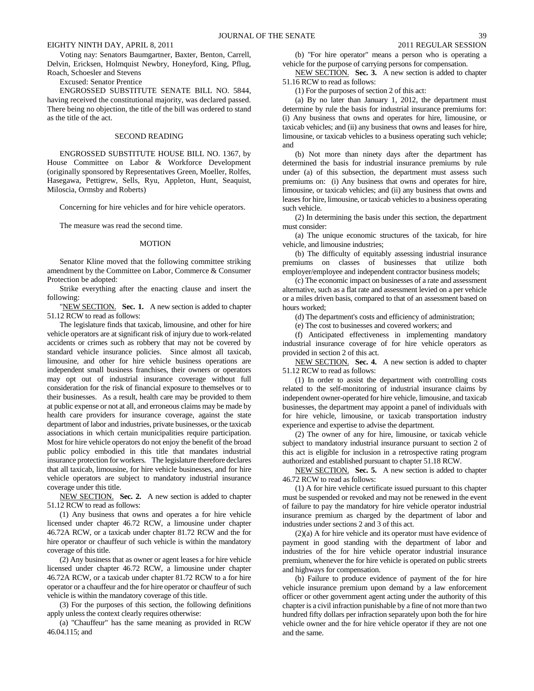Voting nay: Senators Baumgartner, Baxter, Benton, Carrell, Delvin, Ericksen, Holmquist Newbry, Honeyford, King, Pflug, Roach, Schoesler and Stevens

## Excused: Senator Prentice

ENGROSSED SUBSTITUTE SENATE BILL NO. 5844, having received the constitutional majority, was declared passed. There being no objection, the title of the bill was ordered to stand as the title of the act.

## SECOND READING

ENGROSSED SUBSTITUTE HOUSE BILL NO. 1367, by House Committee on Labor & Workforce Development (originally sponsored by Representatives Green, Moeller, Rolfes, Hasegawa, Pettigrew, Sells, Ryu, Appleton, Hunt, Seaquist, Miloscia, Ormsby and Roberts)

Concerning for hire vehicles and for hire vehicle operators.

The measure was read the second time.

#### MOTION

Senator Kline moved that the following committee striking amendment by the Committee on Labor, Commerce & Consumer Protection be adopted:

Strike everything after the enacting clause and insert the following:

"NEW SECTION. **Sec. 1.** A new section is added to chapter 51.12 RCW to read as follows:

The legislature finds that taxicab, limousine, and other for hire vehicle operators are at significant risk of injury due to work-related accidents or crimes such as robbery that may not be covered by standard vehicle insurance policies. Since almost all taxicab, limousine, and other for hire vehicle business operations are independent small business franchises, their owners or operators may opt out of industrial insurance coverage without full consideration for the risk of financial exposure to themselves or to their businesses. As a result, health care may be provided to them at public expense or not at all, and erroneous claims may be made by health care providers for insurance coverage, against the state department of labor and industries, private businesses, or the taxicab associations in which certain municipalities require participation. Most for hire vehicle operators do not enjoy the benefit of the broad public policy embodied in this title that mandates industrial insurance protection for workers. The legislature therefore declares that all taxicab, limousine, for hire vehicle businesses, and for hire vehicle operators are subject to mandatory industrial insurance coverage under this title.

NEW SECTION. **Sec. 2.** A new section is added to chapter 51.12 RCW to read as follows:

(1) Any business that owns and operates a for hire vehicle licensed under chapter 46.72 RCW, a limousine under chapter 46.72A RCW, or a taxicab under chapter 81.72 RCW and the for hire operator or chauffeur of such vehicle is within the mandatory coverage of this title.

(2) Any business that as owner or agent leases a for hire vehicle licensed under chapter 46.72 RCW, a limousine under chapter 46.72A RCW, or a taxicab under chapter 81.72 RCW to a for hire operator or a chauffeur and the for hire operator or chauffeur of such vehicle is within the mandatory coverage of this title.

(3) For the purposes of this section, the following definitions apply unless the context clearly requires otherwise:

(a) "Chauffeur" has the same meaning as provided in RCW 46.04.115; and

(b) "For hire operator" means a person who is operating a vehicle for the purpose of carrying persons for compensation.

NEW SECTION. **Sec. 3.** A new section is added to chapter 51.16 RCW to read as follows:

(1) For the purposes of section 2 of this act:

(a) By no later than January 1, 2012, the department must determine by rule the basis for industrial insurance premiums for: (i) Any business that owns and operates for hire, limousine, or taxicab vehicles; and (ii) any business that owns and leases for hire, limousine, or taxicab vehicles to a business operating such vehicle; and

(b) Not more than ninety days after the department has determined the basis for industrial insurance premiums by rule under (a) of this subsection, the department must assess such premiums on: (i) Any business that owns and operates for hire, limousine, or taxicab vehicles; and (ii) any business that owns and leases for hire, limousine, or taxicab vehicles to a business operating such vehicle.

(2) In determining the basis under this section, the department must consider:

(a) The unique economic structures of the taxicab, for hire vehicle, and limousine industries;

(b) The difficulty of equitably assessing industrial insurance premiums on classes of businesses that utilize both employer/employee and independent contractor business models;

(c) The economic impact on businesses of a rate and assessment alternative, such as a flat rate and assessment levied on a per vehicle or a miles driven basis, compared to that of an assessment based on hours worked;

(d) The department's costs and efficiency of administration;

(e) The cost to businesses and covered workers; and

(f) Anticipated effectiveness in implementing mandatory industrial insurance coverage of for hire vehicle operators as provided in section 2 of this act.

NEW SECTION. **Sec. 4.** A new section is added to chapter 51.12 RCW to read as follows:

(1) In order to assist the department with controlling costs related to the self-monitoring of industrial insurance claims by independent owner-operated for hire vehicle, limousine, and taxicab businesses, the department may appoint a panel of individuals with for hire vehicle, limousine, or taxicab transportation industry experience and expertise to advise the department.

(2) The owner of any for hire, limousine, or taxicab vehicle subject to mandatory industrial insurance pursuant to section 2 of this act is eligible for inclusion in a retrospective rating program authorized and established pursuant to chapter 51.18 RCW.

NEW SECTION. **Sec. 5.** A new section is added to chapter 46.72 RCW to read as follows:

(1) A for hire vehicle certificate issued pursuant to this chapter must be suspended or revoked and may not be renewed in the event of failure to pay the mandatory for hire vehicle operator industrial insurance premium as charged by the department of labor and industries under sections 2 and 3 of this act.

(2)(a) A for hire vehicle and its operator must have evidence of payment in good standing with the department of labor and industries of the for hire vehicle operator industrial insurance premium, whenever the for hire vehicle is operated on public streets and highways for compensation.

(b) Failure to produce evidence of payment of the for hire vehicle insurance premium upon demand by a law enforcement officer or other government agent acting under the authority of this chapter is a civil infraction punishable by a fine of not more than two hundred fifty dollars per infraction separately upon both the for hire vehicle owner and the for hire vehicle operator if they are not one and the same.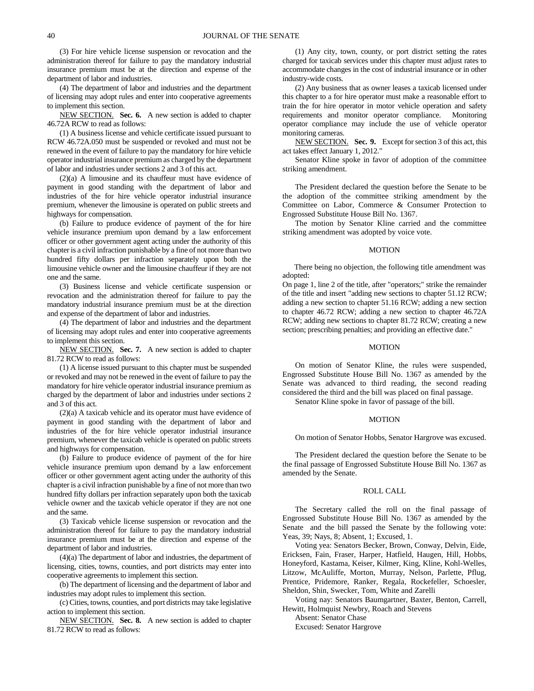(3) For hire vehicle license suspension or revocation and the administration thereof for failure to pay the mandatory industrial insurance premium must be at the direction and expense of the department of labor and industries.

(4) The department of labor and industries and the department of licensing may adopt rules and enter into cooperative agreements to implement this section.

NEW SECTION. **Sec. 6.** A new section is added to chapter 46.72A RCW to read as follows:

(1) A business license and vehicle certificate issued pursuant to RCW 46.72A.050 must be suspended or revoked and must not be renewed in the event of failure to pay the mandatory for hire vehicle operator industrial insurance premium as charged by the department of labor and industries under sections 2 and 3 of this act.

(2)(a) A limousine and its chauffeur must have evidence of payment in good standing with the department of labor and industries of the for hire vehicle operator industrial insurance premium, whenever the limousine is operated on public streets and highways for compensation.

(b) Failure to produce evidence of payment of the for hire vehicle insurance premium upon demand by a law enforcement officer or other government agent acting under the authority of this chapter is a civil infraction punishable by a fine of not more than two hundred fifty dollars per infraction separately upon both the limousine vehicle owner and the limousine chauffeur if they are not one and the same.

(3) Business license and vehicle certificate suspension or revocation and the administration thereof for failure to pay the mandatory industrial insurance premium must be at the direction and expense of the department of labor and industries.

(4) The department of labor and industries and the department of licensing may adopt rules and enter into cooperative agreements to implement this section.

NEW SECTION. **Sec. 7.** A new section is added to chapter 81.72 RCW to read as follows:

(1) A license issued pursuant to this chapter must be suspended or revoked and may not be renewed in the event of failure to pay the mandatory for hire vehicle operator industrial insurance premium as charged by the department of labor and industries under sections 2 and 3 of this act.

(2)(a) A taxicab vehicle and its operator must have evidence of payment in good standing with the department of labor and industries of the for hire vehicle operator industrial insurance premium, whenever the taxicab vehicle is operated on public streets and highways for compensation.

(b) Failure to produce evidence of payment of the for hire vehicle insurance premium upon demand by a law enforcement officer or other government agent acting under the authority of this chapter is a civil infraction punishable by a fine of not more than two hundred fifty dollars per infraction separately upon both the taxicab vehicle owner and the taxicab vehicle operator if they are not one and the same.

(3) Taxicab vehicle license suspension or revocation and the administration thereof for failure to pay the mandatory industrial insurance premium must be at the direction and expense of the department of labor and industries.

(4)(a) The department of labor and industries, the department of licensing, cities, towns, counties, and port districts may enter into cooperative agreements to implement this section.

(b) The department of licensing and the department of labor and industries may adopt rules to implement this section.

(c) Cities, towns, counties, and port districts may take legislative action to implement this section.

NEW SECTION. **Sec. 8.** A new section is added to chapter 81.72 RCW to read as follows:

(1) Any city, town, county, or port district setting the rates charged for taxicab services under this chapter must adjust rates to accommodate changes in the cost of industrial insurance or in other industry-wide costs.

(2) Any business that as owner leases a taxicab licensed under this chapter to a for hire operator must make a reasonable effort to train the for hire operator in motor vehicle operation and safety requirements and monitor operator compliance. Monitoring operator compliance may include the use of vehicle operator monitoring cameras.

NEW SECTION. **Sec. 9.** Except for section 3 of this act, this act takes effect January 1, 2012."

Senator Kline spoke in favor of adoption of the committee striking amendment.

The President declared the question before the Senate to be the adoption of the committee striking amendment by the Committee on Labor, Commerce & Consumer Protection to Engrossed Substitute House Bill No. 1367.

The motion by Senator Kline carried and the committee striking amendment was adopted by voice vote.

#### MOTION

There being no objection, the following title amendment was adopted:

On page 1, line 2 of the title, after "operators;" strike the remainder of the title and insert "adding new sections to chapter 51.12 RCW; adding a new section to chapter 51.16 RCW; adding a new section to chapter 46.72 RCW; adding a new section to chapter 46.72A RCW; adding new sections to chapter 81.72 RCW; creating a new section; prescribing penalties; and providing an effective date."

#### MOTION

On motion of Senator Kline, the rules were suspended, Engrossed Substitute House Bill No. 1367 as amended by the Senate was advanced to third reading, the second reading considered the third and the bill was placed on final passage.

Senator Kline spoke in favor of passage of the bill.

#### MOTION

On motion of Senator Hobbs, Senator Hargrove was excused.

The President declared the question before the Senate to be the final passage of Engrossed Substitute House Bill No. 1367 as amended by the Senate.

#### ROLL CALL

The Secretary called the roll on the final passage of Engrossed Substitute House Bill No. 1367 as amended by the Senate and the bill passed the Senate by the following vote: Yeas, 39; Nays, 8; Absent, 1; Excused, 1.

Voting yea: Senators Becker, Brown, Conway, Delvin, Eide, Ericksen, Fain, Fraser, Harper, Hatfield, Haugen, Hill, Hobbs, Honeyford, Kastama, Keiser, Kilmer, King, Kline, Kohl-Welles, Litzow, McAuliffe, Morton, Murray, Nelson, Parlette, Pflug, Prentice, Pridemore, Ranker, Regala, Rockefeller, Schoesler, Sheldon, Shin, Swecker, Tom, White and Zarelli

Voting nay: Senators Baumgartner, Baxter, Benton, Carrell, Hewitt, Holmquist Newbry, Roach and Stevens

Absent: Senator Chase

Excused: Senator Hargrove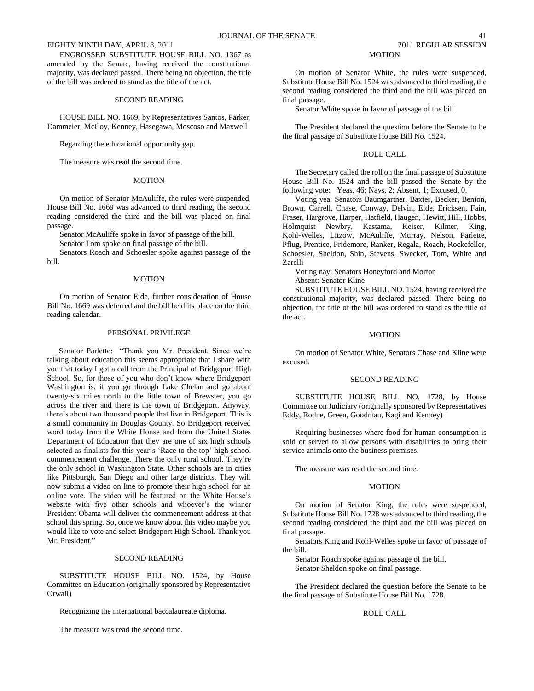ENGROSSED SUBSTITUTE HOUSE BILL NO. 1367 as amended by the Senate, having received the constitutional majority, was declared passed. There being no objection, the title of the bill was ordered to stand as the title of the act.

## SECOND READING

HOUSE BILL NO. 1669, by Representatives Santos, Parker, Dammeier, McCoy, Kenney, Hasegawa, Moscoso and Maxwell

Regarding the educational opportunity gap.

The measure was read the second time.

#### **MOTION**

On motion of Senator McAuliffe, the rules were suspended, House Bill No. 1669 was advanced to third reading, the second reading considered the third and the bill was placed on final passage.

Senator McAuliffe spoke in favor of passage of the bill.

Senator Tom spoke on final passage of the bill.

Senators Roach and Schoesler spoke against passage of the bill.

#### **MOTION**

On motion of Senator Eide, further consideration of House Bill No. 1669 was deferred and the bill held its place on the third reading calendar.

#### PERSONAL PRIVILEGE

Senator Parlette: "Thank you Mr. President. Since we're talking about education this seems appropriate that I share with you that today I got a call from the Principal of Bridgeport High School. So, for those of you who don't know where Bridgeport Washington is, if you go through Lake Chelan and go about twenty-six miles north to the little town of Brewster, you go across the river and there is the town of Bridgeport. Anyway, there"s about two thousand people that live in Bridgeport. This is a small community in Douglas County. So Bridgeport received word today from the White House and from the United States Department of Education that they are one of six high schools selected as finalists for this year's 'Race to the top' high school commencement challenge. There the only rural school. They"re the only school in Washington State. Other schools are in cities like Pittsburgh, San Diego and other large districts. They will now submit a video on line to promote their high school for an online vote. The video will be featured on the White House"s website with five other schools and whoever's the winner President Obama will deliver the commencement address at that school this spring. So, once we know about this video maybe you would like to vote and select Bridgeport High School. Thank you Mr. President."

## SECOND READING

SUBSTITUTE HOUSE BILL NO. 1524, by House Committee on Education (originally sponsored by Representative Orwall)

Recognizing the international baccalaureate diploma.

The measure was read the second time.

## MOTION

On motion of Senator White, the rules were suspended, Substitute House Bill No. 1524 was advanced to third reading, the second reading considered the third and the bill was placed on final passage.

Senator White spoke in favor of passage of the bill.

The President declared the question before the Senate to be the final passage of Substitute House Bill No. 1524.

#### ROLL CALL

The Secretary called the roll on the final passage of Substitute House Bill No. 1524 and the bill passed the Senate by the following vote: Yeas, 46; Nays, 2; Absent, 1; Excused, 0.

Voting yea: Senators Baumgartner, Baxter, Becker, Benton, Brown, Carrell, Chase, Conway, Delvin, Eide, Ericksen, Fain, Fraser, Hargrove, Harper, Hatfield, Haugen, Hewitt, Hill, Hobbs, Holmquist Newbry, Kastama, Keiser, Kilmer, King, Kohl-Welles, Litzow, McAuliffe, Murray, Nelson, Parlette, Pflug, Prentice, Pridemore, Ranker, Regala, Roach, Rockefeller, Schoesler, Sheldon, Shin, Stevens, Swecker, Tom, White and Zarelli

Voting nay: Senators Honeyford and Morton Absent: Senator Kline

SUBSTITUTE HOUSE BILL NO. 1524, having received the constitutional majority, was declared passed. There being no objection, the title of the bill was ordered to stand as the title of the act.

#### MOTION

On motion of Senator White, Senators Chase and Kline were excused.

#### SECOND READING

SUBSTITUTE HOUSE BILL NO. 1728, by House Committee on Judiciary (originally sponsored by Representatives Eddy, Rodne, Green, Goodman, Kagi and Kenney)

Requiring businesses where food for human consumption is sold or served to allow persons with disabilities to bring their service animals onto the business premises.

The measure was read the second time.

## **MOTION**

On motion of Senator King, the rules were suspended, Substitute House Bill No. 1728 was advanced to third reading, the second reading considered the third and the bill was placed on final passage.

Senators King and Kohl-Welles spoke in favor of passage of the bill.

Senator Roach spoke against passage of the bill. Senator Sheldon spoke on final passage.

The President declared the question before the Senate to be the final passage of Substitute House Bill No. 1728.

## ROLL CALL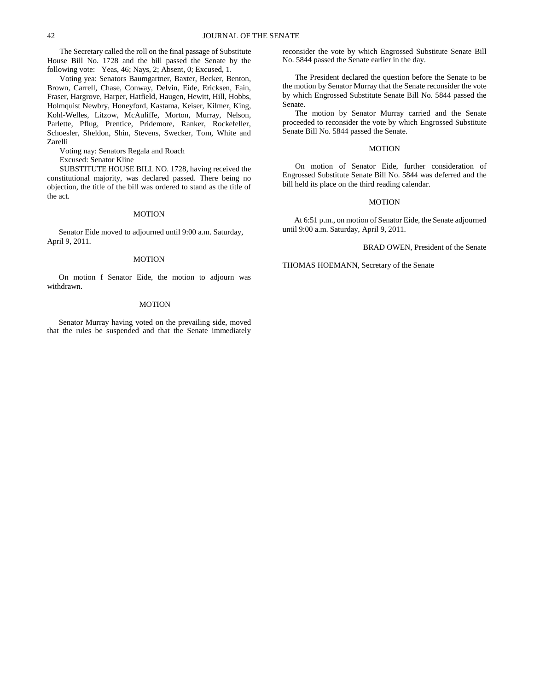The Secretary called the roll on the final passage of Substitute House Bill No. 1728 and the bill passed the Senate by the following vote: Yeas, 46; Nays, 2; Absent, 0; Excused, 1.

Voting yea: Senators Baumgartner, Baxter, Becker, Benton, Brown, Carrell, Chase, Conway, Delvin, Eide, Ericksen, Fain, Fraser, Hargrove, Harper, Hatfield, Haugen, Hewitt, Hill, Hobbs, Holmquist Newbry, Honeyford, Kastama, Keiser, Kilmer, King, Kohl-Welles, Litzow, McAuliffe, Morton, Murray, Nelson, Parlette, Pflug, Prentice, Pridemore, Ranker, Rockefeller, Schoesler, Sheldon, Shin, Stevens, Swecker, Tom, White and Zarelli

Voting nay: Senators Regala and Roach

Excused: Senator Kline

SUBSTITUTE HOUSE BILL NO. 1728, having received the constitutional majority, was declared passed. There being no objection, the title of the bill was ordered to stand as the title of the act.

#### MOTION

Senator Eide moved to adjourned until 9:00 a.m. Saturday, April 9, 2011.

#### MOTION

On motion f Senator Eide, the motion to adjourn was withdrawn.

#### **MOTION**

Senator Murray having voted on the prevailing side, moved that the rules be suspended and that the Senate immediately reconsider the vote by which Engrossed Substitute Senate Bill No. 5844 passed the Senate earlier in the day.

The President declared the question before the Senate to be the motion by Senator Murray that the Senate reconsider the vote by which Engrossed Substitute Senate Bill No. 5844 passed the Senate.

The motion by Senator Murray carried and the Senate proceeded to reconsider the vote by which Engrossed Substitute Senate Bill No. 5844 passed the Senate.

#### MOTION

On motion of Senator Eide, further consideration of Engrossed Substitute Senate Bill No. 5844 was deferred and the bill held its place on the third reading calendar.

#### MOTION

At 6:51 p.m., on motion of Senator Eide, the Senate adjourned until 9:00 a.m. Saturday, April 9, 2011.

BRAD OWEN, President of the Senate

THOMAS HOEMANN, Secretary of the Senate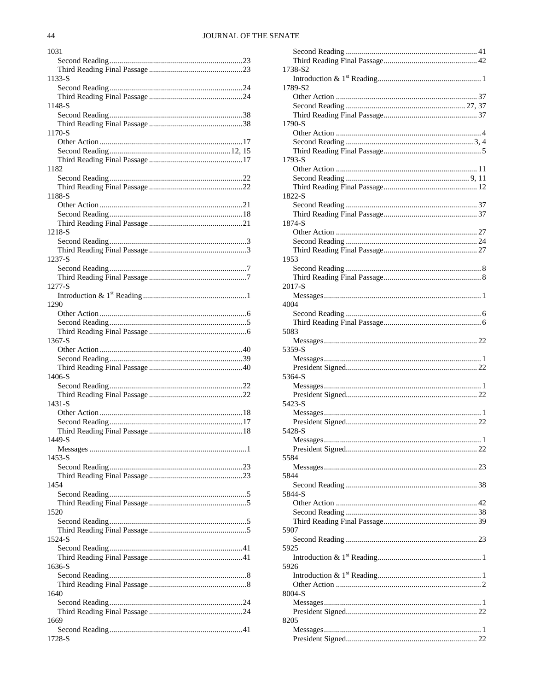| 1031   |
|--------|
|        |
|        |
| 1133-S |
|        |
|        |
| 1148-S |
|        |
|        |
| 1170-S |
|        |
|        |
|        |
| 1182   |
|        |
|        |
| 1188-S |
|        |
|        |
|        |
| 1218-S |
|        |
|        |
| 1237-S |
|        |
|        |
| 1277-S |
|        |
| 1290   |
|        |
|        |
|        |
| 1367-S |
|        |
|        |
|        |
| 1406-S |
|        |
|        |
| 1431-S |
|        |
|        |
|        |
| 1449-S |
|        |
| 1453-S |
|        |
|        |
| 1454   |
|        |
|        |
| 1520   |
|        |
|        |
| 1524-S |
|        |
|        |
| 1636-S |
|        |
|        |
| 1640   |
|        |
|        |
| 1669   |
|        |
| 1728-S |

| 1738-S2                                                                                                                                                                                                                                                                                                                                                                                                                                                                                                                                                                   |                |
|---------------------------------------------------------------------------------------------------------------------------------------------------------------------------------------------------------------------------------------------------------------------------------------------------------------------------------------------------------------------------------------------------------------------------------------------------------------------------------------------------------------------------------------------------------------------------|----------------|
|                                                                                                                                                                                                                                                                                                                                                                                                                                                                                                                                                                           |                |
| 1789-S2                                                                                                                                                                                                                                                                                                                                                                                                                                                                                                                                                                   |                |
|                                                                                                                                                                                                                                                                                                                                                                                                                                                                                                                                                                           |                |
|                                                                                                                                                                                                                                                                                                                                                                                                                                                                                                                                                                           |                |
|                                                                                                                                                                                                                                                                                                                                                                                                                                                                                                                                                                           |                |
| 1790-S                                                                                                                                                                                                                                                                                                                                                                                                                                                                                                                                                                    |                |
|                                                                                                                                                                                                                                                                                                                                                                                                                                                                                                                                                                           |                |
|                                                                                                                                                                                                                                                                                                                                                                                                                                                                                                                                                                           |                |
|                                                                                                                                                                                                                                                                                                                                                                                                                                                                                                                                                                           |                |
| 1793-S                                                                                                                                                                                                                                                                                                                                                                                                                                                                                                                                                                    |                |
|                                                                                                                                                                                                                                                                                                                                                                                                                                                                                                                                                                           |                |
|                                                                                                                                                                                                                                                                                                                                                                                                                                                                                                                                                                           |                |
|                                                                                                                                                                                                                                                                                                                                                                                                                                                                                                                                                                           |                |
| 1822-S                                                                                                                                                                                                                                                                                                                                                                                                                                                                                                                                                                    |                |
|                                                                                                                                                                                                                                                                                                                                                                                                                                                                                                                                                                           |                |
|                                                                                                                                                                                                                                                                                                                                                                                                                                                                                                                                                                           |                |
| 1874-S                                                                                                                                                                                                                                                                                                                                                                                                                                                                                                                                                                    |                |
|                                                                                                                                                                                                                                                                                                                                                                                                                                                                                                                                                                           |                |
|                                                                                                                                                                                                                                                                                                                                                                                                                                                                                                                                                                           |                |
|                                                                                                                                                                                                                                                                                                                                                                                                                                                                                                                                                                           |                |
| 1953                                                                                                                                                                                                                                                                                                                                                                                                                                                                                                                                                                      |                |
|                                                                                                                                                                                                                                                                                                                                                                                                                                                                                                                                                                           |                |
|                                                                                                                                                                                                                                                                                                                                                                                                                                                                                                                                                                           |                |
| 2017-S                                                                                                                                                                                                                                                                                                                                                                                                                                                                                                                                                                    |                |
|                                                                                                                                                                                                                                                                                                                                                                                                                                                                                                                                                                           |                |
| 4004                                                                                                                                                                                                                                                                                                                                                                                                                                                                                                                                                                      |                |
|                                                                                                                                                                                                                                                                                                                                                                                                                                                                                                                                                                           |                |
|                                                                                                                                                                                                                                                                                                                                                                                                                                                                                                                                                                           |                |
|                                                                                                                                                                                                                                                                                                                                                                                                                                                                                                                                                                           |                |
| 5083                                                                                                                                                                                                                                                                                                                                                                                                                                                                                                                                                                      |                |
|                                                                                                                                                                                                                                                                                                                                                                                                                                                                                                                                                                           |                |
|                                                                                                                                                                                                                                                                                                                                                                                                                                                                                                                                                                           |                |
| 5359-S                                                                                                                                                                                                                                                                                                                                                                                                                                                                                                                                                                    |                |
|                                                                                                                                                                                                                                                                                                                                                                                                                                                                                                                                                                           |                |
|                                                                                                                                                                                                                                                                                                                                                                                                                                                                                                                                                                           |                |
| 5364-S                                                                                                                                                                                                                                                                                                                                                                                                                                                                                                                                                                    |                |
|                                                                                                                                                                                                                                                                                                                                                                                                                                                                                                                                                                           |                |
|                                                                                                                                                                                                                                                                                                                                                                                                                                                                                                                                                                           |                |
| 5423-S                                                                                                                                                                                                                                                                                                                                                                                                                                                                                                                                                                    |                |
|                                                                                                                                                                                                                                                                                                                                                                                                                                                                                                                                                                           |                |
|                                                                                                                                                                                                                                                                                                                                                                                                                                                                                                                                                                           |                |
| 5428-S                                                                                                                                                                                                                                                                                                                                                                                                                                                                                                                                                                    |                |
|                                                                                                                                                                                                                                                                                                                                                                                                                                                                                                                                                                           | $\overline{1}$ |
| $\textit{Message} s \textit{}{\textit{}} \textit{}{\textit{}} \textit{}{\textit{}} \textit{}{\textit{}}$                                                                                                                                                                                                                                                                                                                                                                                                                                                                  |                |
| 5584                                                                                                                                                                                                                                                                                                                                                                                                                                                                                                                                                                      |                |
|                                                                                                                                                                                                                                                                                                                                                                                                                                                                                                                                                                           |                |
| 5844                                                                                                                                                                                                                                                                                                                                                                                                                                                                                                                                                                      |                |
|                                                                                                                                                                                                                                                                                                                                                                                                                                                                                                                                                                           |                |
| 5844-S                                                                                                                                                                                                                                                                                                                                                                                                                                                                                                                                                                    |                |
|                                                                                                                                                                                                                                                                                                                                                                                                                                                                                                                                                                           |                |
|                                                                                                                                                                                                                                                                                                                                                                                                                                                                                                                                                                           |                |
|                                                                                                                                                                                                                                                                                                                                                                                                                                                                                                                                                                           |                |
|                                                                                                                                                                                                                                                                                                                                                                                                                                                                                                                                                                           |                |
| 5907                                                                                                                                                                                                                                                                                                                                                                                                                                                                                                                                                                      |                |
|                                                                                                                                                                                                                                                                                                                                                                                                                                                                                                                                                                           |                |
| 5925                                                                                                                                                                                                                                                                                                                                                                                                                                                                                                                                                                      |                |
|                                                                                                                                                                                                                                                                                                                                                                                                                                                                                                                                                                           |                |
| 5926                                                                                                                                                                                                                                                                                                                                                                                                                                                                                                                                                                      |                |
|                                                                                                                                                                                                                                                                                                                                                                                                                                                                                                                                                                           |                |
|                                                                                                                                                                                                                                                                                                                                                                                                                                                                                                                                                                           |                |
| 8004-S                                                                                                                                                                                                                                                                                                                                                                                                                                                                                                                                                                    |                |
|                                                                                                                                                                                                                                                                                                                                                                                                                                                                                                                                                                           |                |
|                                                                                                                                                                                                                                                                                                                                                                                                                                                                                                                                                                           |                |
| 8205                                                                                                                                                                                                                                                                                                                                                                                                                                                                                                                                                                      |                |
| $\textit{Message} s \textit{\dots} \textit{\dots} \textit{\dots} \textit{\dots} \textit{\dots} \textit{\dots} \textit{\dots} \textit{\dots} \textit{\dots} \textit{\dots} \textit{\dots} \textit{\dots} \textit{\dots} \textit{\dots} \textit{\dots} \textit{\dots} \textit{\dots} \textit{\dots} \textit{\dots} \textit{\dots} \textit{\dots} \textit{\dots} \textit{\dots} \textit{\dots} \textit{\dots} \textit{\dots} \textit{\dots} \textit{\dots} \textit{\dots} \textit{\dots} \textit{\dots} \textit{\dots} \textit{\dots} \textit{\dots} \textit{\dots} \textit$ |                |